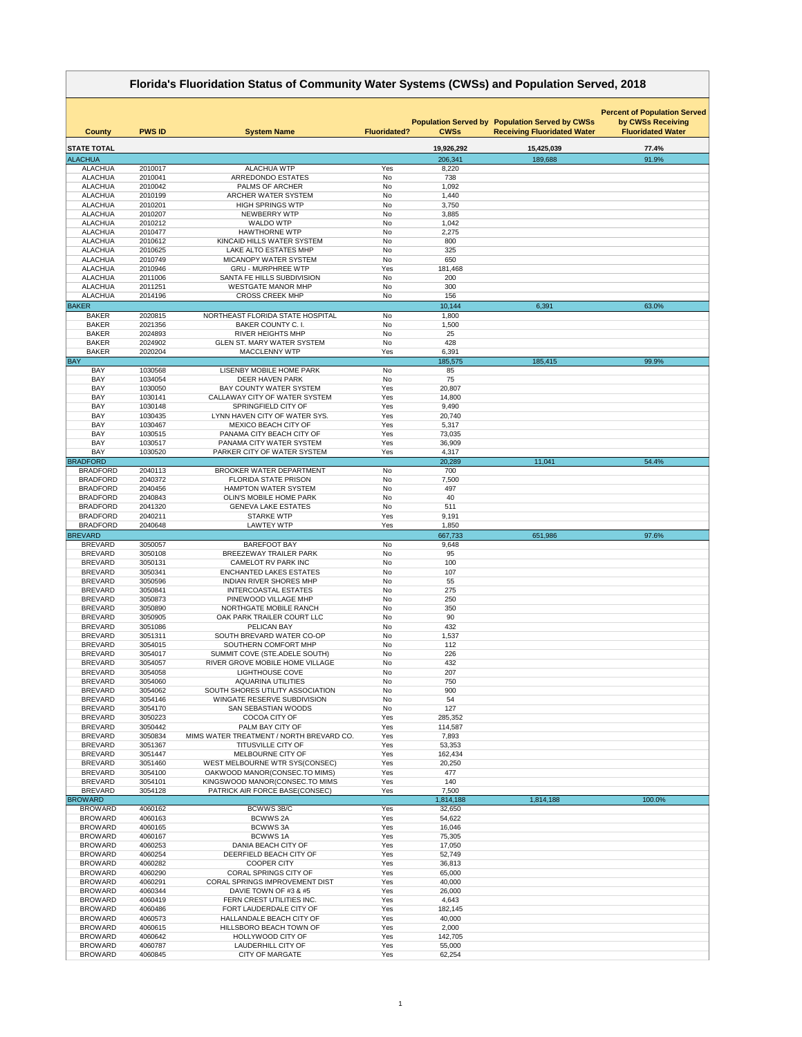| Florida's Fluoridation Status of Community Water Systems (CWSs) and Population Served, 2018 |                    |                                                                  |                        |                  |                                                                                             |                                                                                      |
|---------------------------------------------------------------------------------------------|--------------------|------------------------------------------------------------------|------------------------|------------------|---------------------------------------------------------------------------------------------|--------------------------------------------------------------------------------------|
| <b>County</b>                                                                               | <b>PWS ID</b>      | <b>System Name</b>                                               | <b>Fluoridated?</b>    | <b>CWSs</b>      | <b>Population Served by Population Served by CWSs</b><br><b>Receiving Fluoridated Water</b> | <b>Percent of Population Served</b><br>by CWSs Receiving<br><b>Fluoridated Water</b> |
| <b>STATE TOTAL</b>                                                                          |                    |                                                                  |                        | 19,926,292       | 15,425,039                                                                                  | 77.4%                                                                                |
| <b>ALACHUA</b>                                                                              |                    |                                                                  |                        | 206,341          | 189,688                                                                                     | 91.9%                                                                                |
| <b>ALACHUA</b>                                                                              | 2010017            | <b>ALACHUA WTP</b>                                               | Yes                    | 8,220            |                                                                                             |                                                                                      |
| <b>ALACHUA</b>                                                                              | 2010041            | <b>ARREDONDO ESTATES</b>                                         | <b>No</b>              | 738              |                                                                                             |                                                                                      |
| <b>ALACHUA</b><br><b>ALACHUA</b>                                                            | 2010042<br>2010199 | <b>PALMS OF ARCHER</b><br>ARCHER WATER SYSTEM                    | No<br><b>No</b>        | 1,092<br>1,440   |                                                                                             |                                                                                      |
| <b>ALACHUA</b>                                                                              | 2010201            | <b>HIGH SPRINGS WTP</b>                                          | No                     | 3,750            |                                                                                             |                                                                                      |
| <b>ALACHUA</b>                                                                              | 2010207            | NEWBERRY WTP                                                     | <b>No</b>              | 3,885            |                                                                                             |                                                                                      |
| <b>ALACHUA</b>                                                                              | 2010212            | <b>WALDO WTP</b>                                                 | No                     | 1,042            |                                                                                             |                                                                                      |
| <b>ALACHUA</b>                                                                              | 2010477            | <b>HAWTHORNE WTP</b>                                             | No                     | 2,275            |                                                                                             |                                                                                      |
| <b>ALACHUA</b>                                                                              | 2010612            | KINCAID HILLS WATER SYSTEM                                       | No                     | 800              |                                                                                             |                                                                                      |
| <b>ALACHUA</b><br><b>ALACHUA</b>                                                            | 2010625<br>2010749 | LAKE ALTO ESTATES MHP<br>MICANOPY WATER SYSTEM                   | No<br>No               | 325<br>650       |                                                                                             |                                                                                      |
| <b>ALACHUA</b>                                                                              | 2010946            | <b>GRU - MURPHREE WTP</b>                                        | Yes                    | 181,468          |                                                                                             |                                                                                      |
| <b>ALACHUA</b>                                                                              | 2011006            | SANTA FE HILLS SUBDIVISION                                       | No                     | 200              |                                                                                             |                                                                                      |
| <b>ALACHUA</b>                                                                              | 2011251            | <b>WESTGATE MANOR MHP</b>                                        | No                     | 300              |                                                                                             |                                                                                      |
| <b>ALACHUA</b>                                                                              | 2014196            | <b>CROSS CREEK MHP</b>                                           | No                     | 156              |                                                                                             |                                                                                      |
| <b>BAKER</b>                                                                                |                    |                                                                  |                        | 10,144           | 6,391                                                                                       | 63.0%                                                                                |
| <b>BAKER</b>                                                                                | 2020815            | NORTHEAST FLORIDA STATE HOSPITAL                                 | No                     | 1,800            |                                                                                             |                                                                                      |
| <b>BAKER</b>                                                                                | 2021356            | <b>BAKER COUNTY C. I.</b>                                        | No                     | 1,500            |                                                                                             |                                                                                      |
| <b>BAKER</b><br><b>BAKER</b>                                                                | 2024893<br>2024902 | <b>RIVER HEIGHTS MHP</b><br><b>GLEN ST. MARY WATER SYSTEM</b>    | No<br>No               | 25<br>428        |                                                                                             |                                                                                      |
| <b>BAKER</b>                                                                                | 2020204            | <b>MACCLENNY WTP</b>                                             | Yes                    | 6,391            |                                                                                             |                                                                                      |
| <b>BAY</b>                                                                                  |                    |                                                                  |                        | 185,575          | 185,415                                                                                     | 99.9%                                                                                |
| <b>BAY</b>                                                                                  | 1030568            | <b>LISENBY MOBILE HOME PARK</b>                                  | No                     | 85               |                                                                                             |                                                                                      |
| <b>BAY</b>                                                                                  | 1034054            | <b>DEER HAVEN PARK</b>                                           | No                     | 75               |                                                                                             |                                                                                      |
| <b>BAY</b>                                                                                  | 1030050            | <b>BAY COUNTY WATER SYSTEM</b>                                   | Yes                    | 20,807           |                                                                                             |                                                                                      |
| <b>BAY</b>                                                                                  | 1030141            | CALLAWAY CITY OF WATER SYSTEM                                    | Yes                    | 14,800           |                                                                                             |                                                                                      |
| <b>BAY</b><br><b>BAY</b>                                                                    | 1030148<br>1030435 | SPRINGFIELD CITY OF<br>LYNN HAVEN CITY OF WATER SYS.             | Yes<br>Yes             | 9,490<br>20,740  |                                                                                             |                                                                                      |
| <b>BAY</b>                                                                                  | 1030467            | <b>MEXICO BEACH CITY OF</b>                                      | Yes                    | 5,317            |                                                                                             |                                                                                      |
| <b>BAY</b>                                                                                  | 1030515            | PANAMA CITY BEACH CITY OF                                        | Yes                    | 73,035           |                                                                                             |                                                                                      |
| <b>BAY</b>                                                                                  | 1030517            | PANAMA CITY WATER SYSTEM                                         | Yes                    | 36,909           |                                                                                             |                                                                                      |
| <b>BAY</b>                                                                                  | 1030520            | PARKER CITY OF WATER SYSTEM                                      | Yes                    | 4,317            |                                                                                             |                                                                                      |
| <b>BRADFORD</b>                                                                             |                    |                                                                  |                        | 20,289           | 11,041                                                                                      | 54.4%                                                                                |
| <b>BRADFORD</b><br><b>BRADFORD</b>                                                          | 2040113            | <b>BROOKER WATER DEPARTMENT</b><br><b>FLORIDA STATE PRISON</b>   | No                     | 700              |                                                                                             |                                                                                      |
| <b>BRADFORD</b>                                                                             | 2040372<br>2040456 | <b>HAMPTON WATER SYSTEM</b>                                      | No<br>No               | 7,500<br>497     |                                                                                             |                                                                                      |
| <b>BRADFORD</b>                                                                             | 2040843            | <b>OLIN'S MOBILE HOME PARK</b>                                   | <b>No</b>              | 40               |                                                                                             |                                                                                      |
| <b>BRADFORD</b>                                                                             | 2041320            | <b>GENEVA LAKE ESTATES</b>                                       | No                     | 511              |                                                                                             |                                                                                      |
| <b>BRADFORD</b>                                                                             | 2040211            | <b>STARKE WTP</b>                                                | Yes                    | 9,191            |                                                                                             |                                                                                      |
| <b>BRADFORD</b>                                                                             | 2040648            | <b>LAWTEY WTP</b>                                                | Yes                    | 1,850            |                                                                                             |                                                                                      |
| <b>BREVARD</b>                                                                              |                    |                                                                  |                        | 667,733          | 651,986                                                                                     | 97.6%                                                                                |
| <b>BREVARD</b>                                                                              | 3050057            | <b>BAREFOOT BAY</b>                                              | <b>No</b>              | 9,648            |                                                                                             |                                                                                      |
| <b>BREVARD</b><br><b>BREVARD</b>                                                            | 3050108<br>3050131 | <b>BREEZEWAY TRAILER PARK</b><br><b>CAMELOT RV PARK INC</b>      | No<br>No               | 95<br>100        |                                                                                             |                                                                                      |
| <b>BREVARD</b>                                                                              | 3050341            | <b>ENCHANTED LAKES ESTATES</b>                                   | No                     | 107              |                                                                                             |                                                                                      |
| <b>BREVARD</b>                                                                              | 3050596            | <b>INDIAN RIVER SHORES MHP</b>                                   | <b>No</b>              | 55               |                                                                                             |                                                                                      |
| <b>BREVARD</b>                                                                              | 3050841            | <b>INTERCOASTAL ESTATES</b>                                      | No                     | 275              |                                                                                             |                                                                                      |
| <b>BREVARD</b>                                                                              | 3050873            | PINEWOOD VILLAGE MHP                                             | No                     | 250              |                                                                                             |                                                                                      |
| <b>BREVARD</b>                                                                              | 3050890            | NORTHGATE MOBILE RANCH                                           | <b>No</b>              | 350              |                                                                                             |                                                                                      |
| <b>BREVARD</b>                                                                              | 3050905            | OAK PARK TRAILER COURT LLC                                       | No                     | 90               |                                                                                             |                                                                                      |
| <b>BREVARD</b><br><b>BREVARD</b>                                                            | 3051086<br>3051311 | PELICAN BAY<br>SOUTH BREVARD WATER CO-OP                         | No<br>No               | 432              |                                                                                             |                                                                                      |
| <b>BREVARD</b>                                                                              | 3054015            | SOUTHERN COMFORT MHP                                             | <b>No</b>              | 1,537<br>112     |                                                                                             |                                                                                      |
| <b>BREVARD</b>                                                                              | 3054017            | SUMMIT COVE (STE.ADELE SOUTH)                                    | <b>No</b>              | 226              |                                                                                             |                                                                                      |
| <b>BREVARD</b>                                                                              | 3054057            | RIVER GROVE MOBILE HOME VILLAGE                                  | <b>No</b>              | 432              |                                                                                             |                                                                                      |
| <b>BREVARD</b>                                                                              | 3054058            | <b>LIGHTHOUSE COVE</b>                                           | No                     | 207              |                                                                                             |                                                                                      |
| <b>BREVARD</b>                                                                              | 3054060            | <b>AQUARINA UTILITIES</b>                                        | No                     | 750              |                                                                                             |                                                                                      |
| <b>BREVARD</b>                                                                              | 3054062            | SOUTH SHORES UTILITY ASSOCIATION                                 | <b>No</b>              | 900              |                                                                                             |                                                                                      |
| <b>BREVARD</b><br><b>BREVARD</b>                                                            | 3054146            | <b>WINGATE RESERVE SUBDIVISION</b>                               | <b>No</b><br><b>No</b> | 54<br>127        |                                                                                             |                                                                                      |
| <b>BREVARD</b>                                                                              | 3054170<br>3050223 | <b>SAN SEBASTIAN WOODS</b><br>COCOA CITY OF                      | Yes                    | 285,352          |                                                                                             |                                                                                      |
| <b>BREVARD</b>                                                                              | 3050442            | PALM BAY CITY OF                                                 | Yes                    | 114,587          |                                                                                             |                                                                                      |
| <b>BREVARD</b>                                                                              | 3050834            | MIMS WATER TREATMENT / NORTH BREVARD CO.                         | Yes                    | 7,893            |                                                                                             |                                                                                      |
| <b>BREVARD</b>                                                                              | 3051367            | <b>TITUSVILLE CITY OF</b>                                        | Yes                    | 53,353           |                                                                                             |                                                                                      |
| <b>BREVARD</b>                                                                              | 3051447            | MELBOURNE CITY OF                                                | Yes                    | 162,434          |                                                                                             |                                                                                      |
| <b>BREVARD</b>                                                                              | 3051460            | WEST MELBOURNE WTR SYS(CONSEC)                                   | Yes                    | 20,250           |                                                                                             |                                                                                      |
| <b>BREVARD</b>                                                                              | 3054100            | OAKWOOD MANOR(CONSEC.TO MIMS)                                    | Yes                    | 477              |                                                                                             |                                                                                      |
| <b>BREVARD</b><br><b>BREVARD</b>                                                            | 3054101<br>3054128 | KINGSWOOD MANOR(CONSEC.TO MIMS<br>PATRICK AIR FORCE BASE(CONSEC) | Yes<br>Yes             | 140<br>7,500     |                                                                                             |                                                                                      |
| <b>BROWARD</b>                                                                              |                    |                                                                  |                        | 1,814,188        | 1,814,188                                                                                   | 100.0%                                                                               |
| <b>BROWARD</b>                                                                              | 4060162            | BCWWS 3B/C                                                       | Yes                    | 32,650           |                                                                                             |                                                                                      |
| <b>BROWARD</b>                                                                              | 4060163            | <b>BCWWS 2A</b>                                                  | Yes                    | 54,622           |                                                                                             |                                                                                      |
| <b>BROWARD</b>                                                                              | 4060165            | <b>BCWWS3A</b>                                                   | Yes                    | 16,046           |                                                                                             |                                                                                      |
| <b>BROWARD</b>                                                                              | 4060167            | <b>BCWWS1A</b>                                                   | Yes                    | 75,305           |                                                                                             |                                                                                      |
| <b>BROWARD</b>                                                                              | 4060253            | DANIA BEACH CITY OF                                              | Yes                    | 17,050           |                                                                                             |                                                                                      |
| <b>BROWARD</b>                                                                              | 4060254            | DEERFIELD BEACH CITY OF                                          | Yes                    | 52,749           |                                                                                             |                                                                                      |
| <b>BROWARD</b><br><b>BROWARD</b>                                                            | 4060282<br>4060290 | <b>COOPER CITY</b><br><b>CORAL SPRINGS CITY OF</b>               | Yes<br>Yes             | 36,813<br>65,000 |                                                                                             |                                                                                      |
| <b>BROWARD</b>                                                                              | 4060291            | <b>CORAL SPRINGS IMPROVEMENT DIST</b>                            | Yes                    | 40,000           |                                                                                             |                                                                                      |
| <b>BROWARD</b>                                                                              | 4060344            | DAVIE TOWN OF #3 & #5                                            | Yes                    | 26,000           |                                                                                             |                                                                                      |
| <b>BROWARD</b>                                                                              | 4060419            | FERN CREST UTILITIES INC.                                        | Yes                    | 4,643            |                                                                                             |                                                                                      |
| <b>BROWARD</b>                                                                              | 4060486            | FORT LAUDERDALE CITY OF                                          | Yes                    | 182,145          |                                                                                             |                                                                                      |
| <b>BROWARD</b>                                                                              | 4060573            | HALLANDALE BEACH CITY OF                                         | Yes                    | 40,000           |                                                                                             |                                                                                      |
| <b>BROWARD</b>                                                                              | 4060615            | HILLSBORO BEACH TOWN OF                                          | Yes                    | 2,000            |                                                                                             |                                                                                      |
| <b>BROWARD</b>                                                                              | 4060642            | HOLLYWOOD CITY OF                                                | Yes                    | 142,705          |                                                                                             |                                                                                      |
| <b>BROWARD</b>                                                                              | 4060787            | LAUDERHILL CITY OF                                               | Yes                    | 55,000           |                                                                                             |                                                                                      |
| <b>BROWARD</b>                                                                              | 4060845            | <b>CITY OF MARGATE</b>                                           | Yes                    | 62,254           |                                                                                             |                                                                                      |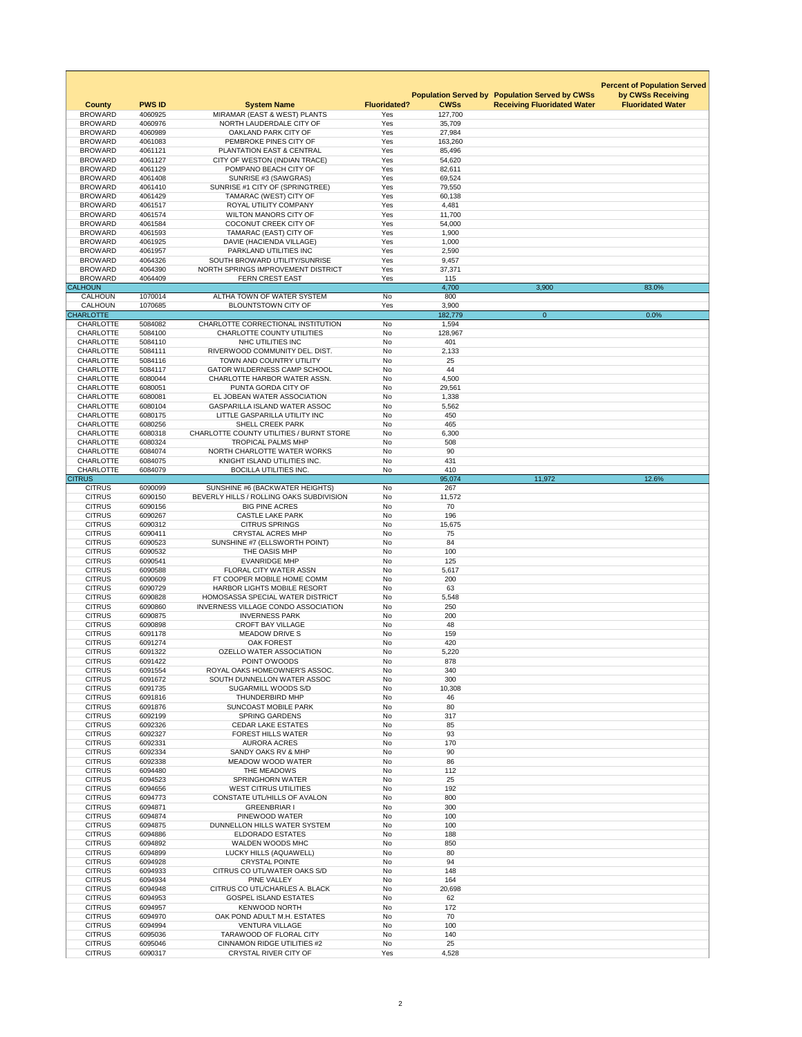|                                      |                          |                                                                     |                            |                        |                                                       | <b>Percent of Population Served</b> |
|--------------------------------------|--------------------------|---------------------------------------------------------------------|----------------------------|------------------------|-------------------------------------------------------|-------------------------------------|
|                                      |                          |                                                                     |                            |                        | <b>Population Served by Population Served by CWSs</b> | by CWSs Receiving                   |
| <b>County</b><br><b>BROWARD</b>      | <b>PWS ID</b><br>4060925 | <b>System Name</b><br>MIRAMAR (EAST & WEST) PLANTS                  | <b>Fluoridated?</b><br>Yes | <b>CWSs</b><br>127,700 | <b>Receiving Fluoridated Water</b>                    | <b>Fluoridated Water</b>            |
| <b>BROWARD</b>                       | 4060976                  | NORTH LAUDERDALE CITY OF                                            | Yes                        | 35,709                 |                                                       |                                     |
| <b>BROWARD</b>                       | 4060989                  | OAKLAND PARK CITY OF                                                | Yes                        | 27,984                 |                                                       |                                     |
| <b>BROWARD</b>                       | 4061083                  | PEMBROKE PINES CITY OF                                              | Yes                        | 163,260                |                                                       |                                     |
| <b>BROWARD</b><br><b>BROWARD</b>     | 4061121<br>4061127       | PLANTATION EAST & CENTRAL<br>CITY OF WESTON (INDIAN TRACE)          | Yes<br>Yes                 | 85,496<br>54,620       |                                                       |                                     |
| <b>BROWARD</b>                       | 4061129                  | POMPANO BEACH CITY OF                                               | Yes                        | 82,611                 |                                                       |                                     |
| <b>BROWARD</b>                       | 4061408                  | SUNRISE #3 (SAWGRAS)                                                | Yes                        | 69,524                 |                                                       |                                     |
| <b>BROWARD</b>                       | 4061410                  | SUNRISE #1 CITY OF (SPRINGTREE)                                     | Yes                        | 79,550                 |                                                       |                                     |
| <b>BROWARD</b>                       | 4061429                  | TAMARAC (WEST) CITY OF                                              | Yes                        | 60,138                 |                                                       |                                     |
| <b>BROWARD</b><br><b>BROWARD</b>     | 4061517<br>4061574       | <b>ROYAL UTILITY COMPANY</b><br><b>WILTON MANORS CITY OF</b>        | Yes<br>Yes                 | 4,481<br>11,700        |                                                       |                                     |
| <b>BROWARD</b>                       | 4061584                  | <b>COCONUT CREEK CITY OF</b>                                        | Yes                        | 54,000                 |                                                       |                                     |
| <b>BROWARD</b>                       | 4061593                  | TAMARAC (EAST) CITY OF                                              | Yes                        | 1,900                  |                                                       |                                     |
| <b>BROWARD</b>                       | 4061925                  | DAVIE (HACIENDA VILLAGE)                                            | Yes                        | 1,000                  |                                                       |                                     |
| <b>BROWARD</b><br><b>BROWARD</b>     | 4061957<br>4064326       | PARKLAND UTILITIES INC<br>SOUTH BROWARD UTILITY/SUNRISE             | Yes<br>Yes                 | 2,590<br>9,457         |                                                       |                                     |
| <b>BROWARD</b>                       | 4064390                  | NORTH SPRINGS IMPROVEMENT DISTRICT                                  | Yes                        | 37,371                 |                                                       |                                     |
| <b>BROWARD</b>                       | 4064409                  | <b>FERN CREST EAST</b>                                              | Yes                        | 115                    |                                                       |                                     |
| <b>CALHOUN</b>                       |                          |                                                                     |                            | 4,700                  | 3,900                                                 | 83.0%                               |
| <b>CALHOUN</b><br><b>CALHOUN</b>     | 1070014<br>1070685       | ALTHA TOWN OF WATER SYSTEM<br><b>BLOUNTSTOWN CITY OF</b>            | No<br>Yes                  | 800<br>3,900           |                                                       |                                     |
| <b>CHARLOTTE</b>                     |                          |                                                                     |                            | 182,779                | $\overline{0}$                                        | 0.0%                                |
| <b>CHARLOTTE</b>                     | 5084082                  | CHARLOTTE CORRECTIONAL INSTITUTION                                  | <b>No</b>                  | 1,594                  |                                                       |                                     |
| <b>CHARLOTTE</b>                     | 5084100                  | <b>CHARLOTTE COUNTY UTILITIES</b>                                   | No                         | 128,967                |                                                       |                                     |
| <b>CHARLOTTE</b>                     | 5084110                  | NHC UTILITIES INC                                                   | No                         | 401                    |                                                       |                                     |
| <b>CHARLOTTE</b><br><b>CHARLOTTE</b> | 5084111<br>5084116       | RIVERWOOD COMMUNITY DEL. DIST.<br>TOWN AND COUNTRY UTILITY          | No<br>No                   | 2,133<br>25            |                                                       |                                     |
| <b>CHARLOTTE</b>                     | 5084117                  | <b>GATOR WILDERNESS CAMP SCHOOL</b>                                 | <b>No</b>                  | 44                     |                                                       |                                     |
| <b>CHARLOTTE</b>                     | 6080044                  | CHARLOTTE HARBOR WATER ASSN.                                        | No                         | 4,500                  |                                                       |                                     |
| <b>CHARLOTTE</b>                     | 6080051                  | PUNTA GORDA CITY OF                                                 | No                         | 29,561                 |                                                       |                                     |
| <b>CHARLOTTE</b><br><b>CHARLOTTE</b> | 6080081<br>6080104       | EL JOBEAN WATER ASSOCIATION<br><b>GASPARILLA ISLAND WATER ASSOC</b> | No<br>No                   | 1,338<br>5,562         |                                                       |                                     |
| <b>CHARLOTTE</b>                     | 6080175                  | LITTLE GASPARILLA UTILITY INC                                       | No                         | 450                    |                                                       |                                     |
| <b>CHARLOTTE</b>                     | 6080256                  | <b>SHELL CREEK PARK</b>                                             | No                         | 465                    |                                                       |                                     |
| <b>CHARLOTTE</b>                     | 6080318                  | <b>CHARLOTTE COUNTY UTILITIES / BURNT STORE</b>                     | <b>No</b>                  | 6,300                  |                                                       |                                     |
| <b>CHARLOTTE</b>                     | 6080324                  | <b>TROPICAL PALMS MHP</b>                                           | No                         | 508                    |                                                       |                                     |
| <b>CHARLOTTE</b><br><b>CHARLOTTE</b> | 6084074<br>6084075       | NORTH CHARLOTTE WATER WORKS<br>KNIGHT ISLAND UTILITIES INC.         | No<br>No                   | 90<br>431              |                                                       |                                     |
| <b>CHARLOTTE</b>                     | 6084079                  | <b>BOCILLA UTILITIES INC.</b>                                       | No                         | 410                    |                                                       |                                     |
| <b>CITRUS</b>                        |                          |                                                                     |                            | 95,074                 | 11,972                                                | 12.6%                               |
| <b>CITRUS</b>                        | 6090099                  | SUNSHINE #6 (BACKWATER HEIGHTS)                                     | No                         | 267                    |                                                       |                                     |
| <b>CITRUS</b><br><b>CITRUS</b>       | 6090150<br>6090156       | BEVERLY HILLS / ROLLING OAKS SUBDIVISION<br><b>BIG PINE ACRES</b>   | No<br>No                   | 11,572<br>70           |                                                       |                                     |
| <b>CITRUS</b>                        | 6090267                  | <b>CASTLE LAKE PARK</b>                                             | No                         | 196                    |                                                       |                                     |
| <b>CITRUS</b>                        | 6090312                  | <b>CITRUS SPRINGS</b>                                               | No                         | 15,675                 |                                                       |                                     |
| <b>CITRUS</b>                        | 6090411                  | <b>CRYSTAL ACRES MHP</b>                                            | No                         | 75                     |                                                       |                                     |
| <b>CITRUS</b>                        | 6090523                  | SUNSHINE #7 (ELLSWORTH POINT)                                       | <b>No</b>                  | 84                     |                                                       |                                     |
|                                      |                          |                                                                     |                            |                        |                                                       |                                     |
| <b>CITRUS</b>                        | 6090532                  | THE OASIS MHP                                                       | No                         | 100                    |                                                       |                                     |
| <b>CITRUS</b>                        | 6090541                  | <b>EVANRIDGE MHP</b><br><b>FLORAL CITY WATER ASSN</b>               | No<br>No                   | 125                    |                                                       |                                     |
| <b>CITRUS</b><br><b>CITRUS</b>       | 6090588<br>6090609       | FT COOPER MOBILE HOME COMM                                          | No                         | 5,617<br>200           |                                                       |                                     |
| <b>CITRUS</b>                        | 6090729                  | <b>HARBOR LIGHTS MOBILE RESORT</b>                                  | No                         | 63                     |                                                       |                                     |
| <b>CITRUS</b>                        | 6090828                  | HOMOSASSA SPECIAL WATER DISTRICT                                    | No                         | 5,548                  |                                                       |                                     |
| <b>CITRUS</b>                        | 6090860                  | INVERNESS VILLAGE CONDO ASSOCIATION                                 | No                         | 250                    |                                                       |                                     |
| <b>CITRUS</b>                        | 6090875                  | <b>INVERNESS PARK</b><br><b>CROFT BAY VILLAGE</b>                   | No                         | 200                    |                                                       |                                     |
| <b>CITRUS</b><br><b>CITRUS</b>       | 6090898<br>6091178       | <b>MEADOW DRIVE S</b>                                               | No<br>No                   | 48<br>159              |                                                       |                                     |
| <b>CITRUS</b>                        | 6091274                  | <b>OAK FOREST</b>                                                   | No                         | 420                    |                                                       |                                     |
| <b>CITRUS</b>                        | 6091322                  | <b>OZELLO WATER ASSOCIATION</b>                                     | No                         | 5,220                  |                                                       |                                     |
| <b>CITRUS</b>                        | 6091422                  | POINT O'WOODS                                                       | No                         | 878                    |                                                       |                                     |
| <b>CITRUS</b><br><b>CITRUS</b>       | 6091554<br>6091672       | ROYAL OAKS HOMEOWNER'S ASSOC.<br>SOUTH DUNNELLON WATER ASSOC        | No<br>No                   | 340<br>300             |                                                       |                                     |
| <b>CITRUS</b>                        | 6091735                  | <b>SUGARMILL WOODS S/D</b>                                          | No                         | 10,308                 |                                                       |                                     |
| <b>CITRUS</b>                        | 6091816                  | THUNDERBIRD MHP                                                     | No                         | 46                     |                                                       |                                     |
| <b>CITRUS</b>                        | 6091876                  | <b>SUNCOAST MOBILE PARK</b>                                         | No                         | 80                     |                                                       |                                     |
| <b>CITRUS</b><br><b>CITRUS</b>       | 6092199<br>6092326       | <b>SPRING GARDENS</b><br><b>CEDAR LAKE ESTATES</b>                  | No<br>No                   | 317<br>85              |                                                       |                                     |
| <b>CITRUS</b>                        | 6092327                  | <b>FOREST HILLS WATER</b>                                           | No                         | 93                     |                                                       |                                     |
| <b>CITRUS</b>                        | 6092331                  | <b>AURORA ACRES</b>                                                 | No                         | 170                    |                                                       |                                     |
| <b>CITRUS</b>                        | 6092334                  | SANDY OAKS RV & MHP                                                 | No                         | 90                     |                                                       |                                     |
| <b>CITRUS</b>                        | 6092338                  | <b>MEADOW WOOD WATER</b>                                            | No                         | 86                     |                                                       |                                     |
| <b>CITRUS</b><br><b>CITRUS</b>       | 6094480<br>6094523       | THE MEADOWS<br><b>SPRINGHORN WATER</b>                              | No<br>No                   | 112<br>25              |                                                       |                                     |
| <b>CITRUS</b>                        | 6094656                  | <b>WEST CITRUS UTILITIES</b>                                        | No                         | 192                    |                                                       |                                     |
| <b>CITRUS</b>                        | 6094773                  | CONSTATE UTL/HILLS OF AVALON                                        | No                         | 800                    |                                                       |                                     |
| <b>CITRUS</b>                        | 6094871                  | <b>GREENBRIAR I</b>                                                 | No                         | 300                    |                                                       |                                     |
| <b>CITRUS</b><br><b>CITRUS</b>       | 6094874<br>6094875       | PINEWOOD WATER<br>DUNNELLON HILLS WATER SYSTEM                      | No<br>No                   | 100<br>100             |                                                       |                                     |
| <b>CITRUS</b>                        | 6094886                  | <b>ELDORADO ESTATES</b>                                             | No                         | 188                    |                                                       |                                     |
| <b>CITRUS</b>                        | 6094892                  | <b>WALDEN WOODS MHC</b>                                             | No                         | 850                    |                                                       |                                     |
| <b>CITRUS</b>                        | 6094899                  | LUCKY HILLS (AQUAWELL)                                              | No                         | 80                     |                                                       |                                     |
| <b>CITRUS</b>                        | 6094928                  | <b>CRYSTAL POINTE</b>                                               | No                         | 94                     |                                                       |                                     |
| <b>CITRUS</b><br><b>CITRUS</b>       | 6094933<br>6094934       | CITRUS CO UTL/WATER OAKS S/D<br><b>PINE VALLEY</b>                  | No<br>No                   | 148<br>164             |                                                       |                                     |
| <b>CITRUS</b>                        | 6094948                  | CITRUS CO UTL/CHARLES A. BLACK                                      | No                         | 20,698                 |                                                       |                                     |
| <b>CITRUS</b>                        | 6094953                  | <b>GOSPEL ISLAND ESTATES</b>                                        | No                         | 62                     |                                                       |                                     |
| <b>CITRUS</b>                        | 6094957                  | <b>KENWOOD NORTH</b>                                                | No                         | 172                    |                                                       |                                     |
| <b>CITRUS</b><br><b>CITRUS</b>       | 6094970<br>6094994       | OAK POND ADULT M.H. ESTATES<br><b>VENTURA VILLAGE</b>               | No<br>No                   | 70<br>100              |                                                       |                                     |
| <b>CITRUS</b>                        | 6095036                  | <b>TARAWOOD OF FLORAL CITY</b>                                      | No                         | 140                    |                                                       |                                     |
| <b>CITRUS</b><br><b>CITRUS</b>       | 6095046<br>6090317       | <b>CINNAMON RIDGE UTILITIES #2</b><br><b>CRYSTAL RIVER CITY OF</b>  | No<br>Yes                  | 25<br>4,528            |                                                       |                                     |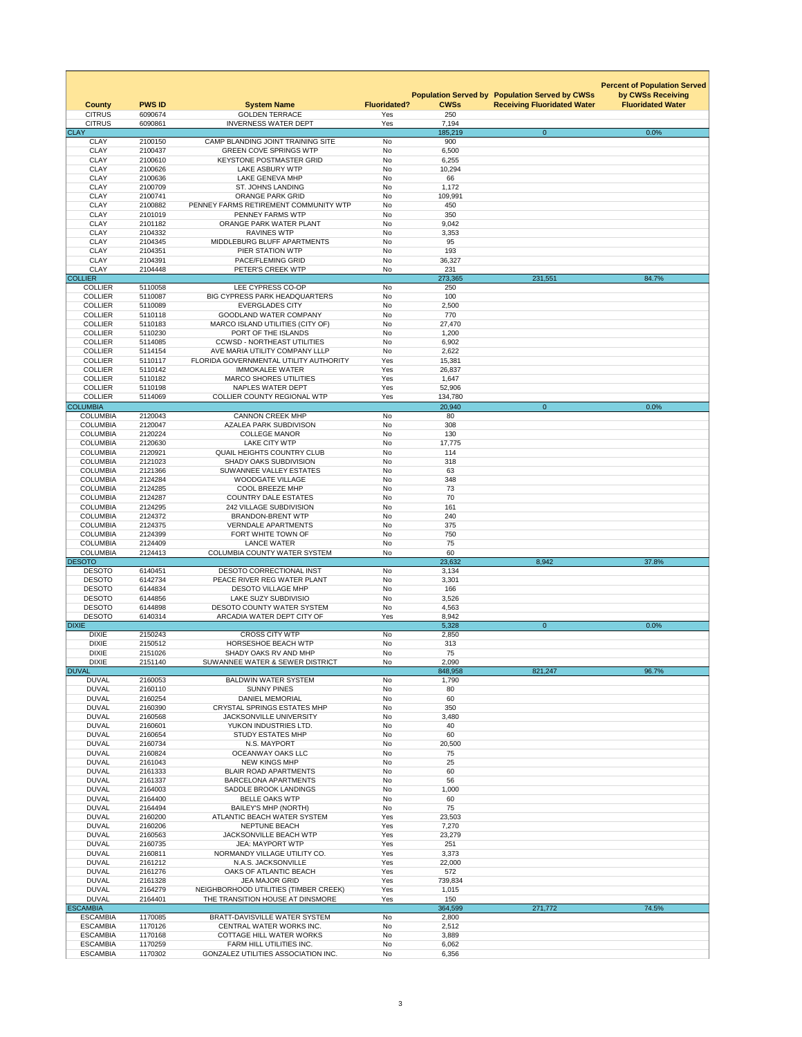|                                    |                    |                                                                           |                     |                   |                                                                                             | <b>Percent of Population Served</b>           |
|------------------------------------|--------------------|---------------------------------------------------------------------------|---------------------|-------------------|---------------------------------------------------------------------------------------------|-----------------------------------------------|
| <b>County</b>                      | <b>PWS ID</b>      | <b>System Name</b>                                                        | <b>Fluoridated?</b> | <b>CWSs</b>       | <b>Population Served by Population Served by CWSs</b><br><b>Receiving Fluoridated Water</b> | by CWSs Receiving<br><b>Fluoridated Water</b> |
| <b>CITRUS</b>                      | 6090674            | <b>GOLDEN TERRACE</b>                                                     | Yes                 | 250               |                                                                                             |                                               |
| <b>CITRUS</b><br><b>CLAY</b>       | 6090861            | <b>INVERNESS WATER DEPT</b>                                               | Yes                 | 7,194<br>185,219  | $\overline{0}$                                                                              | 0.0%                                          |
| <b>CLAY</b>                        | 2100150            | CAMP BLANDING JOINT TRAINING SITE                                         | <b>No</b>           | 900               |                                                                                             |                                               |
| <b>CLAY</b>                        | 2100437            | <b>GREEN COVE SPRINGS WTP</b>                                             | No                  | 6,500             |                                                                                             |                                               |
| <b>CLAY</b>                        | 2100610            | <b>KEYSTONE POSTMASTER GRID</b>                                           | <b>No</b>           | 6,255             |                                                                                             |                                               |
| <b>CLAY</b>                        | 2100626            | <b>LAKE ASBURY WTP</b>                                                    | No                  | 10,294            |                                                                                             |                                               |
| <b>CLAY</b><br><b>CLAY</b>         | 2100636<br>2100709 | <b>LAKE GENEVA MHP</b><br><b>ST. JOHNS LANDING</b>                        | No<br><b>No</b>     | 66<br>1,172       |                                                                                             |                                               |
| <b>CLAY</b>                        | 2100741            | <b>ORANGE PARK GRID</b>                                                   | No                  | 109,991           |                                                                                             |                                               |
| <b>CLAY</b>                        | 2100882            | PENNEY FARMS RETIREMENT COMMUNITY WTP                                     | <b>No</b>           | 450               |                                                                                             |                                               |
| <b>CLAY</b>                        | 2101019            | PENNEY FARMS WTP                                                          | <b>No</b>           | 350               |                                                                                             |                                               |
| <b>CLAY</b>                        | 2101182            | ORANGE PARK WATER PLANT                                                   | No                  | 9,042             |                                                                                             |                                               |
| <b>CLAY</b>                        | 2104332            | <b>RAVINES WTP</b>                                                        | No                  | 3,353             |                                                                                             |                                               |
| <b>CLAY</b>                        | 2104345            | MIDDLEBURG BLUFF APARTMENTS                                               | No                  | 95                |                                                                                             |                                               |
| <b>CLAY</b><br><b>CLAY</b>         | 2104351<br>2104391 | PIER STATION WTP<br>PACE/FLEMING GRID                                     | <b>No</b><br>No     | 193<br>36,327     |                                                                                             |                                               |
| <b>CLAY</b>                        | 2104448            | PETER'S CREEK WTP                                                         | No                  | 231               |                                                                                             |                                               |
| <b>COLLIER</b>                     |                    |                                                                           |                     | 273,365           | 231,551                                                                                     | 84.7%                                         |
| <b>COLLIER</b>                     | 5110058            | LEE CYPRESS CO-OP                                                         | No                  | 250               |                                                                                             |                                               |
| <b>COLLIER</b>                     | 5110087            | <b>BIG CYPRESS PARK HEADQUARTERS</b>                                      | No                  | 100               |                                                                                             |                                               |
| <b>COLLIER</b>                     | 5110089            | <b>EVERGLADES CITY</b>                                                    | No                  | 2,500             |                                                                                             |                                               |
| <b>COLLIER</b>                     | 5110118            | <b>GOODLAND WATER COMPANY</b>                                             | <b>No</b>           | 770               |                                                                                             |                                               |
| <b>COLLIER</b><br><b>COLLIER</b>   | 5110183<br>5110230 | <b>MARCO ISLAND UTILITIES (CITY OF)</b><br>PORT OF THE ISLANDS            | No<br>No            | 27,470<br>1,200   |                                                                                             |                                               |
| <b>COLLIER</b>                     | 5114085            | <b>CCWSD - NORTHEAST UTILITIES</b>                                        | <b>No</b>           | 6,902             |                                                                                             |                                               |
| <b>COLLIER</b>                     | 5114154            | AVE MARIA UTILITY COMPANY LLLP                                            | <b>No</b>           | 2,622             |                                                                                             |                                               |
| <b>COLLIER</b>                     | 5110117            | FLORIDA GOVERNMENTAL UTILITY AUTHORITY                                    | Yes                 | 15,381            |                                                                                             |                                               |
| <b>COLLIER</b>                     | 5110142            | <b>IMMOKALEE WATER</b>                                                    | Yes                 | 26,837            |                                                                                             |                                               |
| <b>COLLIER</b>                     | 5110182            | <b>MARCO SHORES UTILITIES</b>                                             | Yes                 | 1,647             |                                                                                             |                                               |
| <b>COLLIER</b>                     | 5110198            | NAPLES WATER DEPT                                                         | Yes                 | 52,906            |                                                                                             |                                               |
| <b>COLLIER</b><br><b>COLUMBIA</b>  | 5114069            | <b>COLLIER COUNTY REGIONAL WTP</b>                                        | Yes                 | 134,780<br>20,940 |                                                                                             | 0.0%                                          |
| <b>COLUMBIA</b>                    | 2120043            | <b>CANNON CREEK MHP</b>                                                   | No                  | 80                | $\overline{0}$                                                                              |                                               |
| <b>COLUMBIA</b>                    | 2120047            | <b>AZALEA PARK SUBDIVISON</b>                                             | No                  | 308               |                                                                                             |                                               |
| <b>COLUMBIA</b>                    | 2120224            | <b>COLLEGE MANOR</b>                                                      | No                  | 130               |                                                                                             |                                               |
| <b>COLUMBIA</b>                    | 2120630            | <b>LAKE CITY WTP</b>                                                      | No                  | 17,775            |                                                                                             |                                               |
| <b>COLUMBIA</b>                    | 2120921            | <b>QUAIL HEIGHTS COUNTRY CLUB</b>                                         | No                  | 114               |                                                                                             |                                               |
| <b>COLUMBIA</b>                    | 2121023            | <b>SHADY OAKS SUBDIVISION</b>                                             | No                  | 318               |                                                                                             |                                               |
| <b>COLUMBIA</b><br><b>COLUMBIA</b> | 2121366<br>2124284 | <b>SUWANNEE VALLEY ESTATES</b><br><b>WOODGATE VILLAGE</b>                 | No<br><b>No</b>     | 63<br>348         |                                                                                             |                                               |
| <b>COLUMBIA</b>                    | 2124285            | <b>COOL BREEZE MHP</b>                                                    | No                  | 73                |                                                                                             |                                               |
| <b>COLUMBIA</b>                    | 2124287            | <b>COUNTRY DALE ESTATES</b>                                               | No                  | 70                |                                                                                             |                                               |
| <b>COLUMBIA</b>                    | 2124295            | <b>242 VILLAGE SUBDIVISION</b>                                            | No                  | 161               |                                                                                             |                                               |
| <b>COLUMBIA</b>                    | 2124372            | <b>BRANDON-BRENT WTP</b>                                                  | No                  | 240               |                                                                                             |                                               |
| <b>COLUMBIA</b>                    | 2124375            | <b>VERNDALE APARTMENTS</b>                                                | No                  | 375               |                                                                                             |                                               |
| <b>COLUMBIA</b>                    | 2124399            | FORT WHITE TOWN OF                                                        | No                  | 750               |                                                                                             |                                               |
| <b>COLUMBIA</b><br><b>COLUMBIA</b> | 2124409<br>2124413 | <b>LANCE WATER</b><br><b>COLUMBIA COUNTY WATER SYSTEM</b>                 | No<br>No            | 75<br>60          |                                                                                             |                                               |
| <b>DESOTO</b>                      |                    |                                                                           |                     | 23,632            | 8,942                                                                                       | 37.8%                                         |
| <b>DESOTO</b>                      | 6140451            | DESOTO CORRECTIONAL INST                                                  | No                  | 3,134             |                                                                                             |                                               |
| <b>DESOTO</b>                      | 6142734            | PEACE RIVER REG WATER PLANT                                               | No                  | 3,301             |                                                                                             |                                               |
| <b>DESOTO</b>                      | 6144834            | <b>DESOTO VILLAGE MHP</b>                                                 | <b>No</b>           | 166               |                                                                                             |                                               |
| <b>DESOTO</b>                      | 6144856            | LAKE SUZY SUBDIVISIO                                                      | No                  | 3,526             |                                                                                             |                                               |
| <b>DESOTO</b><br><b>DESOTO</b>     | 6144898<br>6140314 | <b>DESOTO COUNTY WATER SYSTEM</b><br>ARCADIA WATER DEPT CITY OF           | No<br>Yes           | 4,563<br>8,942    |                                                                                             |                                               |
| <b>DIXIE</b>                       |                    |                                                                           |                     | 5,328             | $\overline{0}$                                                                              | 0.0%                                          |
| <b>DIXIE</b>                       | 2150243            | <b>CROSS CITY WTP</b>                                                     | No                  | 2,850             |                                                                                             |                                               |
| <b>DIXIE</b>                       | 2150512            | <b>HORSESHOE BEACH WTP</b>                                                | No                  | 313               |                                                                                             |                                               |
| <b>DIXIE</b>                       | 2151026            | SHADY OAKS RV AND MHP                                                     | No                  | 75                |                                                                                             |                                               |
| <b>DIXIE</b>                       | 2151140            | SUWANNEE WATER & SEWER DISTRICT                                           | No                  | 2,090             |                                                                                             |                                               |
| <b>DUVAL</b>                       |                    |                                                                           |                     | 848,958           | 821,247                                                                                     | 96.7%                                         |
| <b>DUVAL</b><br><b>DUVAL</b>       | 2160053<br>2160110 | <b>BALDWIN WATER SYSTEM</b><br><b>SUNNY PINES</b>                         | No<br>No            | 1,790<br>80       |                                                                                             |                                               |
| <b>DUVAL</b>                       | 2160254            | <b>DANIEL MEMORIAL</b>                                                    | No                  | 60                |                                                                                             |                                               |
| <b>DUVAL</b>                       | 2160390            | <b>CRYSTAL SPRINGS ESTATES MHP</b>                                        | No                  | 350               |                                                                                             |                                               |
| <b>DUVAL</b>                       | 2160568            | <b>JACKSONVILLE UNIVERSITY</b>                                            | No                  | 3,480             |                                                                                             |                                               |
| <b>DUVAL</b>                       | 2160601            | YUKON INDUSTRIES LTD.                                                     | No                  | 40                |                                                                                             |                                               |
| <b>DUVAL</b>                       | 2160654            | <b>STUDY ESTATES MHP</b>                                                  | No                  | 60                |                                                                                             |                                               |
| <b>DUVAL</b>                       | 2160734            | N.S. MAYPORT                                                              | No                  | 20,500            |                                                                                             |                                               |
| <b>DUVAL</b><br><b>DUVAL</b>       | 2160824<br>2161043 | OCEANWAY OAKS LLC<br><b>NEW KINGS MHP</b>                                 | No<br>No            | 75<br>25          |                                                                                             |                                               |
| <b>DUVAL</b>                       | 2161333            | <b>BLAIR ROAD APARTMENTS</b>                                              | No                  | 60                |                                                                                             |                                               |
| <b>DUVAL</b>                       | 2161337            | <b>BARCELONA APARTMENTS</b>                                               | No                  | 56                |                                                                                             |                                               |
| <b>DUVAL</b>                       | 2164003            | <b>SADDLE BROOK LANDINGS</b>                                              | No                  | 1,000             |                                                                                             |                                               |
| <b>DUVAL</b>                       | 2164400            | <b>BELLE OAKS WTP</b>                                                     | No                  | 60                |                                                                                             |                                               |
| <b>DUVAL</b>                       | 2164494            | <b>BAILEY'S MHP (NORTH)</b>                                               | No                  | 75                |                                                                                             |                                               |
| <b>DUVAL</b><br><b>DUVAL</b>       | 2160200<br>2160206 | ATLANTIC BEACH WATER SYSTEM<br><b>NEPTUNE BEACH</b>                       | Yes<br>Yes          | 23,503<br>7,270   |                                                                                             |                                               |
| <b>DUVAL</b>                       | 2160563            | <b>JACKSONVILLE BEACH WTP</b>                                             | Yes                 | 23,279            |                                                                                             |                                               |
| <b>DUVAL</b>                       | 2160735            | <b>JEA: MAYPORT WTP</b>                                                   | Yes                 | 251               |                                                                                             |                                               |
| <b>DUVAL</b>                       | 2160811            | NORMANDY VILLAGE UTILITY CO.                                              | Yes                 | 3,373             |                                                                                             |                                               |
| <b>DUVAL</b>                       | 2161212            | N.A.S. JACKSONVILLE                                                       | Yes                 | 22,000            |                                                                                             |                                               |
| <b>DUVAL</b>                       | 2161276            | OAKS OF ATLANTIC BEACH                                                    | Yes                 | 572               |                                                                                             |                                               |
| <b>DUVAL</b>                       | 2161328            | <b>JEA MAJOR GRID</b>                                                     | Yes                 | 739,834           |                                                                                             |                                               |
| <b>DUVAL</b><br><b>DUVAL</b>       | 2164279<br>2164401 | NEIGHBORHOOD UTILITIES (TIMBER CREEK)<br>THE TRANSITION HOUSE AT DINSMORE | Yes<br>Yes          | 1,015<br>150      |                                                                                             |                                               |
| <b>ESCAMBIA</b>                    |                    |                                                                           |                     | 364,599           | 271,772                                                                                     | 74.5%                                         |
| <b>ESCAMBIA</b>                    | 1170085            | BRATT-DAVISVILLE WATER SYSTEM                                             | No                  | 2,800             |                                                                                             |                                               |
| <b>ESCAMBIA</b>                    | 1170126            | CENTRAL WATER WORKS INC.                                                  | <b>No</b>           | 2,512             |                                                                                             |                                               |
| <b>ESCAMBIA</b>                    | 1170168            | <b>COTTAGE HILL WATER WORKS</b>                                           | No                  | 3,889             |                                                                                             |                                               |
| <b>ESCAMBIA</b>                    | 1170259            | FARM HILL UTILITIES INC.                                                  | No                  | 6,062             |                                                                                             |                                               |
| <b>ESCAMBIA</b>                    | 1170302            | <b>GONZALEZ UTILITIES ASSOCIATION INC.</b>                                | No                  | 6,356             |                                                                                             |                                               |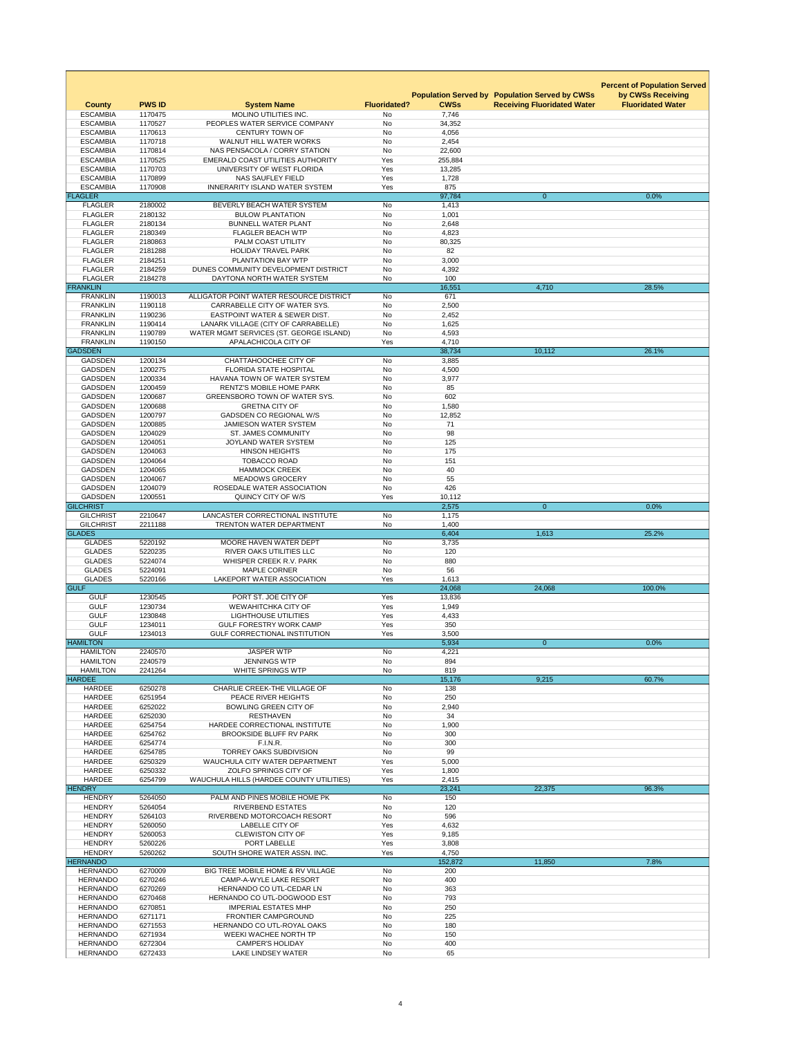|                                      |                    |                                                                        |                        |                   |                                                                                             | <b>Percent of Population Served</b>           |
|--------------------------------------|--------------------|------------------------------------------------------------------------|------------------------|-------------------|---------------------------------------------------------------------------------------------|-----------------------------------------------|
| <b>County</b>                        | <b>PWS ID</b>      | <b>System Name</b>                                                     | <b>Fluoridated?</b>    | <b>CWSs</b>       | <b>Population Served by Population Served by CWSs</b><br><b>Receiving Fluoridated Water</b> | by CWSs Receiving<br><b>Fluoridated Water</b> |
| <b>ESCAMBIA</b>                      | 1170475            | <b>MOLINO UTILITIES INC.</b>                                           | No                     | 7,746             |                                                                                             |                                               |
| <b>ESCAMBIA</b>                      | 1170527            | PEOPLES WATER SERVICE COMPANY                                          | <b>No</b>              | 34,352            |                                                                                             |                                               |
| <b>ESCAMBIA</b>                      | 1170613            | <b>CENTURY TOWN OF</b>                                                 | No                     | 4,056             |                                                                                             |                                               |
| <b>ESCAMBIA</b>                      | 1170718            | <b>WALNUT HILL WATER WORKS</b>                                         | <b>No</b>              | 2,454             |                                                                                             |                                               |
| <b>ESCAMBIA</b>                      | 1170814            | NAS PENSACOLA / CORRY STATION                                          | <b>No</b>              | 22,600            |                                                                                             |                                               |
| <b>ESCAMBIA</b><br><b>ESCAMBIA</b>   | 1170525<br>1170703 | <b>EMERALD COAST UTILITIES AUTHORITY</b><br>UNIVERSITY OF WEST FLORIDA | Yes<br>Yes             | 255,884<br>13,285 |                                                                                             |                                               |
| <b>ESCAMBIA</b>                      | 1170899            | <b>NAS SAUFLEY FIELD</b>                                               | Yes                    | 1,728             |                                                                                             |                                               |
| <b>ESCAMBIA</b>                      | 1170908            | <b>INNERARITY ISLAND WATER SYSTEM</b>                                  | Yes                    | 875               |                                                                                             |                                               |
| <b>FLAGLER</b>                       |                    |                                                                        |                        | 97,784            | $\overline{0}$                                                                              | 0.0%                                          |
| <b>FLAGLER</b>                       | 2180002            | BEVERLY BEACH WATER SYSTEM                                             | <b>No</b>              | 1,413             |                                                                                             |                                               |
| <b>FLAGLER</b>                       | 2180132            | <b>BULOW PLANTATION</b>                                                | No                     | 1,001             |                                                                                             |                                               |
| <b>FLAGLER</b>                       | 2180134            | <b>BUNNELL WATER PLANT</b>                                             | No                     | 2,648             |                                                                                             |                                               |
| <b>FLAGLER</b><br><b>FLAGLER</b>     | 2180349<br>2180863 | <b>FLAGLER BEACH WTP</b><br>PALM COAST UTILITY                         | <b>No</b><br>No        | 4,823             |                                                                                             |                                               |
| <b>FLAGLER</b>                       | 2181288            | <b>HOLIDAY TRAVEL PARK</b>                                             | <b>No</b>              | 80,325<br>82      |                                                                                             |                                               |
| <b>FLAGLER</b>                       | 2184251            | PLANTATION BAY WTP                                                     | No                     | 3,000             |                                                                                             |                                               |
| <b>FLAGLER</b>                       | 2184259            | DUNES COMMUNITY DEVELOPMENT DISTRICT                                   | No                     | 4,392             |                                                                                             |                                               |
| <b>FLAGLER</b>                       | 2184278            | DAYTONA NORTH WATER SYSTEM                                             | No                     | 100               |                                                                                             |                                               |
| <b>FRANKLIN</b>                      |                    |                                                                        |                        | 16,551            | 4,710                                                                                       | 28.5%                                         |
| <b>FRANKLIN</b>                      | 1190013            | ALLIGATOR POINT WATER RESOURCE DISTRICT                                | No                     | 671               |                                                                                             |                                               |
| <b>FRANKLIN</b>                      | 1190118            | CARRABELLE CITY OF WATER SYS.                                          | No                     | 2,500             |                                                                                             |                                               |
| <b>FRANKLIN</b>                      | 1190236            | <b>EASTPOINT WATER &amp; SEWER DIST.</b>                               | No                     | 2,452             |                                                                                             |                                               |
| <b>FRANKLIN</b>                      | 1190414            | LANARK VILLAGE (CITY OF CARRABELLE)                                    | No                     | 1,625             |                                                                                             |                                               |
| <b>FRANKLIN</b><br><b>FRANKLIN</b>   | 1190789<br>1190150 | WATER MGMT SERVICES (ST. GEORGE ISLAND)<br>APALACHICOLA CITY OF        | No<br>Yes              | 4,593<br>4,710    |                                                                                             |                                               |
| <b>GADSDEN</b>                       |                    |                                                                        |                        | 38,734            | 10,112                                                                                      | 26.1%                                         |
| <b>GADSDEN</b>                       | 1200134            | CHATTAHOOCHEE CITY OF                                                  | <b>No</b>              | 3,885             |                                                                                             |                                               |
| <b>GADSDEN</b>                       | 1200275            | <b>FLORIDA STATE HOSPITAL</b>                                          | <b>No</b>              | 4,500             |                                                                                             |                                               |
| <b>GADSDEN</b>                       | 1200334            | HAVANA TOWN OF WATER SYSTEM                                            | No                     | 3,977             |                                                                                             |                                               |
| <b>GADSDEN</b>                       | 1200459            | <b>RENTZ'S MOBILE HOME PARK</b>                                        | <b>No</b>              | 85                |                                                                                             |                                               |
| <b>GADSDEN</b>                       | 1200687            | <b>GREENSBORO TOWN OF WATER SYS.</b>                                   | No                     | 602               |                                                                                             |                                               |
| <b>GADSDEN</b>                       | 1200688            | <b>GRETNA CITY OF</b>                                                  | <b>No</b>              | 1,580             |                                                                                             |                                               |
| <b>GADSDEN</b>                       | 1200797            | <b>GADSDEN CO REGIONAL W/S</b>                                         | <b>No</b>              | 12,852            |                                                                                             |                                               |
| <b>GADSDEN</b><br><b>GADSDEN</b>     | 1200885<br>1204029 | <b>JAMIESON WATER SYSTEM</b><br><b>ST. JAMES COMMUNITY</b>             | <b>No</b><br><b>No</b> | 71<br>98          |                                                                                             |                                               |
| <b>GADSDEN</b>                       | 1204051            | <b>JOYLAND WATER SYSTEM</b>                                            | No                     | 125               |                                                                                             |                                               |
| <b>GADSDEN</b>                       | 1204063            | <b>HINSON HEIGHTS</b>                                                  | <b>No</b>              | 175               |                                                                                             |                                               |
| <b>GADSDEN</b>                       | 1204064            | <b>TOBACCO ROAD</b>                                                    | <b>No</b>              | 151               |                                                                                             |                                               |
| <b>GADSDEN</b>                       | 1204065            | <b>HAMMOCK CREEK</b>                                                   | <b>No</b>              | 40                |                                                                                             |                                               |
| <b>GADSDEN</b>                       | 1204067            | <b>MEADOWS GROCERY</b>                                                 | <b>No</b>              | 55                |                                                                                             |                                               |
| <b>GADSDEN</b>                       | 1204079            | ROSEDALE WATER ASSOCIATION                                             | No                     | 426               |                                                                                             |                                               |
| <b>GADSDEN</b>                       | 1200551            | QUINCY CITY OF W/S                                                     | Yes                    | 10,112            |                                                                                             |                                               |
| <b>GILCHRIST</b><br><b>GILCHRIST</b> | 2210647            | LANCASTER CORRECTIONAL INSTITUTE                                       | No                     | 2,575<br>1,175    | $\Omega$                                                                                    | 0.0%                                          |
| <b>GILCHRIST</b>                     | 2211188            | <b>TRENTON WATER DEPARTMENT</b>                                        | <b>No</b>              | 1,400             |                                                                                             |                                               |
| <b>GLADES</b>                        |                    |                                                                        |                        | 6,404             | 1,613                                                                                       | 25.2%                                         |
| <b>GLADES</b>                        | 5220192            | MOORE HAVEN WATER DEPT                                                 | No                     | 3,735             |                                                                                             |                                               |
| <b>GLADES</b>                        | 5220235            | <b>RIVER OAKS UTILITIES LLC</b>                                        | No                     | 120               |                                                                                             |                                               |
| <b>GLADES</b>                        | 5224074            | WHISPER CREEK R.V. PARK                                                | <b>No</b>              | 880               |                                                                                             |                                               |
| <b>GLADES</b>                        | 5224091            | <b>MAPLE CORNER</b>                                                    | No                     | 56                |                                                                                             |                                               |
| <b>GLADES</b><br><b>GULF</b>         | 5220166            | <b>LAKEPORT WATER ASSOCIATION</b>                                      | Yes                    | 1,613<br>24,068   |                                                                                             |                                               |
| <b>GULF</b>                          | 1230545            | PORT ST. JOE CITY OF                                                   | Yes                    | 13,836            | 24,068                                                                                      | 100.0%                                        |
| <b>GULF</b>                          | 1230734            | <b>WEWAHITCHKA CITY OF</b>                                             | Yes                    | 1,949             |                                                                                             |                                               |
| <b>GULF</b>                          | 1230848            | <b>LIGHTHOUSE UTILITIES</b>                                            | Yes                    | 4,433             |                                                                                             |                                               |
| <b>GULF</b>                          | 1234011            | <b>GULF FORESTRY WORK CAMP</b>                                         | Yes                    | 350               |                                                                                             |                                               |
| <b>GULF</b>                          | 1234013            | <b>GULF CORRECTIONAL INSTITUTION</b>                                   | Yes                    | 3,500             |                                                                                             |                                               |
| <b>HAMILTON</b>                      |                    |                                                                        |                        | 5,934             | $\overline{0}$                                                                              | 0.0%                                          |
| <b>HAMILTON</b>                      | 2240570            | <b>JASPER WTP</b>                                                      | No                     | 4,221             |                                                                                             |                                               |
| <b>HAMILTON</b>                      | 2240579            | <b>JENNINGS WTP</b>                                                    | No                     | 894               |                                                                                             |                                               |
| <b>HAMILTON</b><br><b>HARDEE</b>     | 2241264            | <b>WHITE SPRINGS WTP</b>                                               | No                     | 819               |                                                                                             |                                               |
| <b>HARDEE</b>                        | 6250278            | CHARLIE CREEK-THE VILLAGE OF                                           | <b>No</b>              | 15,176<br>138     | 9,215                                                                                       | 60.7%                                         |
| <b>HARDEE</b>                        | 6251954            | PEACE RIVER HEIGHTS                                                    | No                     | 250               |                                                                                             |                                               |
| <b>HARDEE</b>                        | 6252022            | <b>BOWLING GREEN CITY OF</b>                                           | <b>No</b>              | 2,940             |                                                                                             |                                               |
| <b>HARDEE</b>                        | 6252030            | <b>RESTHAVEN</b>                                                       | <b>No</b>              | 34                |                                                                                             |                                               |
| <b>HARDEE</b>                        | 6254754            | HARDEE CORRECTIONAL INSTITUTE                                          | <b>No</b>              | 1,900             |                                                                                             |                                               |
| <b>HARDEE</b>                        | 6254762            | <b>BROOKSIDE BLUFF RV PARK</b>                                         | No                     | 300               |                                                                                             |                                               |
| <b>HARDEE</b>                        | 6254774            | F.I.N.R.                                                               | <b>No</b>              | 300               |                                                                                             |                                               |
| <b>HARDEE</b>                        | 6254785            | <b>TORREY OAKS SUBDIVISION</b><br>WAUCHULA CITY WATER DEPARTMENT       | <b>No</b>              | 99                |                                                                                             |                                               |
| <b>HARDEE</b><br><b>HARDEE</b>       | 6250329<br>6250332 | ZOLFO SPRINGS CITY OF                                                  | Yes<br>Yes             | 5,000<br>1,800    |                                                                                             |                                               |
| <b>HARDEE</b>                        | 6254799            | WAUCHULA HILLS (HARDEE COUNTY UTILITIES)                               | Yes                    | 2,415             |                                                                                             |                                               |
| <b>HENDRY</b>                        |                    |                                                                        |                        | 23,241            | 22,375                                                                                      | 96.3%                                         |
| <b>HENDRY</b>                        | 5264050            | PALM AND PINES MOBILE HOME PK                                          | No                     | 150               |                                                                                             |                                               |
| <b>HENDRY</b>                        | 5264054            | <b>RIVERBEND ESTATES</b>                                               | <b>No</b>              | 120               |                                                                                             |                                               |
| <b>HENDRY</b>                        | 5264103            | RIVERBEND MOTORCOACH RESORT                                            | No                     | 596               |                                                                                             |                                               |
| <b>HENDRY</b><br><b>HENDRY</b>       | 5260050<br>5260053 | <b>LABELLE CITY OF</b><br><b>CLEWISTON CITY OF</b>                     | Yes<br>Yes             | 4,632<br>9,185    |                                                                                             |                                               |
| <b>HENDRY</b>                        | 5260226            | PORT LABELLE                                                           | Yes                    | 3,808             |                                                                                             |                                               |
| <b>HENDRY</b>                        | 5260262            | SOUTH SHORE WATER ASSN. INC.                                           | Yes                    | 4,750             |                                                                                             |                                               |
| <b>HERNANDO</b>                      |                    |                                                                        |                        | 152,872           | 11,850                                                                                      | 7.8%                                          |
| <b>HERNANDO</b>                      | 6270009            | BIG TREE MOBILE HOME & RV VILLAGE                                      | No                     | 200               |                                                                                             |                                               |
| <b>HERNANDO</b>                      | 6270246            | <b>CAMP-A-WYLE LAKE RESORT</b>                                         | No                     | 400               |                                                                                             |                                               |
| <b>HERNANDO</b>                      | 6270269            | HERNANDO CO UTL-CEDAR LN                                               | <b>No</b>              | 363               |                                                                                             |                                               |
| <b>HERNANDO</b>                      | 6270468            | HERNANDO CO UTL-DOGWOOD EST                                            | No                     | 793               |                                                                                             |                                               |
| <b>HERNANDO</b><br><b>HERNANDO</b>   | 6270851<br>6271171 | <b>IMPERIAL ESTATES MHP</b><br>FRONTIER CAMPGROUND                     | No<br><b>No</b>        | 250<br>225        |                                                                                             |                                               |
| <b>HERNANDO</b>                      | 6271553            | HERNANDO CO UTL-ROYAL OAKS                                             | No                     | 180               |                                                                                             |                                               |
| <b>HERNANDO</b>                      | 6271934            | <b>WEEKI WACHEE NORTH TP</b>                                           | No                     | 150               |                                                                                             |                                               |
| <b>HERNANDO</b>                      | 6272304            | <b>CAMPER'S HOLIDAY</b>                                                | No                     | 400               |                                                                                             |                                               |
| <b>HERNANDO</b>                      | 6272433            | LAKE LINDSEY WATER                                                     | No                     | 65                |                                                                                             |                                               |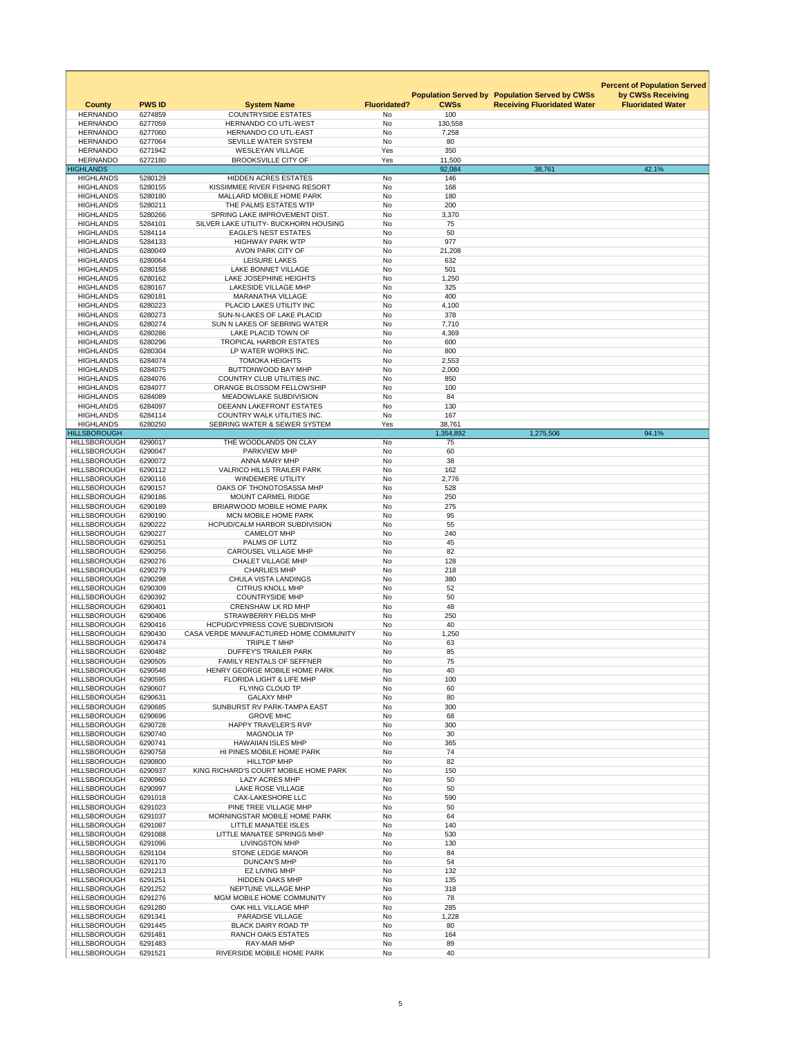|                                            |                    |                                                                                 |                     |                                            |                                                                        | <b>Percent of Population Served</b>           |
|--------------------------------------------|--------------------|---------------------------------------------------------------------------------|---------------------|--------------------------------------------|------------------------------------------------------------------------|-----------------------------------------------|
| <b>County</b>                              | <b>PWS ID</b>      | <b>System Name</b>                                                              | <b>Fluoridated?</b> | <b>Population Served by</b><br><b>CWSs</b> | <b>Population Served by CWSs</b><br><b>Receiving Fluoridated Water</b> | by CWSs Receiving<br><b>Fluoridated Water</b> |
| <b>HERNANDO</b>                            | 6274859            | <b>COUNTRYSIDE ESTATES</b>                                                      | No                  | 100                                        |                                                                        |                                               |
| <b>HERNANDO</b>                            | 6277059            | HERNANDO CO UTL-WEST                                                            | <b>No</b>           | 130,558                                    |                                                                        |                                               |
| <b>HERNANDO</b><br><b>HERNANDO</b>         | 6277060<br>6277064 | HERNANDO CO UTL-EAST<br>SEVILLE WATER SYSTEM                                    | No<br><b>No</b>     | 7,258<br>80                                |                                                                        |                                               |
| <b>HERNANDO</b>                            | 6271942            | <b>WESLEYAN VILLAGE</b>                                                         | Yes                 | 350                                        |                                                                        |                                               |
| <b>HERNANDO</b>                            | 6272180            | <b>BROOKSVILLE CITY OF</b>                                                      | Yes                 | 11,500                                     |                                                                        |                                               |
| <b>HIGHLANDS</b><br><b>HIGHLANDS</b>       | 5280129            | <b>HIDDEN ACRES ESTATES</b>                                                     | <b>No</b>           | 92,084<br>146                              | 38,761                                                                 | 42.1%                                         |
| <b>HIGHLANDS</b>                           | 5280155            | KISSIMMEE RIVER FISHING RESORT                                                  | <b>No</b>           | 168                                        |                                                                        |                                               |
| <b>HIGHLANDS</b>                           | 5280180            | MALLARD MOBILE HOME PARK                                                        | No                  | 180                                        |                                                                        |                                               |
| <b>HIGHLANDS</b><br><b>HIGHLANDS</b>       | 5280211<br>5280266 | THE PALMS ESTATES WTP<br>SPRING LAKE IMPROVEMENT DIST.                          | No<br><b>No</b>     | 200<br>3,370                               |                                                                        |                                               |
| <b>HIGHLANDS</b>                           | 5284101            | SILVER LAKE UTILITY- BUCKHORN HOUSING                                           | No                  | 75                                         |                                                                        |                                               |
| <b>HIGHLANDS</b>                           | 5284114            | <b>EAGLE'S NEST ESTATES</b>                                                     | <b>No</b>           | 50                                         |                                                                        |                                               |
| <b>HIGHLANDS</b><br><b>HIGHLANDS</b>       | 5284133<br>6280049 | <b>HIGHWAY PARK WTP</b><br><b>AVON PARK CITY OF</b>                             | No<br><b>No</b>     | 977<br>21,208                              |                                                                        |                                               |
| <b>HIGHLANDS</b>                           | 6280064            | <b>LEISURE LAKES</b>                                                            | No                  | 632                                        |                                                                        |                                               |
| <b>HIGHLANDS</b>                           | 6280158            | <b>LAKE BONNET VILLAGE</b>                                                      | No                  | 501                                        |                                                                        |                                               |
| <b>HIGHLANDS</b><br><b>HIGHLANDS</b>       | 6280162<br>6280167 | LAKE JOSEPHINE HEIGHTS<br><b>LAKESIDE VILLAGE MHP</b>                           | <b>No</b><br>No     | 1,250<br>325                               |                                                                        |                                               |
| <b>HIGHLANDS</b>                           | 6280181            | <b>MARANATHA VILLAGE</b>                                                        | <b>No</b>           | 400                                        |                                                                        |                                               |
| <b>HIGHLANDS</b>                           | 6280223            | PLACID LAKES UTILITY INC                                                        | No                  | 4,100                                      |                                                                        |                                               |
| <b>HIGHLANDS</b>                           | 6280273            | SUN-N-LAKES OF LAKE PLACID                                                      | No                  | 378                                        |                                                                        |                                               |
| <b>HIGHLANDS</b><br><b>HIGHLANDS</b>       | 6280274<br>6280286 | SUN N LAKES OF SEBRING WATER<br>LAKE PLACID TOWN OF                             | <b>No</b><br>No     | 7,710<br>4,369                             |                                                                        |                                               |
| <b>HIGHLANDS</b>                           | 6280296            | <b>TROPICAL HARBOR ESTATES</b>                                                  | <b>No</b>           | 600                                        |                                                                        |                                               |
| <b>HIGHLANDS</b>                           | 6280304            | LP WATER WORKS INC.                                                             | No                  | 800                                        |                                                                        |                                               |
| <b>HIGHLANDS</b><br><b>HIGHLANDS</b>       | 6284074<br>6284075 | <b>TOMOKA HEIGHTS</b><br><b>BUTTONWOOD BAY MHP</b>                              | No.<br>No           | 2,553<br>2,000                             |                                                                        |                                               |
| <b>HIGHLANDS</b>                           | 6284076            | <b>COUNTRY CLUB UTILITIES INC.</b>                                              | No                  | 850                                        |                                                                        |                                               |
| <b>HIGHLANDS</b>                           | 6284077            | <b>ORANGE BLOSSOM FELLOWSHIP</b>                                                | No                  | 100                                        |                                                                        |                                               |
| <b>HIGHLANDS</b>                           | 6284089            | <b>MEADOWLAKE SUBDIVISION</b>                                                   | No.                 | 84                                         |                                                                        |                                               |
| <b>HIGHLANDS</b><br><b>HIGHLANDS</b>       | 6284097<br>6284114 | <b>DEEANN LAKEFRONT ESTATES</b><br><b>COUNTRY WALK UTILITIES INC.</b>           | No<br>No            | 130<br>167                                 |                                                                        |                                               |
| <b>HIGHLANDS</b>                           | 6280250            | SEBRING WATER & SEWER SYSTEM                                                    | Yes                 | 38,761                                     |                                                                        |                                               |
| <b>HILLSBOROUGH</b>                        |                    | THE WOODLANDS ON CLAY                                                           |                     | 1,354,892<br>75                            | 1,275,506                                                              | 94.1%                                         |
| <b>HILLSBOROUGH</b><br><b>HILLSBOROUGH</b> | 6290017<br>6290047 | <b>PARKVIEW MHP</b>                                                             | No<br>No            | 60                                         |                                                                        |                                               |
| <b>HILLSBOROUGH</b>                        | 6290072            | ANNA MARY MHP                                                                   | No                  | 38                                         |                                                                        |                                               |
| <b>HILLSBOROUGH</b>                        | 6290112            | <b>VALRICO HILLS TRAILER PARK</b>                                               | No                  | 162                                        |                                                                        |                                               |
| <b>HILLSBOROUGH</b><br><b>HILLSBOROUGH</b> | 6290116<br>6290157 | <b>WINDEMERE UTILITY</b><br>OAKS OF THONOTOSASSA MHP                            | No<br>No            | 2,776<br>528                               |                                                                        |                                               |
| <b>HILLSBOROUGH</b>                        | 6290186            | <b>MOUNT CARMEL RIDGE</b>                                                       | No                  | 250                                        |                                                                        |                                               |
| <b>HILLSBOROUGH</b>                        | 6290189            | <b>BRIARWOOD MOBILE HOME PARK</b>                                               | No                  | 275                                        |                                                                        |                                               |
| <b>HILLSBOROUGH</b><br><b>HILLSBOROUGH</b> | 6290190<br>6290222 | <b>MCN MOBILE HOME PARK</b><br><b>HCPUD/CALM HARBOR SUBDIVISION</b>             | No<br>No            | 95<br>55                                   |                                                                        |                                               |
| <b>HILLSBOROUGH</b>                        | 6290227            | <b>CAMELOT MHP</b>                                                              | No                  | 240                                        |                                                                        |                                               |
| <b>HILLSBOROUGH</b>                        | 6290251            | PALMS OF LUTZ                                                                   | No                  | 45                                         |                                                                        |                                               |
| <b>HILLSBOROUGH</b><br><b>HILLSBOROUGH</b> | 6290256<br>6290276 | <b>CAROUSEL VILLAGE MHP</b><br><b>CHALET VILLAGE MHP</b>                        | No<br>No            | 82<br>128                                  |                                                                        |                                               |
| <b>HILLSBOROUGH</b>                        | 6290279            | <b>CHARLIES MHP</b>                                                             | No                  | 218                                        |                                                                        |                                               |
| <b>HILLSBOROUGH</b>                        | 6290298            | <b>CHULA VISTA LANDINGS</b>                                                     | No                  | 380                                        |                                                                        |                                               |
| <b>HILLSBOROUGH</b><br><b>HILLSBOROUGH</b> | 6290309<br>6290392 | <b>CITRUS KNOLL MHP</b><br><b>COUNTRYSIDE MHP</b>                               | No<br>No            | 52<br>50                                   |                                                                        |                                               |
| <b>HILLSBOROUGH</b>                        | 6290401            | <b>CRENSHAW LK RD MHP</b>                                                       | No                  | 48                                         |                                                                        |                                               |
| <b>HILLSBOROUGH</b>                        | 6290406            | <b>STRAWBERRY FIELDS MHP</b>                                                    | No.                 | 250                                        |                                                                        |                                               |
| <b>HILLSBOROUGH</b><br><b>HILLSBOROUGH</b> | 6290416<br>6290430 | <b>HCPUD/CYPRESS COVE SUBDIVISION</b><br>CASA VERDE MANUFACTURED HOME COMMUNITY | No<br>No            | 40<br>1,250                                |                                                                        |                                               |
| <b>HILLSBOROUGH</b>                        | 6290474            | TRIPLE T MHP                                                                    | No                  | 63                                         |                                                                        |                                               |
| <b>HILLSBOROUGH</b>                        | 6290482            | <b>DUFFEY'S TRAILER PARK</b>                                                    | No                  | 85                                         |                                                                        |                                               |
| <b>HILLSBOROUGH</b><br><b>HILLSBOROUGH</b> | 6290505<br>6290548 | <b>FAMILY RENTALS OF SEFFNER</b><br>HENRY GEORGE MOBILE HOME PARK               | No<br><b>No</b>     | 75<br>40                                   |                                                                        |                                               |
| <b>HILLSBOROUGH</b>                        | 6290595            | <b>FLORIDA LIGHT &amp; LIFE MHP</b>                                             | No                  | 100                                        |                                                                        |                                               |
| <b>HILLSBOROUGH</b>                        | 6290607            | FLYING CLOUD TP                                                                 | No                  | 60                                         |                                                                        |                                               |
| <b>HILLSBOROUGH</b><br><b>HILLSBOROUGH</b> | 6290631<br>6290685 | <b>GALAXY MHP</b><br>SUNBURST RV PARK-TAMPA EAST                                | No<br>No            | 80<br>300                                  |                                                                        |                                               |
| <b>HILLSBOROUGH</b>                        | 6290696            | <b>GROVE MHC</b>                                                                | <b>No</b>           | 68                                         |                                                                        |                                               |
| <b>HILLSBOROUGH</b>                        | 6290728            | <b>HAPPY TRAVELER'S RVP</b>                                                     | No                  | 300                                        |                                                                        |                                               |
| <b>HILLSBOROUGH</b><br><b>HILLSBOROUGH</b> | 6290740<br>6290741 | <b>MAGNOLIA TP</b><br><b>HAWAIIAN ISLES MHP</b>                                 | <b>No</b><br>No     | 30<br>365                                  |                                                                        |                                               |
| <b>HILLSBOROUGH</b>                        | 6290758            | HI PINES MOBILE HOME PARK                                                       | No                  | 74                                         |                                                                        |                                               |
| <b>HILLSBOROUGH</b>                        | 6290800            | <b>HILLTOP MHP</b>                                                              | No                  | 82                                         |                                                                        |                                               |
| <b>HILLSBOROUGH</b><br><b>HILLSBOROUGH</b> | 6290937<br>6290960 | KING RICHARD'S COURT MOBILE HOME PARK<br><b>LAZY ACRES MHP</b>                  | No<br><b>No</b>     | 150<br>50                                  |                                                                        |                                               |
| <b>HILLSBOROUGH</b>                        | 6290997            | <b>LAKE ROSE VILLAGE</b>                                                        | No                  | 50                                         |                                                                        |                                               |
| <b>HILLSBOROUGH</b>                        | 6291018            | <b>CAX-LAKESHORE LLC</b>                                                        | <b>No</b>           | 590                                        |                                                                        |                                               |
| <b>HILLSBOROUGH</b><br><b>HILLSBOROUGH</b> | 6291023<br>6291037 | PINE TREE VILLAGE MHP<br>MORNINGSTAR MOBILE HOME PARK                           | No<br>No            | 50<br>64                                   |                                                                        |                                               |
| <b>HILLSBOROUGH</b>                        | 6291087            | LITTLE MANATEE ISLES                                                            | No                  | 140                                        |                                                                        |                                               |
| <b>HILLSBOROUGH</b>                        | 6291088            | LITTLE MANATEE SPRINGS MHP                                                      | No                  | 530                                        |                                                                        |                                               |
| <b>HILLSBOROUGH</b><br><b>HILLSBOROUGH</b> | 6291096<br>6291104 | <b>LIVINGSTON MHP</b><br><b>STONE LEDGE MANOR</b>                               | No<br>No            | 130<br>84                                  |                                                                        |                                               |
| <b>HILLSBOROUGH</b>                        | 6291170            | <b>DUNCAN'S MHP</b>                                                             | No                  | 54                                         |                                                                        |                                               |
| <b>HILLSBOROUGH</b>                        | 6291213            | <b>EZ LIVING MHP</b>                                                            | No                  | 132                                        |                                                                        |                                               |
| <b>HILLSBOROUGH</b>                        | 6291251            | <b>HIDDEN OAKS MHP</b>                                                          | No                  | 135                                        |                                                                        |                                               |
| <b>HILLSBOROUGH</b><br><b>HILLSBOROUGH</b> | 6291252<br>6291276 | NEPTUNE VILLAGE MHP<br>MGM MOBILE HOME COMMUNITY                                | <b>No</b><br>No     | 318<br>78                                  |                                                                        |                                               |
| <b>HILLSBOROUGH</b>                        | 6291280            | OAK HILL VILLAGE MHP                                                            | <b>No</b>           | 285                                        |                                                                        |                                               |
| <b>HILLSBOROUGH</b>                        | 6291341            | PARADISE VILLAGE                                                                | No                  | 1,228                                      |                                                                        |                                               |
| <b>HILLSBOROUGH</b><br><b>HILLSBOROUGH</b> | 6291445<br>6291481 | <b>BLACK DAIRY ROAD TP</b><br><b>RANCH OAKS ESTATES</b>                         | No<br>No            | 80<br>164                                  |                                                                        |                                               |
| <b>HILLSBOROUGH</b>                        | 6291483            | <b>RAY-MAR MHP</b>                                                              | No                  | 89                                         |                                                                        |                                               |
| <b>HILLSBOROUGH</b>                        | 6291521            | RIVERSIDE MOBILE HOME PARK                                                      | No                  | 40                                         |                                                                        |                                               |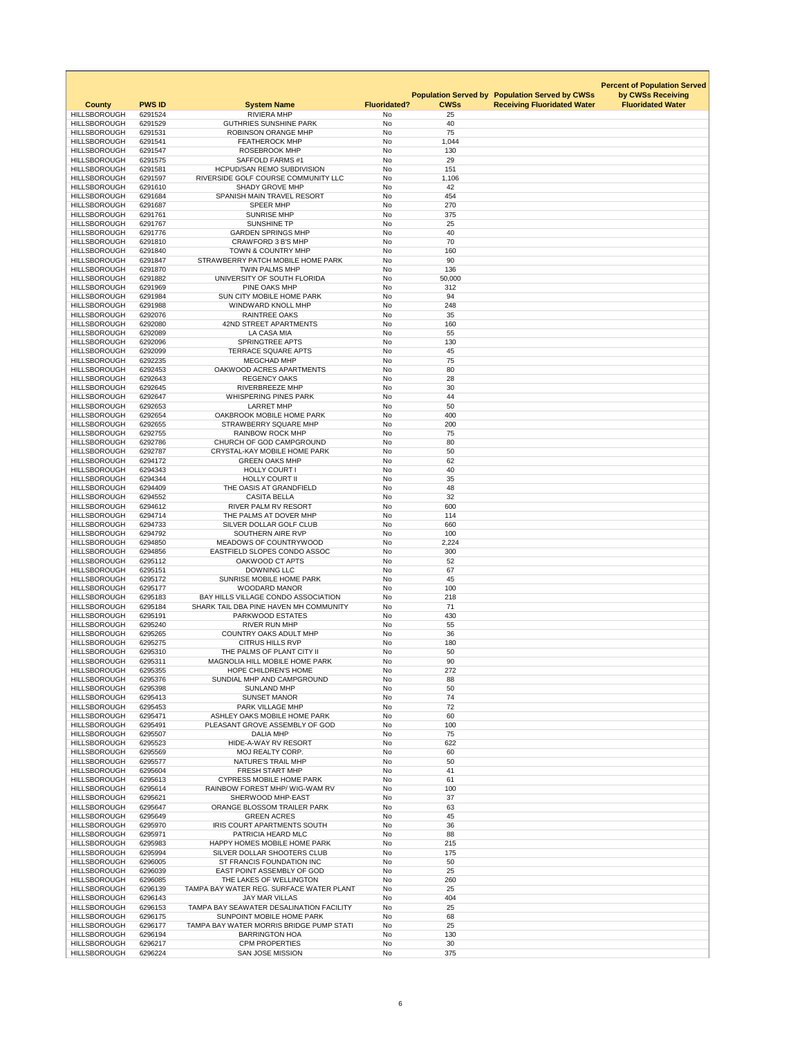|                                            |                          |                                                                   |                           |                   |                                                       | <b>Percent of Population Served</b> |
|--------------------------------------------|--------------------------|-------------------------------------------------------------------|---------------------------|-------------------|-------------------------------------------------------|-------------------------------------|
|                                            |                          |                                                                   |                           |                   | <b>Population Served by Population Served by CWSs</b> | by CWSs Receiving                   |
| <b>County</b><br><b>HILLSBOROUGH</b>       | <b>PWS ID</b><br>6291524 | <b>System Name</b><br><b>RIVIERA MHP</b>                          | <b>Fluoridated?</b><br>No | <b>CWSs</b><br>25 | <b>Receiving Fluoridated Water</b>                    | <b>Fluoridated Water</b>            |
| <b>HILLSBOROUGH</b>                        | 6291529                  | <b>GUTHRIES SUNSHINE PARK</b>                                     | <b>No</b>                 | 40                |                                                       |                                     |
| <b>HILLSBOROUGH</b>                        | 6291531                  | <b>ROBINSON ORANGE MHP</b>                                        | No                        | 75                |                                                       |                                     |
| <b>HILLSBOROUGH</b>                        | 6291541<br>6291547       | <b>FEATHEROCK MHP</b>                                             | No                        | 1,044             |                                                       |                                     |
| <b>HILLSBOROUGH</b><br><b>HILLSBOROUGH</b> | 6291575                  | <b>ROSEBROOK MHP</b><br><b>SAFFOLD FARMS #1</b>                   | <b>No</b><br><b>No</b>    | 130<br>29         |                                                       |                                     |
| <b>HILLSBOROUGH</b>                        | 6291581                  | <b>HCPUD/SAN REMO SUBDIVISION</b>                                 | <b>No</b>                 | 151               |                                                       |                                     |
| <b>HILLSBOROUGH</b>                        | 6291597                  | RIVERSIDE GOLF COURSE COMMUNITY LLC                               | No                        | 1,106             |                                                       |                                     |
| <b>HILLSBOROUGH</b><br><b>HILLSBOROUGH</b> | 6291610<br>6291684       | <b>SHADY GROVE MHP</b><br>SPANISH MAIN TRAVEL RESORT              | No<br><b>No</b>           | 42<br>454         |                                                       |                                     |
| <b>HILLSBOROUGH</b>                        | 6291687                  | <b>SPEER MHP</b>                                                  | No                        | 270               |                                                       |                                     |
| <b>HILLSBOROUGH</b>                        | 6291761                  | <b>SUNRISE MHP</b>                                                | <b>No</b>                 | 375               |                                                       |                                     |
| <b>HILLSBOROUGH</b>                        | 6291767                  | <b>SUNSHINE TP</b>                                                | <b>No</b>                 | 25                |                                                       |                                     |
| <b>HILLSBOROUGH</b><br><b>HILLSBOROUGH</b> | 6291776<br>6291810       | <b>GARDEN SPRINGS MHP</b><br><b>CRAWFORD 3 B'S MHP</b>            | No<br><b>No</b>           | 40<br>70          |                                                       |                                     |
| <b>HILLSBOROUGH</b>                        | 6291840                  | <b>TOWN &amp; COUNTRY MHP</b>                                     | <b>No</b>                 | 160               |                                                       |                                     |
| <b>HILLSBOROUGH</b>                        | 6291847                  | STRAWBERRY PATCH MOBILE HOME PARK                                 | <b>No</b>                 | 90                |                                                       |                                     |
| <b>HILLSBOROUGH</b><br><b>HILLSBOROUGH</b> | 6291870<br>6291882       | <b>TWIN PALMS MHP</b><br>UNIVERSITY OF SOUTH FLORIDA              | No<br>No                  | 136<br>50,000     |                                                       |                                     |
| <b>HILLSBOROUGH</b>                        | 6291969                  | PINE OAKS MHP                                                     | <b>No</b>                 | 312               |                                                       |                                     |
| <b>HILLSBOROUGH</b>                        | 6291984                  | <b>SUN CITY MOBILE HOME PARK</b>                                  | No                        | 94                |                                                       |                                     |
| <b>HILLSBOROUGH</b>                        | 6291988                  | WINDWARD KNOLL MHP                                                | <b>No</b>                 | 248               |                                                       |                                     |
| <b>HILLSBOROUGH</b><br><b>HILLSBOROUGH</b> | 6292076<br>6292080       | <b>RAINTREE OAKS</b><br><b>42ND STREET APARTMENTS</b>             | No<br><b>No</b>           | 35<br>160         |                                                       |                                     |
| <b>HILLSBOROUGH</b>                        | 6292089                  | <b>LA CASA MIA</b>                                                | <b>No</b>                 | 55                |                                                       |                                     |
| <b>HILLSBOROUGH</b>                        | 6292096                  | <b>SPRINGTREE APTS</b>                                            | No                        | 130               |                                                       |                                     |
| HILLSBOROUGH                               | 6292099                  | TERRACE SQUARE APTS                                               | No                        | 45                |                                                       |                                     |
| <b>HILLSBOROUGH</b><br><b>HILLSBOROUGH</b> | 6292235<br>6292453       | <b>MEGCHAD MHP</b><br>OAKWOOD ACRES APARTMENTS                    | No<br>No                  | 75<br>80          |                                                       |                                     |
| <b>HILLSBOROUGH</b>                        | 6292643                  | <b>REGENCY OAKS</b>                                               | No                        | 28                |                                                       |                                     |
| <b>HILLSBOROUGH</b>                        | 6292645                  | <b>RIVERBREEZE MHP</b>                                            | <b>No</b>                 | 30                |                                                       |                                     |
| <b>HILLSBOROUGH</b><br><b>HILLSBOROUGH</b> | 6292647<br>6292653       | <b>WHISPERING PINES PARK</b><br><b>LARRET MHP</b>                 | No<br>No                  | 44<br>50          |                                                       |                                     |
| <b>HILLSBOROUGH</b>                        | 6292654                  | OAKBROOK MOBILE HOME PARK                                         | No                        | 400               |                                                       |                                     |
| <b>HILLSBOROUGH</b>                        | 6292655                  | <b>STRAWBERRY SQUARE MHP</b>                                      | No                        | 200               |                                                       |                                     |
| <b>HILLSBOROUGH</b>                        | 6292755                  | <b>RAINBOW ROCK MHP</b>                                           | No                        | 75                |                                                       |                                     |
| <b>HILLSBOROUGH</b><br><b>HILLSBOROUGH</b> | 6292786<br>6292787       | CHURCH OF GOD CAMPGROUND<br><b>CRYSTAL-KAY MOBILE HOME PARK</b>   | No<br>No                  | 80<br>50          |                                                       |                                     |
| <b>HILLSBOROUGH</b>                        | 6294172                  | <b>GREEN OAKS MHP</b>                                             | No                        | 62                |                                                       |                                     |
| <b>HILLSBOROUGH</b>                        | 6294343                  | <b>HOLLY COURT I</b>                                              | No                        | 40                |                                                       |                                     |
| <b>HILLSBOROUGH</b><br><b>HILLSBOROUGH</b> | 6294344                  | <b>HOLLY COURT II</b><br>THE OASIS AT GRANDFIELD                  | <b>No</b>                 | 35                |                                                       |                                     |
| <b>HILLSBOROUGH</b>                        | 6294409<br>6294552       | <b>CASITA BELLA</b>                                               | No<br>No                  | 48<br>32          |                                                       |                                     |
| <b>HILLSBOROUGH</b>                        | 6294612                  | <b>RIVER PALM RV RESORT</b>                                       | No                        | 600               |                                                       |                                     |
| <b>HILLSBOROUGH</b>                        | 6294714                  | THE PALMS AT DOVER MHP                                            | No                        | 114               |                                                       |                                     |
| <b>HILLSBOROUGH</b><br><b>HILLSBOROUGH</b> | 6294733<br>6294792       | SILVER DOLLAR GOLF CLUB<br>SOUTHERN AIRE RVP                      | <b>No</b><br>No           | 660<br>100        |                                                       |                                     |
| <b>HILLSBOROUGH</b>                        | 6294850                  | MEADOWS OF COUNTRYWOOD                                            | No                        | 2,224             |                                                       |                                     |
| <b>HILLSBOROUGH</b>                        | 6294856                  | EASTFIELD SLOPES CONDO ASSOC                                      | No                        | 300               |                                                       |                                     |
| <b>HILLSBOROUGH</b><br><b>HILLSBOROUGH</b> | 6295112<br>6295151       | OAKWOOD CT APTS<br><b>DOWNING LLC</b>                             | No<br>No                  | 52<br>67          |                                                       |                                     |
| <b>HILLSBOROUGH</b>                        | 6295172                  | <b>SUNRISE MOBILE HOME PARK</b>                                   | No                        | 45                |                                                       |                                     |
| <b>HILLSBOROUGH</b>                        | 6295177                  | <b>WOODARD MANOR</b>                                              | <b>No</b>                 | 100               |                                                       |                                     |
| <b>HILLSBOROUGH</b>                        | 6295183                  | BAY HILLS VILLAGE CONDO ASSOCIATION                               | No                        | 218               |                                                       |                                     |
| <b>HILLSBOROUGH</b><br><b>HILLSBOROUGH</b> | 6295184<br>6295191       | SHARK TAIL DBA PINE HAVEN MH COMMUNITY<br><b>PARKWOOD ESTATES</b> | No<br>No                  | 71<br>430         |                                                       |                                     |
| <b>HILLSBOROUGH</b>                        | 6295240                  | <b>RIVER RUN MHP</b>                                              | No                        | 55                |                                                       |                                     |
| <b>HILLSBOROUGH</b>                        | 6295265                  | <b>COUNTRY OAKS ADULT MHP</b>                                     | No                        | 36                |                                                       |                                     |
| <b>HILLSBOROUGH</b><br><b>HILLSBOROUGH</b> | 6295275<br>6295310       | <b>CITRUS HILLS RVP</b><br>THE PALMS OF PLANT CITY II             | No.<br>No                 | 180<br>50         |                                                       |                                     |
| <b>HILLSBOROUGH</b>                        | 6295311                  | <b>MAGNOLIA HILL MOBILE HOME PARK</b>                             | No                        | 90                |                                                       |                                     |
| <b>HILLSBOROUGH</b>                        | 6295355                  | <b>HOPE CHILDREN'S HOME</b>                                       | No                        | 272               |                                                       |                                     |
| <b>HILLSBOROUGH</b>                        | 6295376                  | SUNDIAL MHP AND CAMPGROUND                                        | No                        | 88                |                                                       |                                     |
| <b>HILLSBOROUGH</b><br><b>HILLSBOROUGH</b> | 6295398<br>6295413       | <b>SUNLAND MHP</b><br><b>SUNSET MANOR</b>                         | No<br>No                  | 50<br>74          |                                                       |                                     |
| <b>HILLSBOROUGH</b>                        | 6295453                  | PARK VILLAGE MHP                                                  | No                        | 72                |                                                       |                                     |
| <b>HILLSBOROUGH</b>                        | 6295471                  | ASHLEY OAKS MOBILE HOME PARK                                      | <b>No</b>                 | 60                |                                                       |                                     |
| <b>HILLSBOROUGH</b><br><b>HILLSBOROUGH</b> | 6295491<br>6295507       | PLEASANT GROVE ASSEMBLY OF GOD<br><b>DALIA MHP</b>                | No<br>No                  | 100<br>75         |                                                       |                                     |
| <b>HILLSBOROUGH</b>                        | 6295523                  | HIDE-A-WAY RV RESORT                                              | No                        | 622               |                                                       |                                     |
| <b>HILLSBOROUGH</b>                        | 6295569                  | <b>MOJ REALTY CORP.</b>                                           | No                        | 60                |                                                       |                                     |
| <b>HILLSBOROUGH</b>                        | 6295577                  | <b>NATURE'S TRAIL MHP</b>                                         | No                        | 50                |                                                       |                                     |
| <b>HILLSBOROUGH</b><br><b>HILLSBOROUGH</b> | 6295604<br>6295613       | <b>FRESH START MHP</b><br><b>CYPRESS MOBILE HOME PARK</b>         | No<br>No                  | 41<br>61          |                                                       |                                     |
| <b>HILLSBOROUGH</b>                        | 6295614                  | <b>RAINBOW FOREST MHP/ WIG-WAM RV</b>                             | No                        | 100               |                                                       |                                     |
| <b>HILLSBOROUGH</b>                        | 6295621                  | SHERWOOD MHP-EAST                                                 | No                        | 37                |                                                       |                                     |
| <b>HILLSBOROUGH</b><br><b>HILLSBOROUGH</b> | 6295647<br>6295649       | ORANGE BLOSSOM TRAILER PARK<br><b>GREEN ACRES</b>                 | <b>No</b><br>No           | 63<br>45          |                                                       |                                     |
| <b>HILLSBOROUGH</b>                        | 6295970                  | <b>IRIS COURT APARTMENTS SOUTH</b>                                | No                        | 36                |                                                       |                                     |
| <b>HILLSBOROUGH</b>                        | 6295971                  | PATRICIA HEARD MLC                                                | No                        | 88                |                                                       |                                     |
| <b>HILLSBOROUGH</b>                        | 6295983                  | <b>HAPPY HOMES MOBILE HOME PARK</b>                               | No                        | 215               |                                                       |                                     |
| <b>HILLSBOROUGH</b><br><b>HILLSBOROUGH</b> | 6295994<br>6296005       | SILVER DOLLAR SHOOTERS CLUB<br>ST FRANCIS FOUNDATION INC          | No<br>No                  | 175<br>50         |                                                       |                                     |
| <b>HILLSBOROUGH</b>                        | 6296039                  | EAST POINT ASSEMBLY OF GOD                                        | No                        | 25                |                                                       |                                     |
| <b>HILLSBOROUGH</b>                        | 6296085                  | THE LAKES OF WELLINGTON                                           | No                        | 260               |                                                       |                                     |
| <b>HILLSBOROUGH</b><br><b>HILLSBOROUGH</b> | 6296139<br>6296143       | TAMPA BAY WATER REG. SURFACE WATER PLANT<br><b>JAY MAR VILLAS</b> | No<br>No                  | 25<br>404         |                                                       |                                     |
| <b>HILLSBOROUGH</b>                        | 6296153                  | TAMPA BAY SEAWATER DESALINATION FACILITY                          | No                        | 25                |                                                       |                                     |
| <b>HILLSBOROUGH</b>                        | 6296175                  | <b>SUNPOINT MOBILE HOME PARK</b>                                  | No                        | 68                |                                                       |                                     |
| <b>HILLSBOROUGH</b><br><b>HILLSBOROUGH</b> | 6296177<br>6296194       | TAMPA BAY WATER MORRIS BRIDGE PUMP STATI<br><b>BARRINGTON HOA</b> | No<br>No                  | 25<br>130         |                                                       |                                     |
| <b>HILLSBOROUGH</b>                        | 6296217                  | <b>CPM PROPERTIES</b>                                             | No                        | 30                |                                                       |                                     |
| <b>HILLSBOROUGH</b>                        | 6296224                  | <b>SAN JOSE MISSION</b>                                           | No                        | 375               |                                                       |                                     |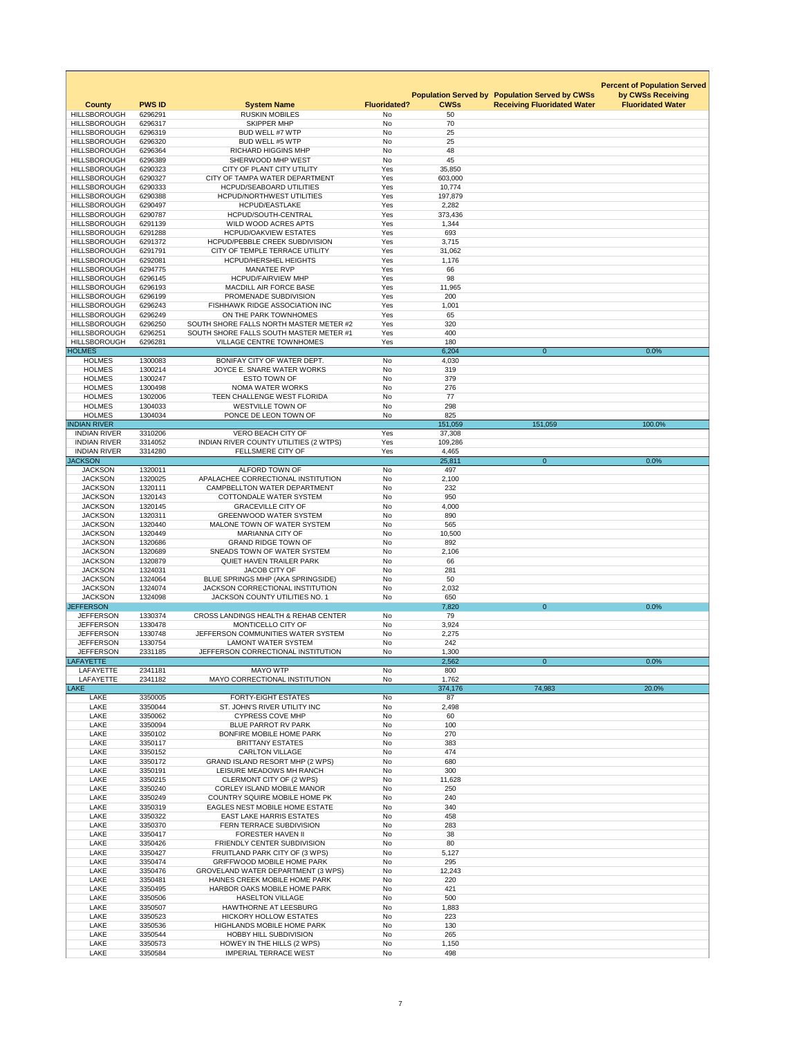|                                            |                    |                                                                                    |                        |                   |                                                                                             | <b>Percent of Population Served</b>           |
|--------------------------------------------|--------------------|------------------------------------------------------------------------------------|------------------------|-------------------|---------------------------------------------------------------------------------------------|-----------------------------------------------|
|                                            | <b>PWS ID</b>      |                                                                                    | <b>Fluoridated?</b>    | <b>CWSs</b>       | <b>Population Served by Population Served by CWSs</b><br><b>Receiving Fluoridated Water</b> | by CWSs Receiving<br><b>Fluoridated Water</b> |
| <b>County</b><br><b>HILLSBOROUGH</b>       | 6296291            | <b>System Name</b><br><b>RUSKIN MOBILES</b>                                        | <b>No</b>              | 50                |                                                                                             |                                               |
| <b>HILLSBOROUGH</b>                        | 6296317            | <b>SKIPPER MHP</b>                                                                 | No                     | 70                |                                                                                             |                                               |
| <b>HILLSBOROUGH</b>                        | 6296319            | <b>BUD WELL #7 WTP</b>                                                             | <b>No</b>              | 25                |                                                                                             |                                               |
| <b>HILLSBOROUGH</b><br><b>HILLSBOROUGH</b> | 6296320<br>6296364 | BUD WELL #5 WTP<br><b>RICHARD HIGGINS MHP</b>                                      | No<br>No               | 25<br>48          |                                                                                             |                                               |
| <b>HILLSBOROUGH</b>                        | 6296389            | SHERWOOD MHP WEST                                                                  | <b>No</b>              | 45                |                                                                                             |                                               |
| <b>HILLSBOROUGH</b>                        | 6290323            | CITY OF PLANT CITY UTILITY                                                         | Yes                    | 35,850            |                                                                                             |                                               |
| <b>HILLSBOROUGH</b>                        | 6290327            | CITY OF TAMPA WATER DEPARTMENT                                                     | Yes                    | 603,000           |                                                                                             |                                               |
| <b>HILLSBOROUGH</b><br><b>HILLSBOROUGH</b> | 6290333<br>6290388 | <b>HCPUD/SEABOARD UTILITIES</b><br><b>HCPUD/NORTHWEST UTILITIES</b>                | Yes<br>Yes             | 10,774<br>197,879 |                                                                                             |                                               |
| <b>HILLSBOROUGH</b>                        | 6290497            | <b>HCPUD/EASTLAKE</b>                                                              | Yes                    | 2,282             |                                                                                             |                                               |
| <b>HILLSBOROUGH</b>                        | 6290787            | HCPUD/SOUTH-CENTRAL                                                                | Yes                    | 373,436           |                                                                                             |                                               |
| <b>HILLSBOROUGH</b>                        | 6291139            | WILD WOOD ACRES APTS                                                               | Yes                    | 1,344             |                                                                                             |                                               |
| <b>HILLSBOROUGH</b><br><b>HILLSBOROUGH</b> | 6291288<br>6291372 | <b>HCPUD/OAKVIEW ESTATES</b><br><b>HCPUD/PEBBLE CREEK SUBDIVISION</b>              | Yes<br>Yes             | 693<br>3,715      |                                                                                             |                                               |
| <b>HILLSBOROUGH</b>                        | 6291791            | CITY OF TEMPLE TERRACE UTILITY                                                     | Yes                    | 31,062            |                                                                                             |                                               |
| <b>HILLSBOROUGH</b>                        | 6292081            | <b>HCPUD/HERSHEL HEIGHTS</b>                                                       | Yes                    | 1,176             |                                                                                             |                                               |
| <b>HILLSBOROUGH</b>                        | 6294775            | <b>MANATEE RVP</b>                                                                 | Yes                    | 66                |                                                                                             |                                               |
| <b>HILLSBOROUGH</b><br><b>HILLSBOROUGH</b> | 6296145<br>6296193 | <b>HCPUD/FAIRVIEW MHP</b><br>MACDILL AIR FORCE BASE                                | Yes<br>Yes             | 98<br>11,965      |                                                                                             |                                               |
| <b>HILLSBOROUGH</b>                        | 6296199            | PROMENADE SUBDIVISION                                                              | Yes                    | 200               |                                                                                             |                                               |
| <b>HILLSBOROUGH</b>                        | 6296243            | <b>FISHHAWK RIDGE ASSOCIATION INC</b>                                              | Yes                    | 1,001             |                                                                                             |                                               |
| <b>HILLSBOROUGH</b>                        | 6296249            | ON THE PARK TOWNHOMES                                                              | Yes                    | 65                |                                                                                             |                                               |
| <b>HILLSBOROUGH</b><br><b>HILLSBOROUGH</b> | 6296250<br>6296251 | SOUTH SHORE FALLS NORTH MASTER METER #2<br>SOUTH SHORE FALLS SOUTH MASTER METER #1 | Yes<br>Yes             | 320<br>400        |                                                                                             |                                               |
| <b>HILLSBOROUGH</b>                        | 6296281            | <b>VILLAGE CENTRE TOWNHOMES</b>                                                    | Yes                    | 180               |                                                                                             |                                               |
| <b>HOLMES</b>                              |                    |                                                                                    |                        | 6,204             | $\overline{0}$                                                                              | 0.0%                                          |
| <b>HOLMES</b>                              | 1300083            | BONIFAY CITY OF WATER DEPT.                                                        | <b>No</b>              | 4,030             |                                                                                             |                                               |
| <b>HOLMES</b><br><b>HOLMES</b>             | 1300214<br>1300247 | JOYCE E. SNARE WATER WORKS<br><b>ESTO TOWN OF</b>                                  | No<br><b>No</b>        | 319<br>379        |                                                                                             |                                               |
| <b>HOLMES</b>                              | 1300498            | <b>NOMA WATER WORKS</b>                                                            | <b>No</b>              | 276               |                                                                                             |                                               |
| <b>HOLMES</b>                              | 1302006            | TEEN CHALLENGE WEST FLORIDA                                                        | <b>No</b>              | 77                |                                                                                             |                                               |
| <b>HOLMES</b>                              | 1304033            | <b>WESTVILLE TOWN OF</b>                                                           | No                     | 298               |                                                                                             |                                               |
| <b>HOLMES</b>                              | 1304034            | PONCE DE LEON TOWN OF                                                              | No                     | 825               |                                                                                             |                                               |
| <b>INDIAN RIVER</b><br><b>INDIAN RIVER</b> | 3310206            | VERO BEACH CITY OF                                                                 | Yes                    | 151,059<br>37,308 | 151,059                                                                                     | 100.0%                                        |
| <b>INDIAN RIVER</b>                        | 3314052            | INDIAN RIVER COUNTY UTILITIES (2 WTPS)                                             | Yes                    | 109,286           |                                                                                             |                                               |
| <b>INDIAN RIVER</b>                        | 3314280            | <b>FELLSMERE CITY OF</b>                                                           | Yes                    | 4,465             |                                                                                             |                                               |
| <b>JACKSON</b>                             |                    |                                                                                    |                        | 25,811            | $\overline{0}$                                                                              | 0.0%                                          |
| <b>JACKSON</b><br><b>JACKSON</b>           | 1320011<br>1320025 | ALFORD TOWN OF<br>APALACHEE CORRECTIONAL INSTITUTION                               | No<br>No               | 497<br>2,100      |                                                                                             |                                               |
| <b>JACKSON</b>                             | 1320111            | <b>CAMPBELLTON WATER DEPARTMENT</b>                                                | <b>No</b>              | 232               |                                                                                             |                                               |
| <b>JACKSON</b>                             | 1320143            | <b>COTTONDALE WATER SYSTEM</b>                                                     | <b>No</b>              | 950               |                                                                                             |                                               |
| <b>JACKSON</b>                             | 1320145            | <b>GRACEVILLE CITY OF</b>                                                          | No                     | 4,000             |                                                                                             |                                               |
| <b>JACKSON</b><br><b>JACKSON</b>           | 1320311<br>1320440 | <b>GREENWOOD WATER SYSTEM</b><br>MALONE TOWN OF WATER SYSTEM                       | No<br><b>No</b>        | 890<br>565        |                                                                                             |                                               |
| <b>JACKSON</b>                             | 1320449            | <b>MARIANNA CITY OF</b>                                                            | <b>No</b>              | 10,500            |                                                                                             |                                               |
| <b>JACKSON</b>                             | 1320686            | <b>GRAND RIDGE TOWN OF</b>                                                         | No                     | 892               |                                                                                             |                                               |
| <b>JACKSON</b>                             | 1320689            | SNEADS TOWN OF WATER SYSTEM                                                        | <b>No</b>              | 2,106             |                                                                                             |                                               |
| <b>JACKSON</b><br><b>JACKSON</b>           | 1320879<br>1324031 | <b>QUIET HAVEN TRAILER PARK</b><br><b>JACOB CITY OF</b>                            | No<br><b>No</b>        | 66<br>281         |                                                                                             |                                               |
| <b>JACKSON</b>                             | 1324064            | BLUE SPRINGS MHP (AKA SPRINGSIDE)                                                  | <b>No</b>              | 50                |                                                                                             |                                               |
| <b>JACKSON</b>                             | 1324074            | <b>JACKSON CORRECTIONAL INSTITUTION</b>                                            | No                     | 2,032             |                                                                                             |                                               |
| <b>JACKSON</b>                             | 1324098            | <b>JACKSON COUNTY UTILITIES NO. 1</b>                                              | No                     | 650               |                                                                                             |                                               |
| <b>JEFFERSON</b><br><b>JEFFERSON</b>       | 1330374            | <b>CROSS LANDINGS HEALTH &amp; REHAB CENTER</b>                                    | No                     | 7,820<br>79       | $\overline{0}$                                                                              | 0.0%                                          |
| <b>JEFFERSON</b>                           | 1330478            | MONTICELLO CITY OF                                                                 | No                     | 3,924             |                                                                                             |                                               |
| <b>JEFFERSON</b>                           | 1330748            | JEFFERSON COMMUNITIES WATER SYSTEM                                                 | <b>No</b>              | 2,275             |                                                                                             |                                               |
| <b>JEFFERSON</b>                           | 1330754            | <b>LAMONT WATER SYSTEM</b>                                                         | <b>No</b>              | 242               |                                                                                             |                                               |
| <b>JEFFERSON</b><br><b>LAFAYETTE</b>       | 2331185            | JEFFERSON CORRECTIONAL INSTITUTION                                                 | No                     | 1,300<br>2,562    | $\overline{0}$                                                                              | 0.0%                                          |
| LAFAYETTE                                  | 2341181            | <b>MAYO WTP</b>                                                                    | No                     | 800               |                                                                                             |                                               |
| LAFAYETTE                                  | 2341182            | <b>MAYO CORRECTIONAL INSTITUTION</b>                                               | No                     | 1,762             |                                                                                             |                                               |
| <b>LAKE</b>                                |                    |                                                                                    |                        | 374,176           | 74,983                                                                                      | 20.0%                                         |
| <b>LAKE</b><br><b>LAKE</b>                 | 3350005<br>3350044 | <b>FORTY-EIGHT ESTATES</b><br>ST. JOHN'S RIVER UTILITY INC                         | <b>No</b><br><b>No</b> | 87<br>2,498       |                                                                                             |                                               |
| <b>LAKE</b>                                | 3350062            | <b>CYPRESS COVE MHP</b>                                                            | <b>No</b>              | 60                |                                                                                             |                                               |
| <b>LAKE</b>                                | 3350094            | <b>BLUE PARROT RV PARK</b>                                                         | <b>No</b>              | 100               |                                                                                             |                                               |
| <b>LAKE</b>                                | 3350102            | <b>BONFIRE MOBILE HOME PARK</b>                                                    | No                     | 270               |                                                                                             |                                               |
| <b>LAKE</b><br><b>LAKE</b>                 | 3350117<br>3350152 | <b>BRITTANY ESTATES</b><br><b>CARLTON VILLAGE</b>                                  | <b>No</b><br>No        | 383<br>474        |                                                                                             |                                               |
| <b>LAKE</b>                                | 3350172            | <b>GRAND ISLAND RESORT MHP (2 WPS)</b>                                             | No                     | 680               |                                                                                             |                                               |
| <b>LAKE</b>                                | 3350191            | LEISURE MEADOWS MH RANCH                                                           | No                     | 300               |                                                                                             |                                               |
| <b>LAKE</b>                                | 3350215            | CLERMONT CITY OF (2 WPS)                                                           | <b>No</b>              | 11,628            |                                                                                             |                                               |
| <b>LAKE</b>                                | 3350240            | <b>CORLEY ISLAND MOBILE MANOR</b>                                                  | No                     | 250               |                                                                                             |                                               |
| <b>LAKE</b><br><b>LAKE</b>                 | 3350249<br>3350319 | <b>COUNTRY SQUIRE MOBILE HOME PK</b><br><b>EAGLES NEST MOBILE HOME ESTATE</b>      | <b>No</b><br><b>No</b> | 240<br>340        |                                                                                             |                                               |
| <b>LAKE</b>                                | 3350322            | <b>EAST LAKE HARRIS ESTATES</b>                                                    | <b>No</b>              | 458               |                                                                                             |                                               |
| <b>LAKE</b>                                | 3350370            | FERN TERRACE SUBDIVISION                                                           | <b>No</b>              | 283               |                                                                                             |                                               |
| <b>LAKE</b>                                | 3350417            | <b>FORESTER HAVEN II</b>                                                           | <b>No</b>              | 38                |                                                                                             |                                               |
| <b>LAKE</b><br><b>LAKE</b>                 | 3350426<br>3350427 | FRIENDLY CENTER SUBDIVISION<br>FRUITLAND PARK CITY OF (3 WPS)                      | <b>No</b><br><b>No</b> | 80<br>5,127       |                                                                                             |                                               |
| <b>LAKE</b>                                | 3350474            | <b>GRIFFWOOD MOBILE HOME PARK</b>                                                  | <b>No</b>              | 295               |                                                                                             |                                               |
| <b>LAKE</b>                                | 3350476            | <b>GROVELAND WATER DEPARTMENT (3 WPS)</b>                                          | <b>No</b>              | 12,243            |                                                                                             |                                               |
| <b>LAKE</b>                                | 3350481            | HAINES CREEK MOBILE HOME PARK                                                      | No                     | 220               |                                                                                             |                                               |
| <b>LAKE</b><br>LAKE                        | 3350495<br>3350506 | HARBOR OAKS MOBILE HOME PARK<br><b>HASELTON VILLAGE</b>                            | <b>No</b><br>No        | 421<br>500        |                                                                                             |                                               |
| LAKE                                       | 3350507            | <b>HAWTHORNE AT LEESBURG</b>                                                       | No                     | 1,883             |                                                                                             |                                               |
| <b>LAKE</b>                                | 3350523            | <b>HICKORY HOLLOW ESTATES</b>                                                      | <b>No</b>              | 223               |                                                                                             |                                               |
| <b>LAKE</b>                                | 3350536            | <b>HIGHLANDS MOBILE HOME PARK</b>                                                  | No                     | 130               |                                                                                             |                                               |
| <b>LAKE</b>                                | 3350544            | <b>HOBBY HILL SUBDIVISION</b>                                                      | No                     | 265               |                                                                                             |                                               |
| <b>LAKE</b><br>LAKE                        | 3350573<br>3350584 | HOWEY IN THE HILLS (2 WPS)<br><b>IMPERIAL TERRACE WEST</b>                         | No<br>No               | 1,150<br>498      |                                                                                             |                                               |
|                                            |                    |                                                                                    |                        |                   |                                                                                             |                                               |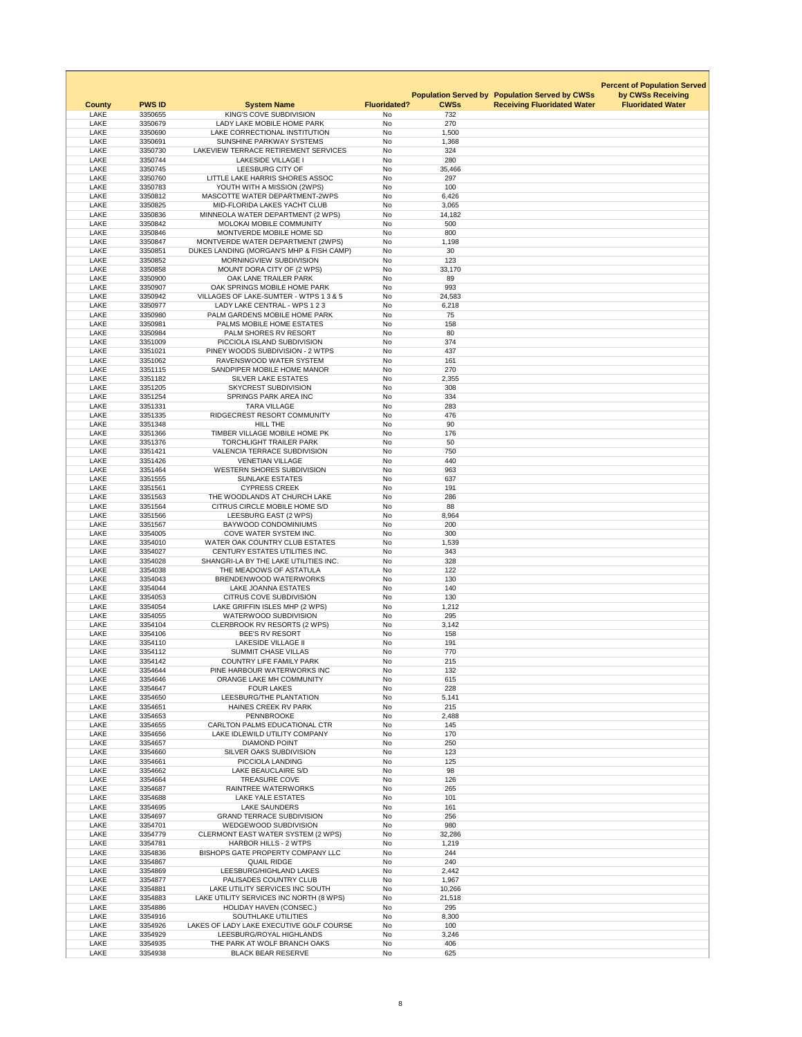|                            |                    |                                                                       |                        |                             |                                    | <b>Percent of Population Served</b> |
|----------------------------|--------------------|-----------------------------------------------------------------------|------------------------|-----------------------------|------------------------------------|-------------------------------------|
|                            |                    |                                                                       |                        | <b>Population Served by</b> | <b>Population Served by CWSs</b>   | by CWSs Receiving                   |
| <b>County</b>              | <b>PWS ID</b>      | <b>System Name</b>                                                    | <b>Fluoridated?</b>    | <b>CWSs</b>                 | <b>Receiving Fluoridated Water</b> | <b>Fluoridated Water</b>            |
| <b>LAKE</b><br><b>LAKE</b> | 3350655<br>3350679 | KING'S COVE SUBDIVISION<br>LADY LAKE MOBILE HOME PARK                 | No<br><b>No</b>        | 732<br>270                  |                                    |                                     |
| <b>LAKE</b>                | 3350690            | LAKE CORRECTIONAL INSTITUTION                                         | <b>No</b>              | 1,500                       |                                    |                                     |
| <b>LAKE</b>                | 3350691            | SUNSHINE PARKWAY SYSTEMS                                              | <b>No</b>              | 1,368                       |                                    |                                     |
| <b>LAKE</b>                | 3350730            | LAKEVIEW TERRACE RETIREMENT SERVICES                                  | No                     | 324                         |                                    |                                     |
| <b>LAKE</b><br><b>LAKE</b> | 3350744<br>3350745 | <b>LAKESIDE VILLAGE I</b><br>LEESBURG CITY OF                         | <b>No</b><br>No        | 280<br>35,466               |                                    |                                     |
| <b>LAKE</b>                | 3350760            | LITTLE LAKE HARRIS SHORES ASSOC                                       | <b>No</b>              | 297                         |                                    |                                     |
| <b>LAKE</b>                | 3350783            | YOUTH WITH A MISSION (2WPS)                                           | <b>No</b>              | 100                         |                                    |                                     |
| LAKE                       | 3350812            | MASCOTTE WATER DEPARTMENT-2WPS                                        | <b>No</b>              | 6,426                       |                                    |                                     |
| <b>LAKE</b><br><b>LAKE</b> | 3350825<br>3350836 | MID-FLORIDA LAKES YACHT CLUB<br>MINNEOLA WATER DEPARTMENT (2 WPS)     | <b>No</b><br>No        | 3,065<br>14,182             |                                    |                                     |
| <b>LAKE</b>                | 3350842            | MOLOKAI MOBILE COMMUNITY                                              | <b>No</b>              | 500                         |                                    |                                     |
| <b>LAKE</b>                | 3350846            | MONTVERDE MOBILE HOME SD                                              | No                     | 800                         |                                    |                                     |
| <b>LAKE</b>                | 3350847            | MONTVERDE WATER DEPARTMENT (2WPS)                                     | No                     | 1,198                       |                                    |                                     |
| <b>LAKE</b><br>LAKE        | 3350851<br>3350852 | DUKES LANDING (MORGAN'S MHP & FISH CAMP)<br>MORNINGVIEW SUBDIVISION   | <b>No</b><br>No        | 30<br>123                   |                                    |                                     |
| <b>LAKE</b>                | 3350858            | MOUNT DORA CITY OF (2 WPS)                                            | No                     | 33,170                      |                                    |                                     |
| <b>LAKE</b>                | 3350900            | OAK LANE TRAILER PARK                                                 | <b>No</b>              | 89                          |                                    |                                     |
| <b>LAKE</b>                | 3350907            | OAK SPRINGS MOBILE HOME PARK                                          | <b>No</b>              | 993                         |                                    |                                     |
| <b>LAKE</b>                | 3350942            | VILLAGES OF LAKE-SUMTER - WTPS 1 3 & 5                                | <b>No</b>              | 24,583                      |                                    |                                     |
| <b>LAKE</b><br><b>LAKE</b> | 3350977<br>3350980 | LADY LAKE CENTRAL - WPS 1 2 3<br>PALM GARDENS MOBILE HOME PARK        | <b>No</b><br><b>No</b> | 6,218<br>75                 |                                    |                                     |
| LAKE                       | 3350981            | PALMS MOBILE HOME ESTATES                                             | No                     | 158                         |                                    |                                     |
| <b>LAKE</b>                | 3350984            | PALM SHORES RV RESORT                                                 | <b>No</b>              | 80                          |                                    |                                     |
| <b>LAKE</b>                | 3351009            | PICCIOLA ISLAND SUBDIVISION                                           | <b>No</b>              | 374                         |                                    |                                     |
| <b>LAKE</b>                | 3351021            | PINEY WOODS SUBDIVISION - 2 WTPS                                      | No                     | 437                         |                                    |                                     |
| LAKE<br>LAKE               | 3351062<br>3351115 | RAVENSWOOD WATER SYSTEM<br>SANDPIPER MOBILE HOME MANOR                | <b>No</b><br>No        | 161<br>270                  |                                    |                                     |
| <b>LAKE</b>                | 3351182            | <b>SILVER LAKE ESTATES</b>                                            | No                     | 2,355                       |                                    |                                     |
| LAKE                       | 3351205            | <b>SKYCREST SUBDIVISION</b>                                           | <b>No</b>              | 308                         |                                    |                                     |
| LAKE                       | 3351254            | SPRINGS PARK AREA INC                                                 | <b>No</b>              | 334                         |                                    |                                     |
| <b>LAKE</b>                | 3351331            | <b>TARA VILLAGE</b>                                                   | <b>No</b>              | 283                         |                                    |                                     |
| LAKE<br><b>LAKE</b>        | 3351335<br>3351348 | RIDGECREST RESORT COMMUNITY<br><b>HILL THE</b>                        | No<br>No               | 476<br>90                   |                                    |                                     |
| LAKE                       | 3351366            | TIMBER VILLAGE MOBILE HOME PK                                         | No                     | 176                         |                                    |                                     |
| LAKE                       | 3351376            | <b>TORCHLIGHT TRAILER PARK</b>                                        | <b>No</b>              | 50                          |                                    |                                     |
| <b>LAKE</b>                | 3351421            | <b>VALENCIA TERRACE SUBDIVISION</b>                                   | <b>No</b>              | 750                         |                                    |                                     |
| LAKE                       | 3351426            | <b>VENETIAN VILLAGE</b>                                               | No                     | 440                         |                                    |                                     |
| LAKE<br>LAKE               | 3351464<br>3351555 | <b>WESTERN SHORES SUBDIVISION</b><br><b>SUNLAKE ESTATES</b>           | <b>No</b><br>No        | 963<br>637                  |                                    |                                     |
| <b>LAKE</b>                | 3351561            | <b>CYPRESS CREEK</b>                                                  | No                     | 191                         |                                    |                                     |
| LAKE                       | 3351563            | THE WOODLANDS AT CHURCH LAKE                                          | No                     | 286                         |                                    |                                     |
| LAKE                       | 3351564            | CITRUS CIRCLE MOBILE HOME S/D                                         | <b>No</b>              | 88                          |                                    |                                     |
| <b>LAKE</b>                | 3351566            | LEESBURG EAST (2 WPS)                                                 | <b>No</b>              | 8,964                       |                                    |                                     |
| LAKE<br><b>LAKE</b>        | 3351567<br>3354005 | <b>BAYWOOD CONDOMINIUMS</b><br>COVE WATER SYSTEM INC.                 | No<br>No               | 200<br>300                  |                                    |                                     |
| <b>LAKE</b>                | 3354010            | <b>WATER OAK COUNTRY CLUB ESTATES</b>                                 | No                     | 1,539                       |                                    |                                     |
| LAKE                       | 3354027            | CENTURY ESTATES UTILITIES INC.                                        | <b>No</b>              | 343                         |                                    |                                     |
| LAKE                       | 3354028            | SHANGRI-LA BY THE LAKE UTILITIES INC.                                 | No                     | 328                         |                                    |                                     |
| LAKE<br><b>LAKE</b>        | 3354038<br>3354043 | THE MEADOWS OF ASTATULA<br>BRENDENWOOD WATERWORKS                     | No<br><b>No</b>        | 122<br>130                  |                                    |                                     |
| LAKE                       | 3354044            | <b>LAKE JOANNA ESTATES</b>                                            | No                     | 140                         |                                    |                                     |
| <b>LAKE</b>                | 3354053            | <b>CITRUS COVE SUBDIVISION</b>                                        | No                     | 130                         |                                    |                                     |
| LAKE                       | 3354054            | LAKE GRIFFIN ISLES MHP (2 WPS)                                        | No                     | 1,212                       |                                    |                                     |
| LAKE                       | 3354055            | <b>WATERWOOD SUBDIVISION</b>                                          | <b>No</b>              | 295                         |                                    |                                     |
| <b>LAKE</b><br><b>LAKE</b> | 3354104<br>3354106 | <b>CLERBROOK RV RESORTS (2 WPS)</b><br><b>BEE'S RV RESORT</b>         | <b>No</b><br><b>No</b> | 3,142<br>158                |                                    |                                     |
| <b>LAKE</b>                | 3354110            | <b>LAKESIDE VILLAGE II</b>                                            | <b>No</b>              | 191                         |                                    |                                     |
| <b>LAKE</b>                | 3354112            | <b>SUMMIT CHASE VILLAS</b>                                            | No                     | 770                         |                                    |                                     |
| LAKE                       | 3354142            | <b>COUNTRY LIFE FAMILY PARK</b>                                       | <b>No</b>              | 215                         |                                    |                                     |
| LAKE                       | 3354644            | PINE HARBOUR WATERWORKS INC                                           | No                     | 132                         |                                    |                                     |
| LAKE<br><b>LAKE</b>        | 3354646<br>3354647 | ORANGE LAKE MH COMMUNITY<br><b>FOUR LAKES</b>                         | <b>No</b><br><b>No</b> | 615<br>228                  |                                    |                                     |
| <b>LAKE</b>                | 3354650            | LEESBURG/THE PLANTATION                                               | No                     | 5,141                       |                                    |                                     |
| <b>LAKE</b>                | 3354651            | <b>HAINES CREEK RV PARK</b>                                           | No                     | 215                         |                                    |                                     |
| LAKE                       | 3354653            | <b>PENNBROOKE</b>                                                     | <b>No</b>              | 2,488                       |                                    |                                     |
| LAKE<br><b>LAKE</b>        | 3354655<br>3354656 | <b>CARLTON PALMS EDUCATIONAL CTR</b><br>LAKE IDLEWILD UTILITY COMPANY | No<br><b>No</b>        | 145<br>170                  |                                    |                                     |
| LAKE                       | 3354657            | <b>DIAMOND POINT</b>                                                  | No                     | 250                         |                                    |                                     |
| <b>LAKE</b>                | 3354660            | SILVER OAKS SUBDIVISION                                               | <b>No</b>              | 123                         |                                    |                                     |
| <b>LAKE</b>                | 3354661            | PICCIOLA LANDING                                                      | No                     | 125                         |                                    |                                     |
| <b>LAKE</b>                | 3354662            | LAKE BEAUCLAIRE S/D<br><b>TREASURE COVE</b>                           | <b>No</b>              | 98                          |                                    |                                     |
| <b>LAKE</b><br>LAKE        | 3354664<br>3354687 | <b>RAINTREE WATERWORKS</b>                                            | <b>No</b><br>No        | 126<br>265                  |                                    |                                     |
| <b>LAKE</b>                | 3354688            | <b>LAKE YALE ESTATES</b>                                              | No                     | 101                         |                                    |                                     |
| <b>LAKE</b>                | 3354695            | <b>LAKE SAUNDERS</b>                                                  | No                     | 161                         |                                    |                                     |
| <b>LAKE</b>                | 3354697            | <b>GRAND TERRACE SUBDIVISION</b>                                      | No                     | 256                         |                                    |                                     |
| LAKE<br>LAKE               | 3354701<br>3354779 | <b>WEDGEWOOD SUBDIVISION</b><br>CLERMONT EAST WATER SYSTEM (2 WPS)    | No<br><b>No</b>        | 980<br>32,286               |                                    |                                     |
| LAKE                       | 3354781            | <b>HARBOR HILLS - 2 WTPS</b>                                          | No                     | 1,219                       |                                    |                                     |
| LAKE                       | 3354836            | BISHOPS GATE PROPERTY COMPANY LLC                                     | No                     | 244                         |                                    |                                     |
| <b>LAKE</b>                | 3354867            | <b>QUAIL RIDGE</b>                                                    | <b>No</b>              | 240                         |                                    |                                     |
| LAKE                       | 3354869            | LEESBURG/HIGHLAND LAKES                                               | No                     | 2,442                       |                                    |                                     |
| LAKE<br><b>LAKE</b>        | 3354877<br>3354881 | PALISADES COUNTRY CLUB<br>LAKE UTILITY SERVICES INC SOUTH             | <b>No</b><br>No        | 1,967<br>10,266             |                                    |                                     |
| LAKE                       | 3354883            | LAKE UTILITY SERVICES INC NORTH (8 WPS)                               | No                     | 21,518                      |                                    |                                     |
| <b>LAKE</b>                | 3354886            | <b>HOLIDAY HAVEN (CONSEC.)</b>                                        | No                     | 295                         |                                    |                                     |
| LAKE                       | 3354916            | SOUTHLAKE UTILITIES                                                   | No                     | 8,300                       |                                    |                                     |
| LAKE<br>LAKE               | 3354926<br>3354929 | LAKES OF LADY LAKE EXECUTIVE GOLF COURSE<br>LEESBURG/ROYAL HIGHLANDS  | No<br>No               | 100<br>3,246                |                                    |                                     |
| LAKE                       | 3354935            | THE PARK AT WOLF BRANCH OAKS                                          | No                     | 406                         |                                    |                                     |
| LAKE                       | 3354938            | <b>BLACK BEAR RESERVE</b>                                             | No                     | 625                         |                                    |                                     |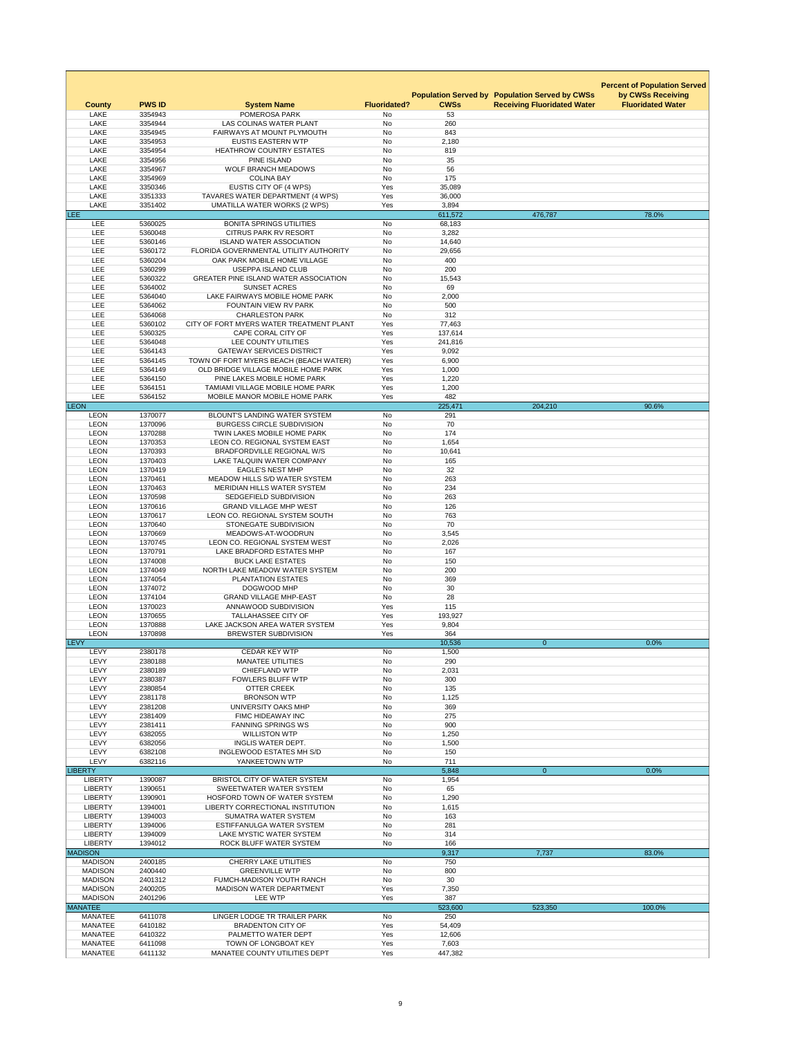|                                  |                    |                                                                           |                     |                  |                                                                                             | <b>Percent of Population Served</b>           |
|----------------------------------|--------------------|---------------------------------------------------------------------------|---------------------|------------------|---------------------------------------------------------------------------------------------|-----------------------------------------------|
| <b>County</b>                    | <b>PWS ID</b>      | <b>System Name</b>                                                        | <b>Fluoridated?</b> | <b>CWSs</b>      | <b>Population Served by Population Served by CWSs</b><br><b>Receiving Fluoridated Water</b> | by CWSs Receiving<br><b>Fluoridated Water</b> |
| <b>LAKE</b>                      | 3354943            | POMEROSA PARK                                                             | No                  | 53               |                                                                                             |                                               |
| <b>LAKE</b>                      | 3354944            | LAS COLINAS WATER PLANT                                                   | No                  | 260              |                                                                                             |                                               |
| <b>LAKE</b>                      | 3354945            | FAIRWAYS AT MOUNT PLYMOUTH                                                | <b>No</b>           | 843              |                                                                                             |                                               |
| <b>LAKE</b>                      | 3354953            | <b>EUSTIS EASTERN WTP</b>                                                 | No                  | 2,180            |                                                                                             |                                               |
| <b>LAKE</b>                      | 3354954            | <b>HEATHROW COUNTRY ESTATES</b>                                           | No                  | 819              |                                                                                             |                                               |
| <b>LAKE</b>                      | 3354956            | <b>PINE ISLAND</b>                                                        | <b>No</b>           | 35               |                                                                                             |                                               |
| <b>LAKE</b>                      | 3354967            | <b>WOLF BRANCH MEADOWS</b>                                                | No                  | 56               |                                                                                             |                                               |
| <b>LAKE</b>                      | 3354969            | <b>COLINA BAY</b>                                                         | No                  | 175              |                                                                                             |                                               |
| <b>LAKE</b><br><b>LAKE</b>       | 3350346<br>3351333 | EUSTIS CITY OF (4 WPS)<br>TAVARES WATER DEPARTMENT (4 WPS)                | Yes<br>Yes          | 35,089<br>36,000 |                                                                                             |                                               |
| <b>LAKE</b>                      | 3351402            | <b>UMATILLA WATER WORKS (2 WPS)</b>                                       | Yes                 | 3,894            |                                                                                             |                                               |
| LEE <sup></sup>                  |                    |                                                                           |                     | 611,572          | 476,787                                                                                     | 78.0%                                         |
| <b>LEE</b>                       | 5360025            | <b>BONITA SPRINGS UTILITIES</b>                                           | No                  | 68,183           |                                                                                             |                                               |
| <b>LEE</b>                       | 5360048            | <b>CITRUS PARK RV RESORT</b>                                              | No                  | 3,282            |                                                                                             |                                               |
| LEE                              | 5360146            | <b>ISLAND WATER ASSOCIATION</b>                                           | <b>No</b>           | 14,640           |                                                                                             |                                               |
| LEE                              | 5360172            | FLORIDA GOVERNMENTAL UTILITY AUTHORITY                                    | No                  | 29,656           |                                                                                             |                                               |
| LEE                              | 5360204            | OAK PARK MOBILE HOME VILLAGE                                              | No                  | 400              |                                                                                             |                                               |
| LEE                              | 5360299            | <b>USEPPA ISLAND CLUB</b>                                                 | <b>No</b>           | 200              |                                                                                             |                                               |
| <b>LEE</b>                       | 5360322            | <b>GREATER PINE ISLAND WATER ASSOCIATION</b>                              | No                  | 15,543           |                                                                                             |                                               |
| <b>LEE</b>                       | 5364002            | <b>SUNSET ACRES</b>                                                       | No                  | 69               |                                                                                             |                                               |
| <b>LEE</b>                       | 5364040            | LAKE FAIRWAYS MOBILE HOME PARK                                            | No                  | 2,000            |                                                                                             |                                               |
| LEE                              | 5364062            | FOUNTAIN VIEW RV PARK<br><b>CHARLESTON PARK</b>                           | No                  | 500              |                                                                                             |                                               |
| LEE<br><b>LEE</b>                | 5364068<br>5360102 | CITY OF FORT MYERS WATER TREATMENT PLANT                                  | No<br>Yes           | 312<br>77,463    |                                                                                             |                                               |
| <b>LEE</b>                       | 5360325            | CAPE CORAL CITY OF                                                        | Yes                 | 137,614          |                                                                                             |                                               |
| <b>LEE</b>                       | 5364048            | LEE COUNTY UTILITIES                                                      | Yes                 | 241,816          |                                                                                             |                                               |
| LEE                              | 5364143            | <b>GATEWAY SERVICES DISTRICT</b>                                          | Yes                 | 9,092            |                                                                                             |                                               |
| <b>LEE</b>                       | 5364145            | TOWN OF FORT MYERS BEACH (BEACH WATER)                                    | Yes                 | 6,900            |                                                                                             |                                               |
| <b>LEE</b>                       | 5364149            | OLD BRIDGE VILLAGE MOBILE HOME PARK                                       | Yes                 | 1,000            |                                                                                             |                                               |
| <b>LEE</b>                       | 5364150            | PINE LAKES MOBILE HOME PARK                                               | Yes                 | 1,220            |                                                                                             |                                               |
| <b>LEE</b>                       | 5364151            | TAMIAMI VILLAGE MOBILE HOME PARK                                          | Yes                 | 1,200            |                                                                                             |                                               |
| <b>LEE</b>                       | 5364152            | MOBILE MANOR MOBILE HOME PARK                                             | Yes                 | 482              |                                                                                             |                                               |
| <b>LEON</b>                      |                    |                                                                           |                     | 225,471          | 204,210                                                                                     | 90.6%                                         |
| <b>LEON</b>                      | 1370077            | <b>BLOUNT'S LANDING WATER SYSTEM</b>                                      | No                  | 291              |                                                                                             |                                               |
| <b>LEON</b>                      | 1370096            | <b>BURGESS CIRCLE SUBDIVISION</b>                                         | No                  | 70               |                                                                                             |                                               |
| <b>LEON</b>                      | 1370288            | TWIN LAKES MOBILE HOME PARK                                               | No                  | 174              |                                                                                             |                                               |
| <b>LEON</b><br><b>LEON</b>       | 1370353<br>1370393 | <b>LEON CO. REGIONAL SYSTEM EAST</b><br><b>BRADFORDVILLE REGIONAL W/S</b> | <b>No</b><br>No     | 1,654<br>10,641  |                                                                                             |                                               |
| <b>LEON</b>                      | 1370403            | LAKE TALQUIN WATER COMPANY                                                | <b>No</b>           | 165              |                                                                                             |                                               |
| <b>LEON</b>                      | 1370419            | <b>EAGLE'S NEST MHP</b>                                                   | No                  | 32               |                                                                                             |                                               |
| <b>LEON</b>                      | 1370461            | MEADOW HILLS S/D WATER SYSTEM                                             | No                  | 263              |                                                                                             |                                               |
| <b>LEON</b>                      | 1370463            | MERIDIAN HILLS WATER SYSTEM                                               | No                  | 234              |                                                                                             |                                               |
| <b>LEON</b>                      | 1370598            | SEDGEFIELD SUBDIVISION                                                    | No                  | 263              |                                                                                             |                                               |
| <b>LEON</b>                      | 1370616            | <b>GRAND VILLAGE MHP WEST</b>                                             | No                  | 126              |                                                                                             |                                               |
| LEON                             | 1370617            | LEON CO. REGIONAL SYSTEM SOUTH                                            | <b>No</b>           | 763              |                                                                                             |                                               |
| <b>LEON</b>                      | 1370640            | <b>STONEGATE SUBDIVISION</b>                                              | No                  | 70               |                                                                                             |                                               |
| <b>LEON</b>                      | 1370669            | MEADOWS-AT-WOODRUN                                                        | No                  | 3,545            |                                                                                             |                                               |
| <b>LEON</b>                      | 1370745            | LEON CO. REGIONAL SYSTEM WEST                                             | No                  | 2,026            |                                                                                             |                                               |
| <b>LEON</b><br>LEON              | 1370791<br>1374008 | LAKE BRADFORD ESTATES MHP<br><b>BUCK LAKE ESTATES</b>                     | <b>No</b><br>No     | 167<br>150       |                                                                                             |                                               |
| <b>LEON</b>                      | 1374049            | NORTH LAKE MEADOW WATER SYSTEM                                            | <b>No</b>           | 200              |                                                                                             |                                               |
| <b>LEON</b>                      | 1374054            | <b>PLANTATION ESTATES</b>                                                 | No                  | 369              |                                                                                             |                                               |
| <b>LEON</b>                      | 1374072            | DOGWOOD MHP                                                               | No                  | 30               |                                                                                             |                                               |
| <b>LEON</b>                      | 1374104            | <b>GRAND VILLAGE MHP-EAST</b>                                             | No                  | 28               |                                                                                             |                                               |
| <b>LEON</b>                      | 1370023            | ANNAWOOD SUBDIVISION                                                      | Yes                 | 115              |                                                                                             |                                               |
| <b>LEON</b>                      | 1370655            | <b>TALLAHASSEE CITY OF</b>                                                | Yes                 | 193,927          |                                                                                             |                                               |
| LEON                             | 1370888            | LAKE JACKSON AREA WATER SYSTEM                                            | Yes                 | 9,804            |                                                                                             |                                               |
| <b>LEON</b>                      | 1370898            | <b>BREWSTER SUBDIVISION</b>                                               | Yes                 | 364              |                                                                                             |                                               |
| <b>LEVY</b>                      |                    |                                                                           |                     | 10,536           | $\overline{0}$                                                                              | 0.0%                                          |
| <b>LEVY</b>                      | 2380178            | <b>CEDAR KEY WTP</b>                                                      | No                  | 1,500            |                                                                                             |                                               |
| LEVY                             | 2380188            | <b>MANATEE UTILITIES</b>                                                  | No                  | 290              |                                                                                             |                                               |
| LEVY                             | 2380189            | <b>CHIEFLAND WTP</b>                                                      | No                  | 2,031            |                                                                                             |                                               |
| <b>LEVY</b><br><b>LEVY</b>       | 2380387<br>2380854 | <b>FOWLERS BLUFF WTP</b><br><b>OTTER CREEK</b>                            | No<br>No            | 300<br>135       |                                                                                             |                                               |
| <b>LEVY</b>                      | 2381178            | <b>BRONSON WTP</b>                                                        | No                  | 1,125            |                                                                                             |                                               |
| <b>LEVY</b>                      | 2381208            | UNIVERSITY OAKS MHP                                                       | No                  | 369              |                                                                                             |                                               |
| LEVY                             | 2381409            | FIMC HIDEAWAY INC                                                         | No                  | 275              |                                                                                             |                                               |
| <b>LEVY</b>                      | 2381411            | <b>FANNING SPRINGS WS</b>                                                 | No                  | 900              |                                                                                             |                                               |
| <b>LEVY</b>                      | 6382055            | <b>WILLISTON WTP</b>                                                      | No                  | 1,250            |                                                                                             |                                               |
| <b>LEVY</b>                      | 6382056            | <b>INGLIS WATER DEPT.</b>                                                 | No                  | 1,500            |                                                                                             |                                               |
| <b>LEVY</b>                      | 6382108            | INGLEWOOD ESTATES MH S/D                                                  | No                  | 150              |                                                                                             |                                               |
| <b>LEVY</b>                      | 6382116            | YANKEETOWN WTP                                                            | No                  | 711              |                                                                                             |                                               |
| <b>LIBERTY</b>                   |                    |                                                                           |                     | 5,848            | $\overline{0}$                                                                              | 0.0%                                          |
| <b>LIBERTY</b><br><b>LIBERTY</b> | 1390087<br>1390651 | BRISTOL CITY OF WATER SYSTEM<br>SWEETWATER WATER SYSTEM                   | No<br>No            | 1,954<br>65      |                                                                                             |                                               |
| <b>LIBERTY</b>                   | 1390901            | HOSFORD TOWN OF WATER SYSTEM                                              | <b>No</b>           | 1,290            |                                                                                             |                                               |
| <b>LIBERTY</b>                   | 1394001            | <b>LIBERTY CORRECTIONAL INSTITUTION</b>                                   | No                  | 1,615            |                                                                                             |                                               |
| <b>LIBERTY</b>                   | 1394003            | SUMATRA WATER SYSTEM                                                      | No                  | 163              |                                                                                             |                                               |
| <b>LIBERTY</b>                   | 1394006            | ESTIFFANULGA WATER SYSTEM                                                 | No                  | 281              |                                                                                             |                                               |
| <b>LIBERTY</b>                   | 1394009            | LAKE MYSTIC WATER SYSTEM                                                  | No                  | 314              |                                                                                             |                                               |
| <b>LIBERTY</b>                   | 1394012            | ROCK BLUFF WATER SYSTEM                                                   | No                  | 166              |                                                                                             |                                               |
| <b>MADISON</b>                   |                    |                                                                           |                     | 9,317            | 7,737                                                                                       | 83.0%                                         |
| <b>MADISON</b>                   | 2400185            | <b>CHERRY LAKE UTILITIES</b>                                              | No                  | 750              |                                                                                             |                                               |
| <b>MADISON</b>                   | 2400440            | <b>GREENVILLE WTP</b>                                                     | No                  | 800              |                                                                                             |                                               |
| <b>MADISON</b>                   | 2401312            | FUMCH-MADISON YOUTH RANCH                                                 | No                  | 30               |                                                                                             |                                               |
| <b>MADISON</b>                   | 2400205            | <b>MADISON WATER DEPARTMENT</b>                                           | Yes                 | 7,350            |                                                                                             |                                               |
| <b>MADISON</b><br><b>MANATEE</b> | 2401296            | <b>LEE WTP</b>                                                            | Yes                 | 387<br>523,600   | 523,350                                                                                     | 100.0%                                        |
| <b>MANATEE</b>                   | 6411078            | LINGER LODGE TR TRAILER PARK                                              | No                  | 250              |                                                                                             |                                               |
| <b>MANATEE</b>                   | 6410182            | <b>BRADENTON CITY OF</b>                                                  | Yes                 | 54,409           |                                                                                             |                                               |
| <b>MANATEE</b>                   | 6410322            | PALMETTO WATER DEPT                                                       | Yes                 | 12,606           |                                                                                             |                                               |
| <b>MANATEE</b>                   | 6411098            | TOWN OF LONGBOAT KEY                                                      | Yes                 | 7,603            |                                                                                             |                                               |
| <b>MANATEE</b>                   | 6411132            | MANATEE COUNTY UTILITIES DEPT                                             | Yes                 | 447,382          |                                                                                             |                                               |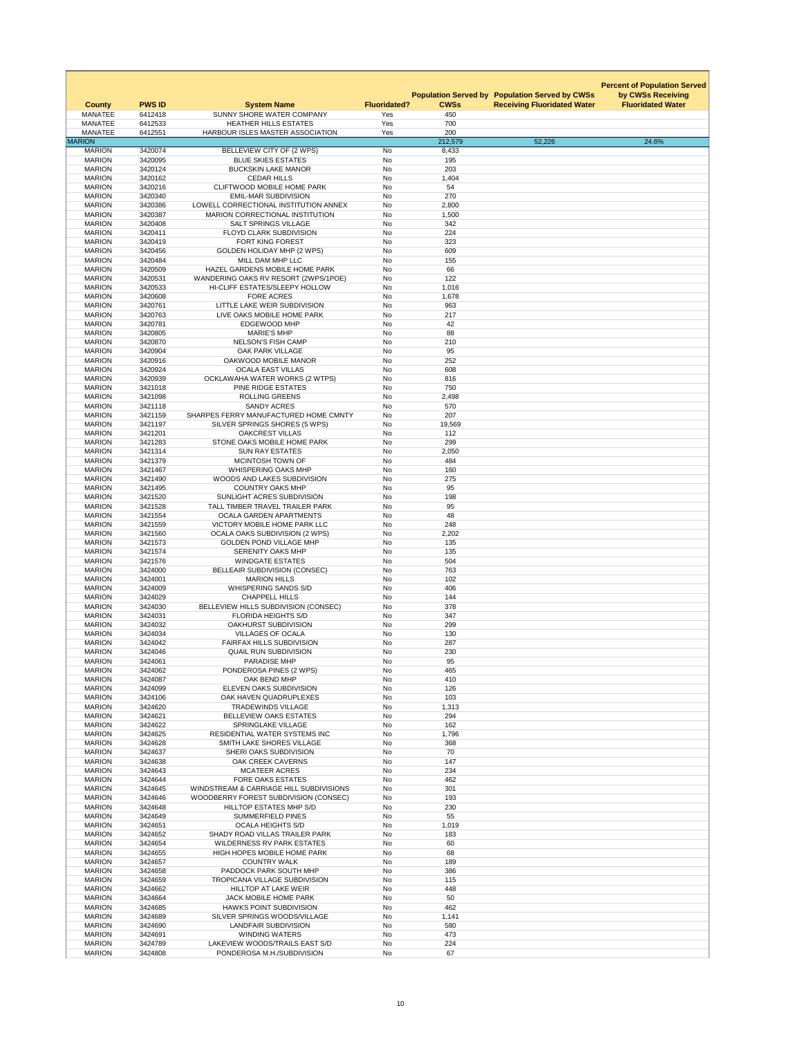| <b>County</b>                   | <b>PWS ID</b>      | <b>System Name</b>                                                  | <b>Fluoridated?</b> | <b>CWSs</b>    | <b>Population Served by Population Served by CWSs</b><br><b>Receiving Fluoridated Water</b> | <b>Percent of Population Served</b><br>by CWSs Receiving<br><b>Fluoridated Water</b> |
|---------------------------------|--------------------|---------------------------------------------------------------------|---------------------|----------------|---------------------------------------------------------------------------------------------|--------------------------------------------------------------------------------------|
| <b>MANATEE</b>                  | 6412418            | SUNNY SHORE WATER COMPANY                                           | Yes                 | 450            |                                                                                             |                                                                                      |
| <b>MANATEE</b>                  | 6412533            | <b>HEATHER HILLS ESTATES</b>                                        | Yes                 | 700            |                                                                                             |                                                                                      |
| <b>MANATEE</b><br><b>MARION</b> | 6412551            | HARBOUR ISLES MASTER ASSOCIATION                                    | Yes                 | 200<br>212,579 | 52,226                                                                                      | 24.6%                                                                                |
| <b>MARION</b>                   | 3420074            | BELLEVIEW CITY OF (2 WPS)                                           | No                  | 8,433          |                                                                                             |                                                                                      |
| <b>MARION</b>                   | 3420095            | <b>BLUE SKIES ESTATES</b>                                           | <b>No</b>           | 195            |                                                                                             |                                                                                      |
| <b>MARION</b>                   | 3420124            | <b>BUCKSKIN LAKE MANOR</b>                                          | No                  | 203            |                                                                                             |                                                                                      |
| <b>MARION</b>                   | 3420162            | <b>CEDAR HILLS</b>                                                  | <b>No</b>           | 1,404          |                                                                                             |                                                                                      |
| <b>MARION</b><br><b>MARION</b>  | 3420216<br>3420340 | <b>CLIFTWOOD MOBILE HOME PARK</b><br><b>EMIL-MAR SUBDIVISION</b>    | No<br>No            | 54<br>270      |                                                                                             |                                                                                      |
| <b>MARION</b>                   | 3420386            | LOWELL CORRECTIONAL INSTITUTION ANNEX                               | No                  | 2,800          |                                                                                             |                                                                                      |
| <b>MARION</b>                   | 3420387            | <b>MARION CORRECTIONAL INSTITUTION</b>                              | No                  | 1,500          |                                                                                             |                                                                                      |
| <b>MARION</b>                   | 3420408            | <b>SALT SPRINGS VILLAGE</b>                                         | No                  | 342            |                                                                                             |                                                                                      |
| <b>MARION</b>                   | 3420411            | <b>FLOYD CLARK SUBDIVISION</b>                                      | No                  | 224            |                                                                                             |                                                                                      |
| <b>MARION</b>                   | 3420419            | <b>FORT KING FOREST</b>                                             | No                  | 323            |                                                                                             |                                                                                      |
| <b>MARION</b><br><b>MARION</b>  | 3420456<br>3420484 | <b>GOLDEN HOLIDAY MHP (2 WPS)</b><br>MILL DAM MHP LLC               | No<br>No            | 609<br>155     |                                                                                             |                                                                                      |
| <b>MARION</b>                   | 3420509            | HAZEL GARDENS MOBILE HOME PARK                                      | <b>No</b>           | 66             |                                                                                             |                                                                                      |
| <b>MARION</b>                   | 3420531            | WANDERING OAKS RV RESORT (2WPS/1POE)                                | No                  | 122            |                                                                                             |                                                                                      |
| <b>MARION</b>                   | 3420533            | HI-CLIFF ESTATES/SLEEPY HOLLOW                                      | No                  | 1,016          |                                                                                             |                                                                                      |
| <b>MARION</b>                   | 3420608            | <b>FORE ACRES</b>                                                   | No                  | 1,678          |                                                                                             |                                                                                      |
| <b>MARION</b>                   | 3420761            | LITTLE LAKE WEIR SUBDIVISION                                        | No<br><b>No</b>     | 963<br>217     |                                                                                             |                                                                                      |
| <b>MARION</b><br><b>MARION</b>  | 3420763<br>3420781 | LIVE OAKS MOBILE HOME PARK<br><b>EDGEWOOD MHP</b>                   | <b>No</b>           | 42             |                                                                                             |                                                                                      |
| <b>MARION</b>                   | 3420805            | <b>MARIE'S MHP</b>                                                  | No                  | 88             |                                                                                             |                                                                                      |
| <b>MARION</b>                   | 3420870            | <b>NELSON'S FISH CAMP</b>                                           | No                  | 210            |                                                                                             |                                                                                      |
| <b>MARION</b>                   | 3420904            | OAK PARK VILLAGE                                                    | No                  | 95             |                                                                                             |                                                                                      |
| <b>MARION</b>                   | 3420916            | OAKWOOD MOBILE MANOR                                                | No                  | 252            |                                                                                             |                                                                                      |
| <b>MARION</b>                   | 3420924            | <b>OCALA EAST VILLAS</b>                                            | No                  | 608            |                                                                                             |                                                                                      |
| <b>MARION</b><br><b>MARION</b>  | 3420939<br>3421018 | OCKLAWAHA WATER WORKS (2 WTPS)<br>PINE RIDGE ESTATES                | No<br>No            | 816<br>750     |                                                                                             |                                                                                      |
| <b>MARION</b>                   | 3421098            | <b>ROLLING GREENS</b>                                               | No                  | 2,498          |                                                                                             |                                                                                      |
| <b>MARION</b>                   | 3421118            | <b>SANDY ACRES</b>                                                  | No                  | 570            |                                                                                             |                                                                                      |
| <b>MARION</b>                   | 3421159            | SHARPES FERRY MANUFACTURED HOME CMNTY                               | No                  | 207            |                                                                                             |                                                                                      |
| <b>MARION</b>                   | 3421197            | SILVER SPRINGS SHORES (5 WPS)                                       | No                  | 19,569         |                                                                                             |                                                                                      |
| <b>MARION</b><br><b>MARION</b>  | 3421201<br>3421283 | <b>OAKCREST VILLAS</b><br>STONE OAKS MOBILE HOME PARK               | No<br>No            | 112<br>299     |                                                                                             |                                                                                      |
| <b>MARION</b>                   | 3421314            | <b>SUN RAY ESTATES</b>                                              | No                  | 2,050          |                                                                                             |                                                                                      |
| <b>MARION</b>                   | 3421379            | MCINTOSH TOWN OF                                                    | No                  | 484            |                                                                                             |                                                                                      |
| <b>MARION</b>                   | 3421467            | <b>WHISPERING OAKS MHP</b>                                          | No                  | 160            |                                                                                             |                                                                                      |
| <b>MARION</b>                   | 3421490            | WOODS AND LAKES SUBDIVISION                                         | No                  | 275            |                                                                                             |                                                                                      |
| <b>MARION</b>                   | 3421495            | <b>COUNTRY OAKS MHP</b>                                             | <b>No</b>           | 95             |                                                                                             |                                                                                      |
| <b>MARION</b><br><b>MARION</b>  | 3421520<br>3421528 | SUNLIGHT ACRES SUBDIVISION<br>TALL TIMBER TRAVEL TRAILER PARK       | No<br>No            | 198<br>95      |                                                                                             |                                                                                      |
| <b>MARION</b>                   | 3421554            | <b>OCALA GARDEN APARTMENTS</b>                                      | No                  | 48             |                                                                                             |                                                                                      |
| <b>MARION</b>                   | 3421559            | VICTORY MOBILE HOME PARK LLC                                        | No                  | 248            |                                                                                             |                                                                                      |
| <b>MARION</b>                   | 3421560            | <b>OCALA OAKS SUBDIVISION (2 WPS)</b>                               | No                  | 2,202          |                                                                                             |                                                                                      |
| <b>MARION</b>                   | 3421573            | <b>GOLDEN POND VILLAGE MHP</b>                                      | No                  | 135            |                                                                                             |                                                                                      |
| <b>MARION</b><br><b>MARION</b>  | 3421574<br>3421576 | <b>SERENITY OAKS MHP</b><br><b>WINDGATE ESTATES</b>                 | No<br>No            | 135<br>504     |                                                                                             |                                                                                      |
| <b>MARION</b>                   | 3424000            | <b>BELLEAIR SUBDIVISION (CONSEC)</b>                                | No                  | 763            |                                                                                             |                                                                                      |
| <b>MARION</b>                   | 3424001            | <b>MARION HILLS</b>                                                 | No                  | 102            |                                                                                             |                                                                                      |
| <b>MARION</b>                   | 3424009            | WHISPERING SANDS S/D                                                | No                  | 406            |                                                                                             |                                                                                      |
| <b>MARION</b>                   | 3424029            | <b>CHAPPELL HILLS</b>                                               | <b>No</b>           | 144            |                                                                                             |                                                                                      |
| <b>MARION</b><br><b>MARION</b>  | 3424030<br>3424031 | BELLEVIEW HILLS SUBDIVISION (CONSEC)<br><b>FLORIDA HEIGHTS S/D</b>  | No<br>No            | 378<br>347     |                                                                                             |                                                                                      |
| <b>MARION</b>                   | 3424032            | <b>OAKHURST SUBDIVISION</b>                                         | No                  | 299            |                                                                                             |                                                                                      |
| <b>MARION</b>                   | 3424034            | <b>VILLAGES OF OCALA</b>                                            | No                  | 130            |                                                                                             |                                                                                      |
| <b>MARION</b>                   | 3424042            | <b>FAIRFAX HILLS SUBDIVISION</b>                                    | No                  | 287            |                                                                                             |                                                                                      |
| <b>MARION</b>                   | 3424046            | <b>QUAIL RUN SUBDIVISION</b>                                        | No                  | 230            |                                                                                             |                                                                                      |
| <b>MARION</b>                   | 3424061            | <b>PARADISE MHP</b>                                                 | No                  | 95             |                                                                                             |                                                                                      |
| <b>MARION</b><br><b>MARION</b>  | 3424062<br>3424087 | PONDEROSA PINES (2 WPS)<br>OAK BEND MHP                             | No<br><b>No</b>     | 465<br>410     |                                                                                             |                                                                                      |
| <b>MARION</b>                   | 3424099            | ELEVEN OAKS SUBDIVISION                                             | No                  | 126            |                                                                                             |                                                                                      |
| <b>MARION</b>                   | 3424106            | OAK HAVEN QUADRUPLEXES                                              | No                  | 103            |                                                                                             |                                                                                      |
| <b>MARION</b>                   | 3424620            | <b>TRADEWINDS VILLAGE</b>                                           | No                  | 1,313          |                                                                                             |                                                                                      |
| <b>MARION</b>                   | 3424621            | <b>BELLEVIEW OAKS ESTATES</b>                                       | No                  | 294            |                                                                                             |                                                                                      |
| <b>MARION</b><br><b>MARION</b>  | 3424622<br>3424625 | <b>SPRINGLAKE VILLAGE</b><br><b>RESIDENTIAL WATER SYSTEMS INC</b>   | No<br>No            | 162<br>1,796   |                                                                                             |                                                                                      |
| <b>MARION</b>                   | 3424628            | SMITH LAKE SHORES VILLAGE                                           | No                  | 368            |                                                                                             |                                                                                      |
| <b>MARION</b>                   | 3424637            | SHERI OAKS SUBDIVISION                                              | No                  | 70             |                                                                                             |                                                                                      |
| <b>MARION</b>                   | 3424638            | <b>OAK CREEK CAVERNS</b>                                            | <b>No</b>           | 147            |                                                                                             |                                                                                      |
| <b>MARION</b>                   | 3424643            | <b>MCATEER ACRES</b>                                                | <b>No</b>           | 234            |                                                                                             |                                                                                      |
| <b>MARION</b><br><b>MARION</b>  | 3424644<br>3424645 | <b>FORE OAKS ESTATES</b><br>WINDSTREAM & CARRIAGE HILL SUBDIVISIONS | No<br>No            | 462<br>301     |                                                                                             |                                                                                      |
| <b>MARION</b>                   | 3424646            | WOODBERRY FOREST SUBDIVISION (CONSEC)                               | No                  | 193            |                                                                                             |                                                                                      |
| <b>MARION</b>                   | 3424648            | HILLTOP ESTATES MHP S/D                                             | No                  | 230            |                                                                                             |                                                                                      |
| <b>MARION</b>                   | 3424649            | <b>SUMMERFIELD PINES</b>                                            | <b>No</b>           | 55             |                                                                                             |                                                                                      |
| <b>MARION</b>                   | 3424651            | <b>OCALA HEIGHTS S/D</b>                                            | No                  | 1,019          |                                                                                             |                                                                                      |
| <b>MARION</b><br><b>MARION</b>  | 3424652<br>3424654 | SHADY ROAD VILLAS TRAILER PARK<br><b>WILDERNESS RV PARK ESTATES</b> | No<br>No            | 183<br>60      |                                                                                             |                                                                                      |
| <b>MARION</b>                   | 3424655            | <b>HIGH HOPES MOBILE HOME PARK</b>                                  | No                  | 68             |                                                                                             |                                                                                      |
| <b>MARION</b>                   | 3424657            | <b>COUNTRY WALK</b>                                                 | No                  | 189            |                                                                                             |                                                                                      |
| <b>MARION</b>                   | 3424658            | PADDOCK PARK SOUTH MHP                                              | <b>No</b>           | 386            |                                                                                             |                                                                                      |
| <b>MARION</b>                   | 3424659            | <b>TROPICANA VILLAGE SUBDIVISION</b>                                | No                  | 115            |                                                                                             |                                                                                      |
| <b>MARION</b>                   | 3424662            | <b>HILLTOP AT LAKE WEIR</b>                                         | No                  | 448            |                                                                                             |                                                                                      |
| <b>MARION</b><br><b>MARION</b>  | 3424664<br>3424685 | JACK MOBILE HOME PARK<br><b>HAWKS POINT SUBDIVISION</b>             | No<br>No            | 50<br>462      |                                                                                             |                                                                                      |
| <b>MARION</b>                   | 3424689            | SILVER SPRINGS WOODS/VILLAGE                                        | No                  | 1,141          |                                                                                             |                                                                                      |
| <b>MARION</b>                   | 3424690            | <b>LANDFAIR SUBDIVISION</b>                                         | No                  | 580            |                                                                                             |                                                                                      |
| <b>MARION</b>                   | 3424691            | <b>WINDING WATERS</b>                                               | No                  | 473            |                                                                                             |                                                                                      |
| <b>MARION</b>                   | 3424789            | LAKEVIEW WOODS/TRAILS EAST S/D<br>PONDEROSA M.H./SUBDIVISION        | No                  | 224            |                                                                                             |                                                                                      |
| <b>MARION</b>                   | 3424808            |                                                                     | No                  | 67             |                                                                                             |                                                                                      |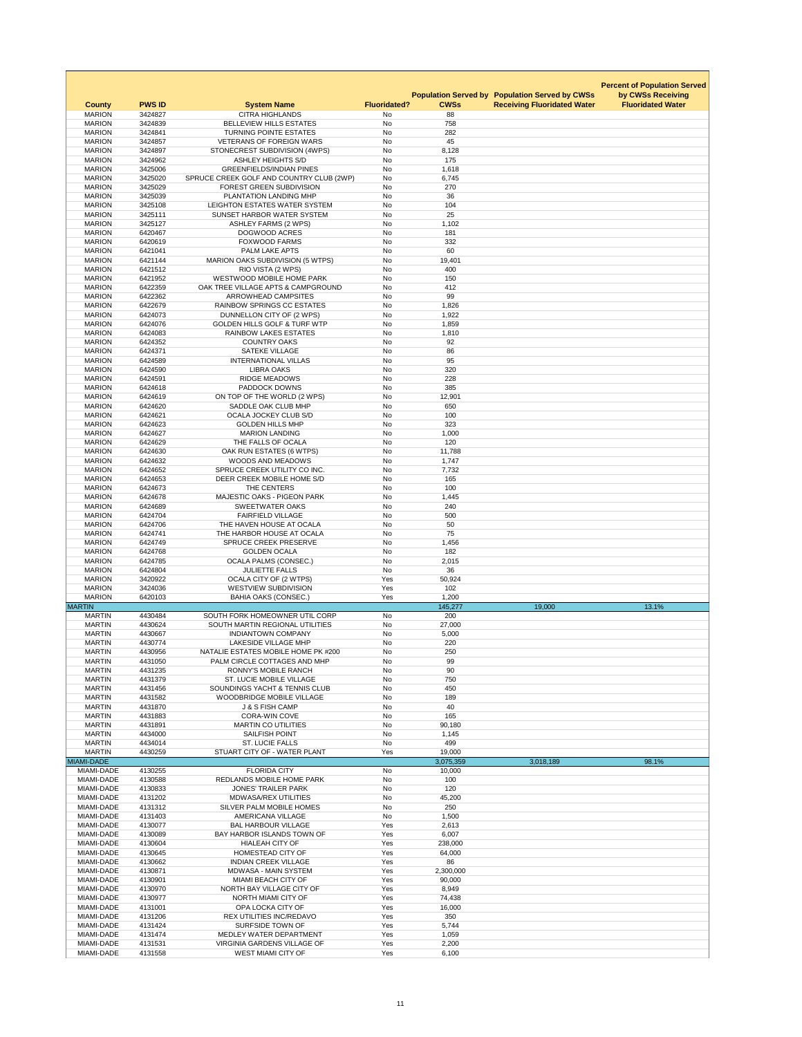|                                |                    |                                                                      |                        |                     |                                                                                             | <b>Percent of Population Served</b>           |
|--------------------------------|--------------------|----------------------------------------------------------------------|------------------------|---------------------|---------------------------------------------------------------------------------------------|-----------------------------------------------|
| <b>County</b>                  | <b>PWS ID</b>      | <b>System Name</b>                                                   | <b>Fluoridated?</b>    | <b>CWSs</b>         | <b>Population Served by Population Served by CWSs</b><br><b>Receiving Fluoridated Water</b> | by CWSs Receiving<br><b>Fluoridated Water</b> |
| <b>MARION</b>                  | 3424827            | <b>CITRA HIGHLANDS</b>                                               | No                     | 88                  |                                                                                             |                                               |
| <b>MARION</b><br><b>MARION</b> | 3424839<br>3424841 | <b>BELLEVIEW HILLS ESTATES</b><br><b>TURNING POINTE ESTATES</b>      | <b>No</b><br>No        | 758<br>282          |                                                                                             |                                               |
| <b>MARION</b>                  | 3424857            | <b>VETERANS OF FOREIGN WARS</b>                                      | <b>No</b>              | 45                  |                                                                                             |                                               |
| <b>MARION</b>                  | 3424897            | STONECREST SUBDIVISION (4WPS)                                        | No                     | 8,128               |                                                                                             |                                               |
| <b>MARION</b>                  | 3424962            | <b>ASHLEY HEIGHTS S/D</b>                                            | <b>No</b>              | 175                 |                                                                                             |                                               |
| <b>MARION</b>                  | 3425006            | <b>GREENFIELDS/INDIAN PINES</b>                                      | No                     | 1,618               |                                                                                             |                                               |
| <b>MARION</b>                  | 3425020            | SPRUCE CREEK GOLF AND COUNTRY CLUB (2WP)                             | No                     | 6,745               |                                                                                             |                                               |
| <b>MARION</b>                  | 3425029            | FOREST GREEN SUBDIVISION                                             | <b>No</b>              | 270                 |                                                                                             |                                               |
| <b>MARION</b>                  | 3425039            | PLANTATION LANDING MHP                                               | No                     | 36                  |                                                                                             |                                               |
| <b>MARION</b>                  | 3425108            | LEIGHTON ESTATES WATER SYSTEM                                        | <b>No</b>              | 104                 |                                                                                             |                                               |
| <b>MARION</b>                  | 3425111            | SUNSET HARBOR WATER SYSTEM                                           | No                     | 25                  |                                                                                             |                                               |
| <b>MARION</b>                  | 3425127            | <b>ASHLEY FARMS (2 WPS)</b>                                          | No                     | 1,102               |                                                                                             |                                               |
| <b>MARION</b>                  | 6420467            | <b>DOGWOOD ACRES</b>                                                 | <b>No</b>              | 181                 |                                                                                             |                                               |
| <b>MARION</b>                  | 6420619            | <b>FOXWOOD FARMS</b>                                                 | No                     | 332                 |                                                                                             |                                               |
| <b>MARION</b>                  | 6421041            | PALM LAKE APTS                                                       | <b>No</b>              | 60                  |                                                                                             |                                               |
| <b>MARION</b>                  | 6421144            | <b>MARION OAKS SUBDIVISION (5 WTPS)</b>                              | <b>No</b>              | 19,401              |                                                                                             |                                               |
| <b>MARION</b>                  | 6421512            | RIO VISTA (2 WPS)                                                    | <b>No</b>              | 400                 |                                                                                             |                                               |
| <b>MARION</b>                  | 6421952            | <b>WESTWOOD MOBILE HOME PARK</b>                                     | No                     | 150                 |                                                                                             |                                               |
| <b>MARION</b>                  | 6422359            | OAK TREE VILLAGE APTS & CAMPGROUND                                   | No                     | 412                 |                                                                                             |                                               |
| <b>MARION</b>                  | 6422362            | <b>ARROWHEAD CAMPSITES</b>                                           | <b>No</b>              | 99                  |                                                                                             |                                               |
| <b>MARION</b>                  | 6422679            | <b>RAINBOW SPRINGS CC ESTATES</b>                                    | No                     | 1,826               |                                                                                             |                                               |
| <b>MARION</b>                  | 6424073            | DUNNELLON CITY OF (2 WPS)<br><b>GOLDEN HILLS GOLF &amp; TURF WTP</b> | <b>No</b>              | 1,922               |                                                                                             |                                               |
| <b>MARION</b>                  | 6424076            |                                                                      | <b>No</b>              | 1,859               |                                                                                             |                                               |
| <b>MARION</b><br><b>MARION</b> | 6424083<br>6424352 | <b>RAINBOW LAKES ESTATES</b><br><b>COUNTRY OAKS</b>                  | <b>No</b><br><b>No</b> | 1,810<br>92         |                                                                                             |                                               |
| <b>MARION</b>                  | 6424371            | <b>SATEKE VILLAGE</b>                                                | <b>No</b>              | 86                  |                                                                                             |                                               |
| <b>MARION</b>                  | 6424589            | <b>INTERNATIONAL VILLAS</b>                                          | No                     | 95                  |                                                                                             |                                               |
| <b>MARION</b>                  | 6424590            | <b>LIBRA OAKS</b>                                                    | <b>No</b>              | 320                 |                                                                                             |                                               |
| <b>MARION</b>                  | 6424591            | <b>RIDGE MEADOWS</b>                                                 | <b>No</b>              | 228                 |                                                                                             |                                               |
| <b>MARION</b>                  | 6424618            | PADDOCK DOWNS                                                        | <b>No</b>              | 385                 |                                                                                             |                                               |
| <b>MARION</b>                  | 6424619            | ON TOP OF THE WORLD (2 WPS)                                          | No                     | 12,901              |                                                                                             |                                               |
| <b>MARION</b>                  | 6424620            | SADDLE OAK CLUB MHP                                                  | <b>No</b>              | 650                 |                                                                                             |                                               |
| <b>MARION</b>                  | 6424621            | <b>OCALA JOCKEY CLUB S/D</b>                                         | No                     | 100                 |                                                                                             |                                               |
| <b>MARION</b>                  | 6424623            | <b>GOLDEN HILLS MHP</b>                                              | <b>No</b>              | 323                 |                                                                                             |                                               |
| <b>MARION</b>                  | 6424627            | <b>MARION LANDING</b>                                                | <b>No</b>              | 1,000               |                                                                                             |                                               |
| <b>MARION</b>                  | 6424629            | THE FALLS OF OCALA                                                   | No                     | 120                 |                                                                                             |                                               |
| <b>MARION</b>                  | 6424630            | OAK RUN ESTATES (6 WTPS)                                             | <b>No</b>              | 11,788              |                                                                                             |                                               |
| <b>MARION</b>                  | 6424632            | <b>WOODS AND MEADOWS</b>                                             | <b>No</b>              | 1,747               |                                                                                             |                                               |
| <b>MARION</b>                  | 6424652            | SPRUCE CREEK UTILITY CO INC.                                         | <b>No</b>              | 7,732               |                                                                                             |                                               |
| <b>MARION</b>                  | 6424653            | DEER CREEK MOBILE HOME S/D                                           | <b>No</b>              | 165                 |                                                                                             |                                               |
| <b>MARION</b>                  | 6424673            | THE CENTERS                                                          | No                     | 100                 |                                                                                             |                                               |
| <b>MARION</b>                  | 6424678            | <b>MAJESTIC OAKS - PIGEON PARK</b>                                   | No                     | 1,445               |                                                                                             |                                               |
| <b>MARION</b>                  | 6424689            | <b>SWEETWATER OAKS</b>                                               | <b>No</b>              | 240                 |                                                                                             |                                               |
| <b>MARION</b>                  | 6424704            | <b>FAIRFIELD VILLAGE</b>                                             | <b>No</b>              | 500                 |                                                                                             |                                               |
| <b>MARION</b><br><b>MARION</b> | 6424706<br>6424741 | THE HAVEN HOUSE AT OCALA<br>THE HARBOR HOUSE AT OCALA                | No<br><b>No</b>        | 50<br>75            |                                                                                             |                                               |
| <b>MARION</b>                  | 6424749            | <b>SPRUCE CREEK PRESERVE</b>                                         | <b>No</b>              | 1,456               |                                                                                             |                                               |
| <b>MARION</b>                  | 6424768            | <b>GOLDEN OCALA</b>                                                  | <b>No</b>              | 182                 |                                                                                             |                                               |
| <b>MARION</b>                  | 6424785            | <b>OCALA PALMS (CONSEC.)</b>                                         | <b>No</b>              | 2,015               |                                                                                             |                                               |
| <b>MARION</b>                  | 6424804            | <b>JULIETTE FALLS</b>                                                | <b>No</b>              | 36                  |                                                                                             |                                               |
| <b>MARION</b>                  | 3420922            | <b>OCALA CITY OF (2 WTPS)</b>                                        | Yes                    | 50,924              |                                                                                             |                                               |
| <b>MARION</b>                  | 3424036            | <b>WESTVIEW SUBDIVISION</b>                                          | Yes                    | 102                 |                                                                                             |                                               |
| <b>MARION</b>                  | 6420103            | <b>BAHIA OAKS (CONSEC.)</b>                                          | Yes                    | 1,200               |                                                                                             |                                               |
| <b>MARTIN</b>                  |                    |                                                                      |                        | 145,277             | 19,000                                                                                      | 13.1%                                         |
| <b>MARTIN</b>                  | 4430484            | SOUTH FORK HOMEOWNER UTIL CORP                                       | No                     | 200                 |                                                                                             |                                               |
| <b>MARTIN</b>                  | 4430624            | SOUTH MARTIN REGIONAL UTILITIES                                      | <b>No</b>              | 27,000              |                                                                                             |                                               |
| <b>MARTIN</b>                  | 4430667            | <b>INDIANTOWN COMPANY</b>                                            | <b>No</b>              | 5,000               |                                                                                             |                                               |
| <b>MARTIN</b>                  | 4430774            | <b>LAKESIDE VILLAGE MHP</b>                                          | No                     | 220                 |                                                                                             |                                               |
| <b>MARTIN</b>                  | 4430956            | NATALIE ESTATES MOBILE HOME PK #200                                  | <b>No</b>              | 250                 |                                                                                             |                                               |
| <b>MARTIN</b>                  | 4431050            | PALM CIRCLE COTTAGES AND MHP                                         | <b>No</b>              | 99                  |                                                                                             |                                               |
| <b>MARTIN</b>                  | 4431235            | <b>RONNY'S MOBILE RANCH</b>                                          | <b>No</b>              | 90                  |                                                                                             |                                               |
| <b>MARTIN</b>                  | 4431379            | <b>ST. LUCIE MOBILE VILLAGE</b>                                      | <b>No</b>              | 750                 |                                                                                             |                                               |
| <b>MARTIN</b>                  | 4431456            | SOUNDINGS YACHT & TENNIS CLUB                                        | <b>No</b>              | 450                 |                                                                                             |                                               |
| <b>MARTIN</b>                  | 4431582            | <b>WOODBRIDGE MOBILE VILLAGE</b>                                     | <b>No</b>              | 189                 |                                                                                             |                                               |
| <b>MARTIN</b>                  | 4431870            | <b>J &amp; S FISH CAMP</b>                                           | <b>No</b>              | 40                  |                                                                                             |                                               |
| <b>MARTIN</b>                  | 4431883            | <b>CORA-WIN COVE</b>                                                 | No                     | 165                 |                                                                                             |                                               |
| <b>MARTIN</b>                  | 4431891            | <b>MARTIN CO UTILITIES</b>                                           | No                     | 90,180              |                                                                                             |                                               |
| <b>MARTIN</b>                  | 4434000            | <b>SAILFISH POINT</b>                                                | <b>No</b>              | 1,145               |                                                                                             |                                               |
| <b>MARTIN</b>                  | 4434014            | <b>ST. LUCIE FALLS</b>                                               | <b>No</b>              | 499                 |                                                                                             |                                               |
| <b>MARTIN</b><br>MIAMI-DADE    | 4430259            | STUART CITY OF - WATER PLANT                                         | Yes                    | 19,000<br>3,075,359 |                                                                                             | 98.1%                                         |
| MIAMI-DADE                     | 4130255            | <b>FLORIDA CITY</b>                                                  | No                     | 10,000              | 3,018,189                                                                                   |                                               |
| <b>MIAMI-DADE</b>              | 4130588            | <b>REDLANDS MOBILE HOME PARK</b>                                     | No                     | 100                 |                                                                                             |                                               |
| <b>MIAMI-DADE</b>              | 4130833            | <b>JONES' TRAILER PARK</b>                                           | <b>No</b>              | 120                 |                                                                                             |                                               |
| <b>MIAMI-DADE</b>              | 4131202            | <b>MDWASA/REX UTILITIES</b>                                          | <b>No</b>              | 45,200              |                                                                                             |                                               |
| <b>MIAMI-DADE</b>              | 4131312            | SILVER PALM MOBILE HOMES                                             | No                     | 250                 |                                                                                             |                                               |
| MIAMI-DADE                     | 4131403            | <b>AMERICANA VILLAGE</b>                                             | <b>No</b>              | 1,500               |                                                                                             |                                               |
| MIAMI-DADE                     | 4130077            | <b>BAL HARBOUR VILLAGE</b>                                           | Yes                    | 2,613               |                                                                                             |                                               |
| <b>MIAMI-DADE</b>              | 4130089            | BAY HARBOR ISLANDS TOWN OF                                           | Yes                    | 6,007               |                                                                                             |                                               |
| <b>MIAMI-DADE</b>              | 4130604            | <b>HIALEAH CITY OF</b>                                               | Yes                    | 238,000             |                                                                                             |                                               |
| <b>MIAMI-DADE</b>              | 4130645            | <b>HOMESTEAD CITY OF</b>                                             | Yes                    | 64,000              |                                                                                             |                                               |
| <b>MIAMI-DADE</b>              | 4130662            | <b>INDIAN CREEK VILLAGE</b>                                          | Yes                    | 86                  |                                                                                             |                                               |
| <b>MIAMI-DADE</b>              | 4130871            | <b>MDWASA - MAIN SYSTEM</b>                                          | Yes                    | 2,300,000           |                                                                                             |                                               |
| MIAMI-DADE                     | 4130901            | <b>MIAMI BEACH CITY OF</b>                                           | Yes                    | 90,000              |                                                                                             |                                               |
| <b>MIAMI-DADE</b>              | 4130970            | NORTH BAY VILLAGE CITY OF                                            | Yes                    | 8,949               |                                                                                             |                                               |
| <b>MIAMI-DADE</b>              | 4130977            | NORTH MIAMI CITY OF                                                  | Yes                    | 74,438              |                                                                                             |                                               |
| MIAMI-DADE                     | 4131001            | OPA LOCKA CITY OF                                                    | Yes                    | 16,000              |                                                                                             |                                               |
| MIAMI-DADE                     | 4131206            | REX UTILITIES INC/REDAVO                                             | Yes                    | 350                 |                                                                                             |                                               |
| MIAMI-DADE                     | 4131424            | <b>SURFSIDE TOWN OF</b>                                              | Yes                    | 5,744               |                                                                                             |                                               |
| MIAMI-DADE                     | 4131474            | MEDLEY WATER DEPARTMENT                                              | Yes                    | 1,059               |                                                                                             |                                               |
| MIAMI-DADE                     | 4131531            | <b>VIRGINIA GARDENS VILLAGE OF</b>                                   | Yes                    | 2,200               |                                                                                             |                                               |
| MIAMI-DADE                     | 4131558            | <b>WEST MIAMI CITY OF</b>                                            | Yes                    | 6,100               |                                                                                             |                                               |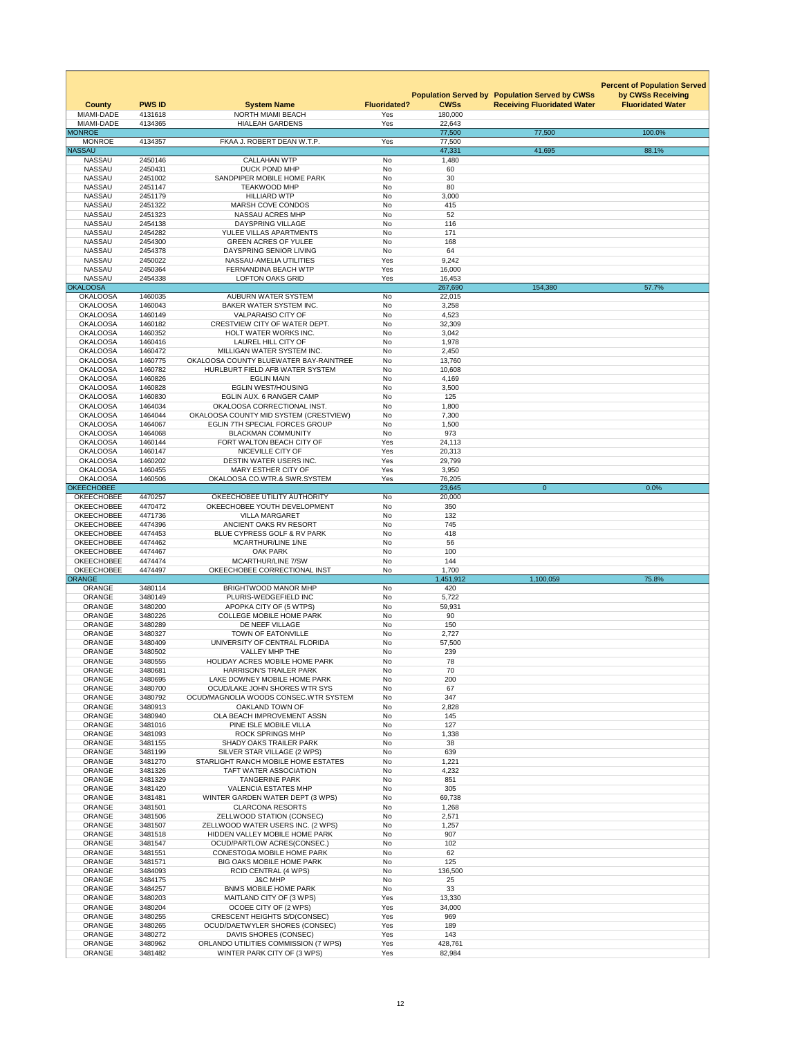| <b>County</b><br>MIAMI-DADE            | <b>PWS ID</b><br>4131618 | <b>System Name</b><br><b>NORTH MIAMI BEACH</b>                               | <b>Fluoridated?</b><br>Yes | <b>CWSs</b><br>180,000 | <b>Population Served by Population Served by CWSs</b><br><b>Receiving Fluoridated Water</b> | <b>Percent of Population Served</b><br>by CWSs Receiving<br><b>Fluoridated Water</b> |
|----------------------------------------|--------------------------|------------------------------------------------------------------------------|----------------------------|------------------------|---------------------------------------------------------------------------------------------|--------------------------------------------------------------------------------------|
| MIAMI-DADE<br><b>MONROE</b>            | 4134365                  | <b>HIALEAH GARDENS</b>                                                       | Yes                        | 22,643<br>77,500       | 77,500                                                                                      | 100.0%                                                                               |
| <b>MONROE</b>                          | 4134357                  | FKAA J. ROBERT DEAN W.T.P.                                                   | Yes                        | 77,500                 |                                                                                             |                                                                                      |
| <b>NASSAU</b>                          |                          |                                                                              |                            | 47,331                 | 41,695                                                                                      | 88.1%                                                                                |
| <b>NASSAU</b><br><b>NASSAU</b>         | 2450146<br>2450431       | <b>CALLAHAN WTP</b><br><b>DUCK POND MHP</b>                                  | No<br>No                   | 1,480<br>60            |                                                                                             |                                                                                      |
| <b>NASSAU</b>                          | 2451002                  | SANDPIPER MOBILE HOME PARK                                                   | No                         | 30                     |                                                                                             |                                                                                      |
| <b>NASSAU</b>                          | 2451147                  | <b>TEAKWOOD MHP</b>                                                          | No                         | 80                     |                                                                                             |                                                                                      |
| <b>NASSAU</b>                          | 2451179                  | <b>HILLIARD WTP</b>                                                          | No                         | 3,000                  |                                                                                             |                                                                                      |
| <b>NASSAU</b><br><b>NASSAU</b>         | 2451322<br>2451323       | <b>MARSH COVE CONDOS</b><br>NASSAU ACRES MHP                                 | <b>No</b><br>No            | 415<br>52              |                                                                                             |                                                                                      |
| <b>NASSAU</b>                          | 2454138                  | <b>DAYSPRING VILLAGE</b>                                                     | No                         | 116                    |                                                                                             |                                                                                      |
| <b>NASSAU</b>                          | 2454282                  | YULEE VILLAS APARTMENTS                                                      | <b>No</b>                  | 171                    |                                                                                             |                                                                                      |
| <b>NASSAU</b>                          | 2454300                  | <b>GREEN ACRES OF YULEE</b>                                                  | No                         | 168                    |                                                                                             |                                                                                      |
| <b>NASSAU</b><br><b>NASSAU</b>         | 2454378<br>2450022       | DAYSPRING SENIOR LIVING<br><b>NASSAU-AMELIA UTILITIES</b>                    | <b>No</b><br>Yes           | 64<br>9,242            |                                                                                             |                                                                                      |
| <b>NASSAU</b>                          | 2450364                  | FERNANDINA BEACH WTP                                                         | Yes                        | 16,000                 |                                                                                             |                                                                                      |
| <b>NASSAU</b>                          | 2454338                  | <b>LOFTON OAKS GRID</b>                                                      | Yes                        | 16,453                 |                                                                                             |                                                                                      |
| <b>OKALOOSA</b>                        |                          |                                                                              |                            | 267,690                | 154,380                                                                                     | 57.7%                                                                                |
| <b>OKALOOSA</b><br><b>OKALOOSA</b>     | 1460035<br>1460043       | <b>AUBURN WATER SYSTEM</b><br>BAKER WATER SYSTEM INC.                        | No<br>No                   | 22,015<br>3,258        |                                                                                             |                                                                                      |
| <b>OKALOOSA</b>                        | 1460149                  | <b>VALPARAISO CITY OF</b>                                                    | <b>No</b>                  | 4,523                  |                                                                                             |                                                                                      |
| <b>OKALOOSA</b>                        | 1460182                  | CRESTVIEW CITY OF WATER DEPT.                                                | No                         | 32,309                 |                                                                                             |                                                                                      |
| <b>OKALOOSA</b>                        | 1460352                  | HOLT WATER WORKS INC.                                                        | No                         | 3,042                  |                                                                                             |                                                                                      |
| <b>OKALOOSA</b>                        | 1460416                  | <b>LAUREL HILL CITY OF</b>                                                   | No                         | 1,978                  |                                                                                             |                                                                                      |
| <b>OKALOOSA</b><br><b>OKALOOSA</b>     | 1460472<br>1460775       | MILLIGAN WATER SYSTEM INC.<br>OKALOOSA COUNTY BLUEWATER BAY-RAINTREE         | <b>No</b><br>No.           | 2,450<br>13,760        |                                                                                             |                                                                                      |
| <b>OKALOOSA</b>                        | 1460782                  | HURLBURT FIELD AFB WATER SYSTEM                                              | No                         | 10,608                 |                                                                                             |                                                                                      |
| <b>OKALOOSA</b>                        | 1460826                  | <b>EGLIN MAIN</b>                                                            | No                         | 4,169                  |                                                                                             |                                                                                      |
| <b>OKALOOSA</b>                        | 1460828                  | <b>EGLIN WEST/HOUSING</b>                                                    | No                         | 3,500                  |                                                                                             |                                                                                      |
| <b>OKALOOSA</b><br><b>OKALOOSA</b>     | 1460830<br>1464034       | EGLIN AUX. 6 RANGER CAMP<br>OKALOOSA CORRECTIONAL INST.                      | No<br>No                   | 125<br>1,800           |                                                                                             |                                                                                      |
| <b>OKALOOSA</b>                        | 1464044                  | OKALOOSA COUNTY MID SYSTEM (CRESTVIEW)                                       | No                         | 7,300                  |                                                                                             |                                                                                      |
| <b>OKALOOSA</b>                        | 1464067                  | <b>EGLIN 7TH SPECIAL FORCES GROUP</b>                                        | No                         | 1,500                  |                                                                                             |                                                                                      |
| <b>OKALOOSA</b>                        | 1464068                  | <b>BLACKMAN COMMUNITY</b>                                                    | No                         | 973                    |                                                                                             |                                                                                      |
| <b>OKALOOSA</b><br><b>OKALOOSA</b>     | 1460144<br>1460147       | FORT WALTON BEACH CITY OF<br>NICEVILLE CITY OF                               | Yes<br>Yes                 | 24,113<br>20,313       |                                                                                             |                                                                                      |
| <b>OKALOOSA</b>                        | 1460202                  | DESTIN WATER USERS INC.                                                      | Yes                        | 29,799                 |                                                                                             |                                                                                      |
| <b>OKALOOSA</b>                        | 1460455                  | <b>MARY ESTHER CITY OF</b>                                                   | Yes                        | 3,950                  |                                                                                             |                                                                                      |
| <b>OKALOOSA</b>                        | 1460506                  | OKALOOSA CO.WTR.& SWR.SYSTEM                                                 | Yes                        | 76,205                 |                                                                                             |                                                                                      |
| <b>OKEECHOBEE</b><br><b>OKEECHOBEE</b> | 4470257                  | OKEECHOBEE UTILITY AUTHORITY                                                 | No                         | 23,645<br>20,000       | $\overline{0}$                                                                              | 0.0%                                                                                 |
| <b>OKEECHOBEE</b>                      | 4470472                  | OKEECHOBEE YOUTH DEVELOPMENT                                                 | No                         | 350                    |                                                                                             |                                                                                      |
| <b>OKEECHOBEE</b>                      | 4471736                  | <b>VILLA MARGARET</b>                                                        | No                         | 132                    |                                                                                             |                                                                                      |
| <b>OKEECHOBEE</b>                      | 4474396                  | ANCIENT OAKS RV RESORT                                                       | No                         | 745                    |                                                                                             |                                                                                      |
| <b>OKEECHOBEE</b>                      | 4474453                  | BLUE CYPRESS GOLF & RV PARK                                                  | No                         | 418<br>56              |                                                                                             |                                                                                      |
| <b>OKEECHOBEE</b><br><b>OKEECHOBEE</b> | 4474462<br>4474467       | <b>MCARTHUR/LINE 1/NE</b><br><b>OAK PARK</b>                                 | No<br>No                   | 100                    |                                                                                             |                                                                                      |
| <b>OKEECHOBEE</b>                      | 4474474                  | <b>MCARTHUR/LINE 7/SW</b>                                                    | <b>No</b>                  | 144                    |                                                                                             |                                                                                      |
| <b>OKEECHOBEE</b>                      | 4474497                  | OKEECHOBEE CORRECTIONAL INST                                                 | No                         | 1,700                  |                                                                                             |                                                                                      |
| <b>ORANGE</b><br><b>ORANGE</b>         | 3480114                  | <b>BRIGHTWOOD MANOR MHP</b>                                                  | No                         | 1,451,912<br>420       | 1,100,059                                                                                   | 75.8%                                                                                |
| <b>ORANGE</b>                          | 3480149                  | PLURIS-WEDGEFIELD INC                                                        | No                         | 5,722                  |                                                                                             |                                                                                      |
| <b>ORANGE</b>                          | 3480200                  | APOPKA CITY OF (5 WTPS)                                                      | No                         | 59,931                 |                                                                                             |                                                                                      |
| <b>ORANGE</b>                          | 3480226                  | <b>COLLEGE MOBILE HOME PARK</b>                                              | No                         | 90                     |                                                                                             |                                                                                      |
| <b>ORANGE</b>                          | 3480289                  | DE NEEF VILLAGE<br><b>TOWN OF EATONVILLE</b>                                 | No<br>No                   | 150                    |                                                                                             |                                                                                      |
| <b>ORANGE</b><br><b>ORANGE</b>         | 3480327<br>3480409       | UNIVERSITY OF CENTRAL FLORIDA                                                | No                         | 2,727<br>57,500        |                                                                                             |                                                                                      |
| <b>ORANGE</b>                          | 3480502                  | <b>VALLEY MHP THE</b>                                                        | No                         | 239                    |                                                                                             |                                                                                      |
| <b>ORANGE</b>                          | 3480555                  | <b>HOLIDAY ACRES MOBILE HOME PARK</b>                                        | No                         | 78                     |                                                                                             |                                                                                      |
| <b>ORANGE</b>                          | 3480681                  | <b>HARRISON'S TRAILER PARK</b>                                               | <b>No</b>                  | 70                     |                                                                                             |                                                                                      |
| <b>ORANGE</b><br><b>ORANGE</b>         | 3480695<br>3480700       | LAKE DOWNEY MOBILE HOME PARK<br>OCUD/LAKE JOHN SHORES WTR SYS                | No<br>No                   | 200<br>67              |                                                                                             |                                                                                      |
| <b>ORANGE</b>                          | 3480792                  | OCUD/MAGNOLIA WOODS CONSEC.WTR SYSTEM                                        | No                         | 347                    |                                                                                             |                                                                                      |
| <b>ORANGE</b>                          | 3480913                  | OAKLAND TOWN OF                                                              | No                         | 2,828                  |                                                                                             |                                                                                      |
| <b>ORANGE</b>                          | 3480940                  | OLA BEACH IMPROVEMENT ASSN                                                   | No                         | 145                    |                                                                                             |                                                                                      |
| <b>ORANGE</b><br><b>ORANGE</b>         | 3481016<br>3481093       | PINE ISLE MOBILE VILLA<br><b>ROCK SPRINGS MHP</b>                            | No<br>No                   | 127<br>1,338           |                                                                                             |                                                                                      |
| <b>ORANGE</b>                          | 3481155                  | <b>SHADY OAKS TRAILER PARK</b>                                               | No                         | 38                     |                                                                                             |                                                                                      |
| <b>ORANGE</b>                          | 3481199                  | SILVER STAR VILLAGE (2 WPS)                                                  | No                         | 639                    |                                                                                             |                                                                                      |
| <b>ORANGE</b>                          | 3481270                  | STARLIGHT RANCH MOBILE HOME ESTATES                                          | No                         | 1,221                  |                                                                                             |                                                                                      |
| <b>ORANGE</b><br><b>ORANGE</b>         | 3481326<br>3481329       | <b>TAFT WATER ASSOCIATION</b><br><b>TANGERINE PARK</b>                       | No<br><b>No</b>            | 4,232<br>851           |                                                                                             |                                                                                      |
| <b>ORANGE</b>                          | 3481420                  | <b>VALENCIA ESTATES MHP</b>                                                  | No                         | 305                    |                                                                                             |                                                                                      |
| <b>ORANGE</b>                          | 3481481                  | WINTER GARDEN WATER DEPT (3 WPS)                                             | No                         | 69,738                 |                                                                                             |                                                                                      |
| <b>ORANGE</b>                          | 3481501                  | <b>CLARCONA RESORTS</b>                                                      | No                         | 1,268                  |                                                                                             |                                                                                      |
| <b>ORANGE</b>                          | 3481506                  | ZELLWOOD STATION (CONSEC)                                                    | No                         | 2,571                  |                                                                                             |                                                                                      |
| <b>ORANGE</b><br><b>ORANGE</b>         | 3481507<br>3481518       | ZELLWOOD WATER USERS INC. (2 WPS)<br>HIDDEN VALLEY MOBILE HOME PARK          | No<br>No                   | 1,257<br>907           |                                                                                             |                                                                                      |
| <b>ORANGE</b>                          | 3481547                  | <b>OCUD/PARTLOW ACRES(CONSEC.)</b>                                           | No                         | 102                    |                                                                                             |                                                                                      |
| <b>ORANGE</b>                          | 3481551                  | <b>CONESTOGA MOBILE HOME PARK</b>                                            | No                         | 62                     |                                                                                             |                                                                                      |
| <b>ORANGE</b>                          | 3481571                  | <b>BIG OAKS MOBILE HOME PARK</b>                                             | <b>No</b>                  | 125                    |                                                                                             |                                                                                      |
| <b>ORANGE</b><br><b>ORANGE</b>         | 3484093<br>3484175       | <b>RCID CENTRAL (4 WPS)</b><br><b>J&amp;C MHP</b>                            | No<br>No                   | 136,500<br>25          |                                                                                             |                                                                                      |
| <b>ORANGE</b>                          | 3484257                  | <b>BNMS MOBILE HOME PARK</b>                                                 | No                         | 33                     |                                                                                             |                                                                                      |
| <b>ORANGE</b>                          | 3480203                  | MAITLAND CITY OF (3 WPS)                                                     | Yes                        | 13,330                 |                                                                                             |                                                                                      |
| <b>ORANGE</b>                          | 3480204                  | OCOEE CITY OF (2 WPS)                                                        | Yes                        | 34,000                 |                                                                                             |                                                                                      |
| <b>ORANGE</b><br><b>ORANGE</b>         | 3480255<br>3480265       | <b>CRESCENT HEIGHTS S/D(CONSEC)</b><br><b>OCUD/DAETWYLER SHORES (CONSEC)</b> | Yes<br>Yes                 | 969<br>189             |                                                                                             |                                                                                      |
| <b>ORANGE</b>                          | 3480272                  | DAVIS SHORES (CONSEC)                                                        | Yes                        | 143                    |                                                                                             |                                                                                      |
| <b>ORANGE</b>                          | 3480962                  | ORLANDO UTILITIES COMMISSION (7 WPS)                                         | Yes                        | 428,761                |                                                                                             |                                                                                      |
| <b>ORANGE</b>                          | 3481482                  | WINTER PARK CITY OF (3 WPS)                                                  | Yes                        | 82,984                 |                                                                                             |                                                                                      |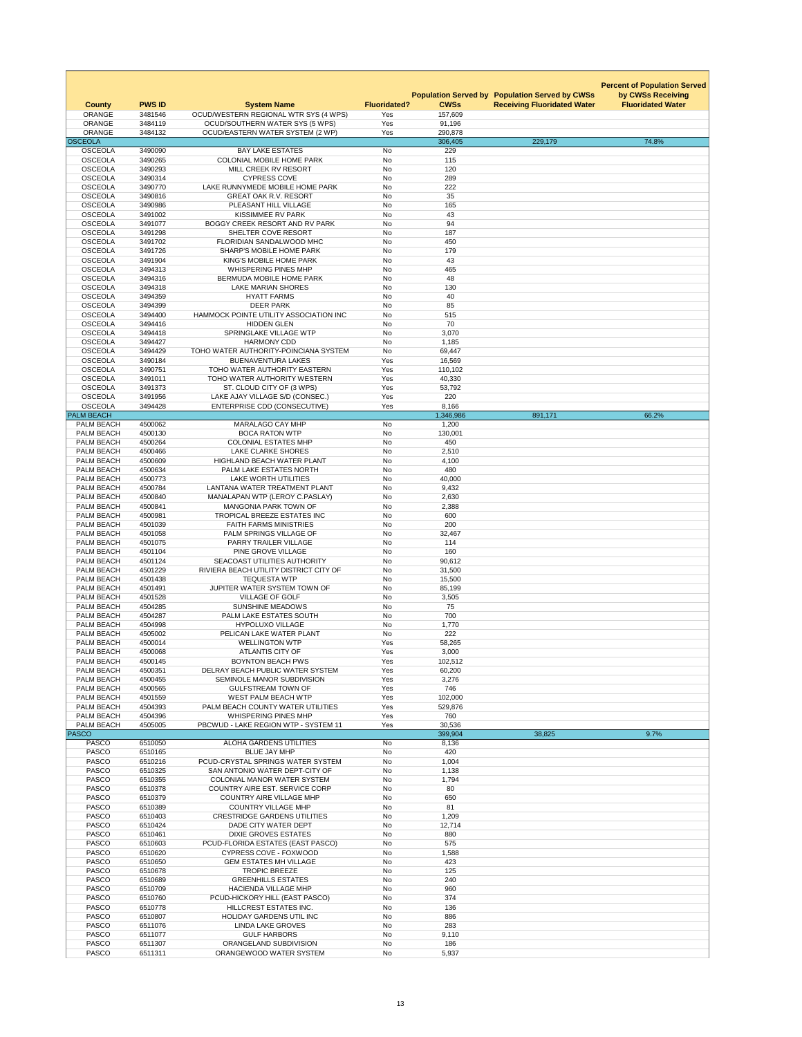|                                        |                    |                                                                            |                     |                   |                                                                                             | <b>Percent of Population Served</b>           |
|----------------------------------------|--------------------|----------------------------------------------------------------------------|---------------------|-------------------|---------------------------------------------------------------------------------------------|-----------------------------------------------|
| <b>County</b>                          | <b>PWS ID</b>      | <b>System Name</b>                                                         | <b>Fluoridated?</b> | <b>CWSs</b>       | <b>Population Served by Population Served by CWSs</b><br><b>Receiving Fluoridated Water</b> | by CWSs Receiving<br><b>Fluoridated Water</b> |
| <b>ORANGE</b>                          | 3481546            | OCUD/WESTERN REGIONAL WTR SYS (4 WPS)                                      | Yes                 | 157,609           |                                                                                             |                                               |
| <b>ORANGE</b><br><b>ORANGE</b>         | 3484119<br>3484132 | <b>OCUD/SOUTHERN WATER SYS (5 WPS)</b><br>OCUD/EASTERN WATER SYSTEM (2 WP) | Yes<br>Yes          | 91,196<br>290,878 |                                                                                             |                                               |
| <b>OSCEOLA</b>                         |                    | <b>BAY LAKE ESTATES</b>                                                    |                     | 306,405           | 229,179                                                                                     | 74.8%                                         |
| <b>OSCEOLA</b><br><b>OSCEOLA</b>       | 3490090<br>3490265 | <b>COLONIAL MOBILE HOME PARK</b>                                           | No<br>No            | 229<br>115        |                                                                                             |                                               |
| <b>OSCEOLA</b>                         | 3490293            | MILL CREEK RV RESORT                                                       | No                  | 120               |                                                                                             |                                               |
| <b>OSCEOLA</b><br><b>OSCEOLA</b>       | 3490314<br>3490770 | <b>CYPRESS COVE</b><br>LAKE RUNNYMEDE MOBILE HOME PARK                     | No<br><b>No</b>     | 289<br>222        |                                                                                             |                                               |
| <b>OSCEOLA</b>                         | 3490816            | <b>GREAT OAK R.V. RESORT</b>                                               | No                  | 35                |                                                                                             |                                               |
| <b>OSCEOLA</b><br><b>OSCEOLA</b>       | 3490986<br>3491002 | PLEASANT HILL VILLAGE<br><b>KISSIMMEE RV PARK</b>                          | <b>No</b><br>No     | 165<br>43         |                                                                                             |                                               |
| <b>OSCEOLA</b>                         | 3491077            | BOGGY CREEK RESORT AND RV PARK                                             | No                  | 94                |                                                                                             |                                               |
| <b>OSCEOLA</b><br><b>OSCEOLA</b>       | 3491298<br>3491702 | SHELTER COVE RESORT<br>FLORIDIAN SANDALWOOD MHC                            | No<br>No            | 187<br>450        |                                                                                             |                                               |
| <b>OSCEOLA</b>                         | 3491726            | <b>SHARP'S MOBILE HOME PARK</b>                                            | <b>No</b>           | 179               |                                                                                             |                                               |
| <b>OSCEOLA</b>                         | 3491904            | KING'S MOBILE HOME PARK                                                    | No                  | 43                |                                                                                             |                                               |
| <b>OSCEOLA</b><br><b>OSCEOLA</b>       | 3494313<br>3494316 | <b>WHISPERING PINES MHP</b><br><b>BERMUDA MOBILE HOME PARK</b>             | <b>No</b><br>No     | 465<br>48         |                                                                                             |                                               |
| <b>OSCEOLA</b>                         | 3494318            | <b>LAKE MARIAN SHORES</b>                                                  | No                  | 130               |                                                                                             |                                               |
| <b>OSCEOLA</b><br><b>OSCEOLA</b>       | 3494359<br>3494399 | <b>HYATT FARMS</b><br><b>DEER PARK</b>                                     | No<br>No            | 40<br>85          |                                                                                             |                                               |
| <b>OSCEOLA</b>                         | 3494400            | HAMMOCK POINTE UTILITY ASSOCIATION INC                                     | <b>No</b>           | 515               |                                                                                             |                                               |
| <b>OSCEOLA</b>                         | 3494416            | <b>HIDDEN GLEN</b>                                                         | No                  | 70                |                                                                                             |                                               |
| <b>OSCEOLA</b><br><b>OSCEOLA</b>       | 3494418<br>3494427 | SPRINGLAKE VILLAGE WTP<br><b>HARMONY CDD</b>                               | No<br>No            | 3,070<br>1,185    |                                                                                             |                                               |
| <b>OSCEOLA</b>                         | 3494429            | TOHO WATER AUTHORITY-POINCIANA SYSTEM                                      | No                  | 69,447            |                                                                                             |                                               |
| <b>OSCEOLA</b><br><b>OSCEOLA</b>       | 3490184<br>3490751 | <b>BUENAVENTURA LAKES</b><br>TOHO WATER AUTHORITY EASTERN                  | Yes<br>Yes          | 16,569<br>110,102 |                                                                                             |                                               |
| <b>OSCEOLA</b>                         | 3491011            | TOHO WATER AUTHORITY WESTERN                                               | Yes                 | 40,330            |                                                                                             |                                               |
| <b>OSCEOLA</b>                         | 3491373            | ST. CLOUD CITY OF (3 WPS)                                                  | Yes                 | 53,792            |                                                                                             |                                               |
| <b>OSCEOLA</b><br><b>OSCEOLA</b>       | 3491956<br>3494428 | LAKE AJAY VILLAGE S/D (CONSEC.)<br><b>ENTERPRISE CDD (CONSECUTIVE)</b>     | Yes<br>Yes          | 220<br>8,166      |                                                                                             |                                               |
| <b>PALM BEACH</b>                      |                    |                                                                            |                     | 1,346,986         | 891,171                                                                                     | 66.2%                                         |
| PALM BEACH<br>PALM BEACH               | 4500062<br>4500130 | <b>MARALAGO CAY MHP</b><br><b>BOCA RATON WTP</b>                           | No<br>No            | 1,200<br>130,001  |                                                                                             |                                               |
| PALM BEACH                             | 4500264            | <b>COLONIAL ESTATES MHP</b>                                                | No                  | 450               |                                                                                             |                                               |
| PALM BEACH                             | 4500466            | <b>LAKE CLARKE SHORES</b>                                                  | No                  | 2,510             |                                                                                             |                                               |
| PALM BEACH<br>PALM BEACH               | 4500609<br>4500634 | <b>HIGHLAND BEACH WATER PLANT</b><br>PALM LAKE ESTATES NORTH               | No<br>No            | 4,100<br>480      |                                                                                             |                                               |
| PALM BEACH                             | 4500773            | <b>LAKE WORTH UTILITIES</b>                                                | No                  | 40,000            |                                                                                             |                                               |
| PALM BEACH<br><b>PALM BEACH</b>        | 4500784<br>4500840 | LANTANA WATER TREATMENT PLANT<br>MANALAPAN WTP (LEROY C.PASLAY)            | No<br>No            | 9,432<br>2,630    |                                                                                             |                                               |
| PALM BEACH                             | 4500841            | <b>MANGONIA PARK TOWN OF</b>                                               | No                  | 2,388             |                                                                                             |                                               |
| PALM BEACH                             | 4500981            | TROPICAL BREEZE ESTATES INC                                                | No                  | 600               |                                                                                             |                                               |
| PALM BEACH<br>PALM BEACH               | 4501039<br>4501058 | <b>FAITH FARMS MINISTRIES</b><br>PALM SPRINGS VILLAGE OF                   | No<br>No            | 200<br>32,467     |                                                                                             |                                               |
| PALM BEACH                             | 4501075            | PARRY TRAILER VILLAGE                                                      | No                  | 114               |                                                                                             |                                               |
| PALM BEACH<br>PALM BEACH               | 4501104<br>4501124 | PINE GROVE VILLAGE<br>SEACOAST UTILITIES AUTHORITY                         | No<br>No            | 160<br>90,612     |                                                                                             |                                               |
| PALM BEACH                             | 4501229            | RIVIERA BEACH UTILITY DISTRICT CITY OF                                     | No                  | 31,500            |                                                                                             |                                               |
| PALM BEACH                             | 4501438            | <b>TEQUESTA WTP</b>                                                        | No                  | 15,500            |                                                                                             |                                               |
| PALM BEACH<br>PALM BEACH               | 4501491<br>4501528 | JUPITER WATER SYSTEM TOWN OF<br><b>VILLAGE OF GOLF</b>                     | No<br>No            | 85,199<br>3,505   |                                                                                             |                                               |
| <b>PALM BEACH</b>                      | 4504285            | <b>SUNSHINE MEADOWS</b>                                                    | No                  | 75                |                                                                                             |                                               |
| PALM BEACH<br>PALM BEACH               | 4504287<br>4504998 | PALM LAKE ESTATES SOUTH<br><b>HYPOLUXO VILLAGE</b>                         | No<br>No            | 700<br>1,770      |                                                                                             |                                               |
| PALM BEACH                             | 4505002            | PELICAN LAKE WATER PLANT                                                   | <b>No</b>           | 222               |                                                                                             |                                               |
| <b>PALM BEACH</b><br><b>PALM BEACH</b> | 4500014<br>4500068 | <b>WELLINGTON WTP</b><br><b>ATLANTIS CITY OF</b>                           | Yes<br>Yes          | 58,265<br>3,000   |                                                                                             |                                               |
| <b>PALM BEACH</b>                      | 4500145            | <b>BOYNTON BEACH PWS</b>                                                   | Yes                 | 102,512           |                                                                                             |                                               |
| <b>PALM BEACH</b>                      | 4500351            | DELRAY BEACH PUBLIC WATER SYSTEM                                           | Yes                 | 60,200            |                                                                                             |                                               |
| PALM BEACH<br><b>PALM BEACH</b>        | 4500455<br>4500565 | SEMINOLE MANOR SUBDIVISION<br><b>GULFSTREAM TOWN OF</b>                    | Yes<br>Yes          | 3,276<br>746      |                                                                                             |                                               |
| PALM BEACH                             | 4501559            | <b>WEST PALM BEACH WTP</b>                                                 | Yes                 | 102,000           |                                                                                             |                                               |
| PALM BEACH<br><b>PALM BEACH</b>        | 4504393<br>4504396 | PALM BEACH COUNTY WATER UTILITIES<br><b>WHISPERING PINES MHP</b>           | Yes<br>Yes          | 529,876<br>760    |                                                                                             |                                               |
| PALM BEACH                             | 4505005            | PBCWUD - LAKE REGION WTP - SYSTEM 11                                       | Yes                 | 30,536            |                                                                                             |                                               |
| <b>PASCO</b><br><b>PASCO</b>           | 6510050            | <b>ALOHA GARDENS UTILITIES</b>                                             | No                  | 399,904<br>8,136  | 38,825                                                                                      | 9.7%                                          |
| <b>PASCO</b>                           | 6510165            | <b>BLUE JAY MHP</b>                                                        | No                  | 420               |                                                                                             |                                               |
| <b>PASCO</b>                           | 6510216            | PCUD-CRYSTAL SPRINGS WATER SYSTEM                                          | No                  | 1,004             |                                                                                             |                                               |
| <b>PASCO</b><br><b>PASCO</b>           | 6510325<br>6510355 | SAN ANTONIO WATER DEPT-CITY OF<br><b>COLONIAL MANOR WATER SYSTEM</b>       | No<br>No            | 1,138<br>1,794    |                                                                                             |                                               |
| <b>PASCO</b>                           | 6510378            | COUNTRY AIRE EST. SERVICE CORP                                             | No                  | 80                |                                                                                             |                                               |
| <b>PASCO</b><br><b>PASCO</b>           | 6510379<br>6510389 | <b>COUNTRY AIRE VILLAGE MHP</b><br><b>COUNTRY VILLAGE MHP</b>              | No<br>No            | 650<br>81         |                                                                                             |                                               |
| <b>PASCO</b>                           | 6510403            | <b>CRESTRIDGE GARDENS UTILITIES</b>                                        | No                  | 1,209             |                                                                                             |                                               |
| <b>PASCO</b>                           | 6510424            | DADE CITY WATER DEPT                                                       | No                  | 12,714            |                                                                                             |                                               |
| <b>PASCO</b><br><b>PASCO</b>           | 6510461<br>6510603 | <b>DIXIE GROVES ESTATES</b><br>PCUD-FLORIDA ESTATES (EAST PASCO)           | No<br>No            | 880<br>575        |                                                                                             |                                               |
| <b>PASCO</b>                           | 6510620            | <b>CYPRESS COVE - FOXWOOD</b>                                              | No                  | 1,588             |                                                                                             |                                               |
| <b>PASCO</b><br><b>PASCO</b>           | 6510650<br>6510678 | <b>GEM ESTATES MH VILLAGE</b><br><b>TROPIC BREEZE</b>                      | No<br>No            | 423<br>125        |                                                                                             |                                               |
| <b>PASCO</b>                           | 6510689            | <b>GREENHILLS ESTATES</b>                                                  | No                  | 240               |                                                                                             |                                               |
| <b>PASCO</b>                           | 6510709            | <b>HACIENDA VILLAGE MHP</b>                                                | No                  | 960               |                                                                                             |                                               |
| <b>PASCO</b><br><b>PASCO</b>           | 6510760<br>6510778 | PCUD-HICKORY HILL (EAST PASCO)<br>HILLCREST ESTATES INC.                   | No<br>No            | 374<br>136        |                                                                                             |                                               |
| <b>PASCO</b>                           | 6510807            | HOLIDAY GARDENS UTIL INC                                                   | No                  | 886               |                                                                                             |                                               |
| <b>PASCO</b><br><b>PASCO</b>           | 6511076<br>6511077 | <b>LINDA LAKE GROVES</b><br><b>GULF HARBORS</b>                            | No<br>No            | 283<br>9,110      |                                                                                             |                                               |
| <b>PASCO</b>                           | 6511307            | ORANGELAND SUBDIVISION                                                     | No                  | 186               |                                                                                             |                                               |
| <b>PASCO</b>                           | 6511311            | ORANGEWOOD WATER SYSTEM                                                    | No                  | 5,937             |                                                                                             |                                               |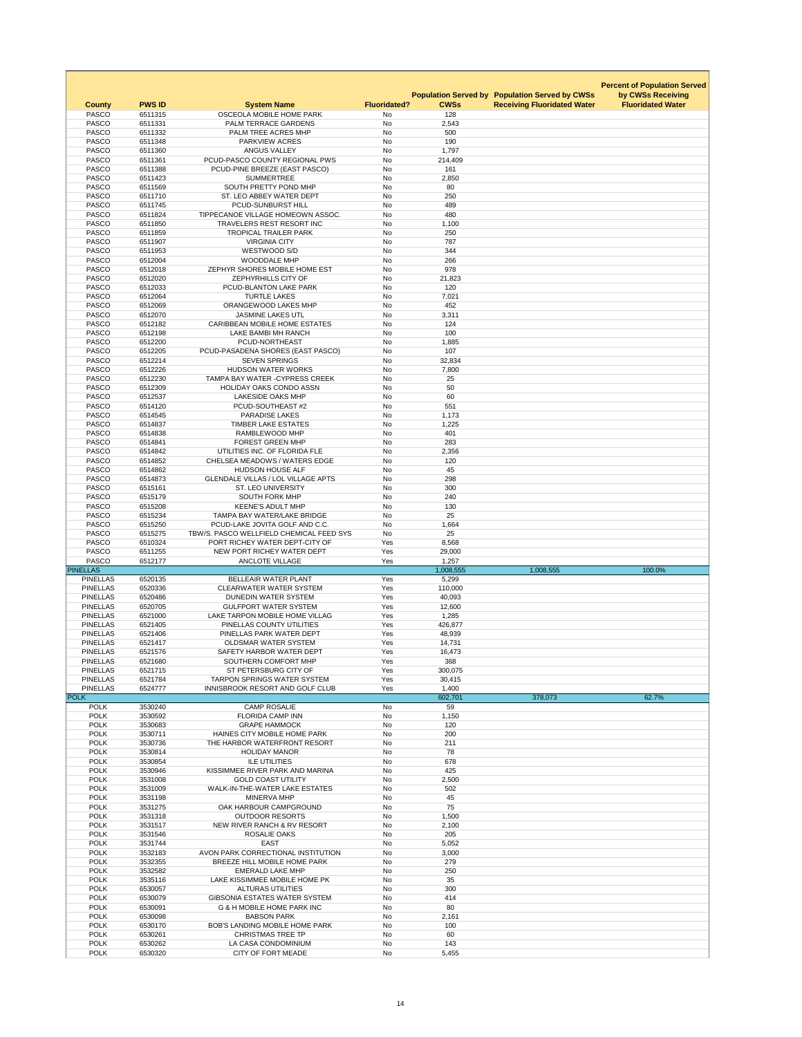|                                    |                          |                                                                            |                           |                    |                                                       | <b>Percent of Population Served</b> |
|------------------------------------|--------------------------|----------------------------------------------------------------------------|---------------------------|--------------------|-------------------------------------------------------|-------------------------------------|
|                                    |                          |                                                                            |                           |                    | <b>Population Served by Population Served by CWSs</b> | by CWSs Receiving                   |
| <b>County</b><br><b>PASCO</b>      | <b>PWS ID</b><br>6511315 | <b>System Name</b><br>OSCEOLA MOBILE HOME PARK                             | <b>Fluoridated?</b><br>No | <b>CWSs</b><br>128 | <b>Receiving Fluoridated Water</b>                    | <b>Fluoridated Water</b>            |
| <b>PASCO</b>                       | 6511331                  | PALM TERRACE GARDENS                                                       | No                        | 2,543              |                                                       |                                     |
| <b>PASCO</b>                       | 6511332                  | PALM TREE ACRES MHP                                                        | No                        | 500                |                                                       |                                     |
| <b>PASCO</b>                       | 6511348                  | PARKVIEW ACRES                                                             | No                        | 190                |                                                       |                                     |
| <b>PASCO</b><br><b>PASCO</b>       | 6511360<br>6511361       | <b>ANGUS VALLEY</b><br>PCUD-PASCO COUNTY REGIONAL PWS                      | No<br><b>No</b>           | 1,797<br>214,409   |                                                       |                                     |
| <b>PASCO</b>                       | 6511388                  | PCUD-PINE BREEZE (EAST PASCO)                                              | No                        | 161                |                                                       |                                     |
| <b>PASCO</b>                       | 6511423                  | <b>SUMMERTREE</b>                                                          | No                        | 2,850              |                                                       |                                     |
| <b>PASCO</b>                       | 6511569                  | SOUTH PRETTY POND MHP                                                      | <b>No</b>                 | 80                 |                                                       |                                     |
| <b>PASCO</b><br><b>PASCO</b>       | 6511710<br>6511745       | ST. LEO ABBEY WATER DEPT<br>PCUD-SUNBURST HILL                             | No<br>No                  | 250<br>489         |                                                       |                                     |
| <b>PASCO</b>                       | 6511824                  | TIPPECANOE VILLAGE HOMEOWN ASSOC.                                          | <b>No</b>                 | 480                |                                                       |                                     |
| <b>PASCO</b>                       | 6511850                  | TRAVELERS REST RESORT INC                                                  | <b>No</b>                 | 1,100              |                                                       |                                     |
| <b>PASCO</b>                       | 6511859                  | <b>TROPICAL TRAILER PARK</b>                                               | No                        | 250                |                                                       |                                     |
| <b>PASCO</b>                       | 6511907                  | <b>VIRGINIA CITY</b>                                                       | <b>No</b>                 | 787                |                                                       |                                     |
| <b>PASCO</b><br><b>PASCO</b>       | 6511953<br>6512004       | WESTWOOD S/D<br><b>WOODDALE MHP</b>                                        | No<br>No                  | 344<br>266         |                                                       |                                     |
| <b>PASCO</b>                       | 6512018                  | ZEPHYR SHORES MOBILE HOME EST                                              | No                        | 978                |                                                       |                                     |
| <b>PASCO</b>                       | 6512020                  | ZEPHYRHILLS CITY OF                                                        | No                        | 21,823             |                                                       |                                     |
| <b>PASCO</b>                       | 6512033                  | PCUD-BLANTON LAKE PARK                                                     | <b>No</b>                 | 120                |                                                       |                                     |
| <b>PASCO</b>                       | 6512064                  | <b>TURTLE LAKES</b>                                                        | No                        | 7,021              |                                                       |                                     |
| <b>PASCO</b><br><b>PASCO</b>       | 6512069<br>6512070       | ORANGEWOOD LAKES MHP<br><b>JASMINE LAKES UTL</b>                           | No<br>No                  | 452<br>3,311       |                                                       |                                     |
| <b>PASCO</b>                       | 6512182                  | <b>CARIBBEAN MOBILE HOME ESTATES</b>                                       | <b>No</b>                 | 124                |                                                       |                                     |
| <b>PASCO</b>                       | 6512198                  | <b>LAKE BAMBI MH RANCH</b>                                                 | <b>No</b>                 | 100                |                                                       |                                     |
| <b>PASCO</b>                       | 6512200                  | PCUD-NORTHEAST                                                             | No                        | 1,885              |                                                       |                                     |
| <b>PASCO</b>                       | 6512205                  | PCUD-PASADENA SHORES (EAST PASCO)                                          | No                        | 107                |                                                       |                                     |
| <b>PASCO</b>                       | 6512214                  | <b>SEVEN SPRINGS</b><br><b>HUDSON WATER WORKS</b>                          | No                        | 32,834             |                                                       |                                     |
| <b>PASCO</b><br><b>PASCO</b>       | 6512226<br>6512230       | <b>TAMPA BAY WATER - CYPRESS CREEK</b>                                     | No<br><b>No</b>           | 7,800<br>25        |                                                       |                                     |
| <b>PASCO</b>                       | 6512309                  | <b>HOLIDAY OAKS CONDO ASSN</b>                                             | No                        | 50                 |                                                       |                                     |
| <b>PASCO</b>                       | 6512537                  | <b>LAKESIDE OAKS MHP</b>                                                   | No                        | 60                 |                                                       |                                     |
| <b>PASCO</b>                       | 6514120                  | PCUD-SOUTHEAST #2                                                          | <b>No</b>                 | 551                |                                                       |                                     |
| <b>PASCO</b>                       | 6514545                  | <b>PARADISE LAKES</b>                                                      | No                        | 1,173              |                                                       |                                     |
| <b>PASCO</b><br><b>PASCO</b>       | 6514837<br>6514838       | <b>TIMBER LAKE ESTATES</b><br>RAMBLEWOOD MHP                               | No<br><b>No</b>           | 1,225<br>401       |                                                       |                                     |
| <b>PASCO</b>                       | 6514841                  | <b>FOREST GREEN MHP</b>                                                    | No                        | 283                |                                                       |                                     |
| <b>PASCO</b>                       | 6514842                  | UTILITIES INC. OF FLORIDA FLE                                              | No                        | 2,356              |                                                       |                                     |
| <b>PASCO</b>                       | 6514852                  | <b>CHELSEA MEADOWS / WATERS EDGE</b>                                       | No                        | 120                |                                                       |                                     |
| <b>PASCO</b>                       | 6514862                  | <b>HUDSON HOUSE ALF</b>                                                    | <b>No</b>                 | 45                 |                                                       |                                     |
| <b>PASCO</b><br><b>PASCO</b>       | 6514873<br>6515161       | <b>GLENDALE VILLAS / LOL VILLAGE APTS</b><br><b>ST. LEO UNIVERSITY</b>     | No<br><b>No</b>           | 298<br>300         |                                                       |                                     |
| <b>PASCO</b>                       | 6515179                  | <b>SOUTH FORK MHP</b>                                                      | No                        | 240                |                                                       |                                     |
| <b>PASCO</b>                       | 6515208                  | <b>KEENE'S ADULT MHP</b>                                                   | No                        | 130                |                                                       |                                     |
| <b>PASCO</b>                       | 6515234                  | <b>TAMPA BAY WATER/LAKE BRIDGE</b>                                         | No                        | 25                 |                                                       |                                     |
| <b>PASCO</b>                       | 6515250                  | PCUD-LAKE JOVITA GOLF AND C.C.<br>TBW/S. PASCO WELLFIELD CHEMICAL FEED SYS | No                        | 1,664<br>25        |                                                       |                                     |
| <b>PASCO</b>                       | 6515275                  |                                                                            |                           |                    |                                                       |                                     |
|                                    |                          |                                                                            | No                        |                    |                                                       |                                     |
| <b>PASCO</b><br><b>PASCO</b>       | 6510324<br>6511255       | PORT RICHEY WATER DEPT-CITY OF<br>NEW PORT RICHEY WATER DEPT               | Yes<br>Yes                | 8,568<br>29,000    |                                                       |                                     |
| <b>PASCO</b>                       | 6512177                  | <b>ANCLOTE VILLAGE</b>                                                     | Yes                       | 1,257              |                                                       |                                     |
| <b>PINELLAS</b>                    |                          |                                                                            |                           | 1,008,555          | 1,008,555                                             | 100.0%                              |
| <b>PINELLAS</b><br><b>PINELLAS</b> | 6520135<br>6520336       | <b>BELLEAIR WATER PLANT</b><br><b>CLEARWATER WATER SYSTEM</b>              | Yes<br>Yes                | 5,299<br>110,000   |                                                       |                                     |
| <b>PINELLAS</b>                    | 6520486                  | <b>DUNEDIN WATER SYSTEM</b>                                                | Yes                       | 40,093             |                                                       |                                     |
| <b>PINELLAS</b>                    | 6520705                  | <b>GULFPORT WATER SYSTEM</b>                                               | Yes                       | 12,600             |                                                       |                                     |
| <b>PINELLAS</b>                    | 6521000                  | LAKE TARPON MOBILE HOME VILLAG                                             | Yes                       | 1,285              |                                                       |                                     |
| <b>PINELLAS</b>                    | 6521405                  | PINELLAS COUNTY UTILITIES                                                  | Yes                       | 426,877            |                                                       |                                     |
| <b>PINELLAS</b><br><b>PINELLAS</b> | 6521406<br>6521417       | PINELLAS PARK WATER DEPT<br><b>OLDSMAR WATER SYSTEM</b>                    | Yes<br>Yes                | 48,939<br>14,731   |                                                       |                                     |
| <b>PINELLAS</b>                    | 6521576                  | SAFETY HARBOR WATER DEPT                                                   | Yes                       | 16,473             |                                                       |                                     |
| <b>PINELLAS</b>                    | 6521680                  | SOUTHERN COMFORT MHP                                                       | Yes                       | 368                |                                                       |                                     |
| <b>PINELLAS</b>                    | 6521715                  | ST PETERSBURG CITY OF                                                      | Yes                       | 300,075            |                                                       |                                     |
| <b>PINELLAS</b><br><b>PINELLAS</b> | 6521784<br>6524777       | <b>TARPON SPRINGS WATER SYSTEM</b><br>INNISBROOK RESORT AND GOLF CLUB      | Yes<br>Yes                | 30,415<br>1,400    |                                                       |                                     |
| <b>POLK</b>                        |                          |                                                                            |                           | 602,701            | 378,073                                               | 62.7%                               |
| <b>POLK</b>                        | 3530240                  | <b>CAMP ROSALIE</b>                                                        | No                        | 59                 |                                                       |                                     |
| <b>POLK</b>                        | 3530592                  | <b>FLORIDA CAMP INN</b>                                                    | No                        | 1,150              |                                                       |                                     |
| <b>POLK</b><br><b>POLK</b>         | 3530683<br>3530711       | <b>GRAPE HAMMOCK</b><br>HAINES CITY MOBILE HOME PARK                       | No<br><b>No</b>           | 120<br>200         |                                                       |                                     |
| <b>POLK</b>                        | 3530736                  | THE HARBOR WATERFRONT RESORT                                               | No                        | 211                |                                                       |                                     |
| <b>POLK</b>                        | 3530814                  | <b>HOLIDAY MANOR</b>                                                       | No                        | 78                 |                                                       |                                     |
| <b>POLK</b>                        | 3530854                  | <b>ILE UTILITIES</b>                                                       | <b>No</b>                 | 678                |                                                       |                                     |
| <b>POLK</b>                        | 3530946                  | KISSIMMEE RIVER PARK AND MARINA                                            | <b>No</b>                 | 425                |                                                       |                                     |
| <b>POLK</b><br><b>POLK</b>         | 3531008<br>3531009       | <b>GOLD COAST UTILITY</b><br>WALK-IN-THE-WATER LAKE ESTATES                | No<br>No                  | 2,500<br>502       |                                                       |                                     |
| <b>POLK</b>                        | 3531198                  | <b>MINERVA MHP</b>                                                         | <b>No</b>                 | 45                 |                                                       |                                     |
| <b>POLK</b>                        | 3531275                  | OAK HARBOUR CAMPGROUND                                                     | No                        | 75                 |                                                       |                                     |
| <b>POLK</b>                        | 3531318                  | <b>OUTDOOR RESORTS</b>                                                     | <b>No</b>                 | 1,500              |                                                       |                                     |
| <b>POLK</b><br><b>POLK</b>         | 3531517<br>3531546       | NEW RIVER RANCH & RV RESORT<br>ROSALIE OAKS                                | <b>No</b><br>No           | 2,100<br>205       |                                                       |                                     |
| <b>POLK</b>                        | 3531744                  | <b>EAST</b>                                                                | <b>No</b>                 | 5,052              |                                                       |                                     |
| <b>POLK</b>                        | 3532183                  | AVON PARK CORRECTIONAL INSTITUTION                                         | No                        | 3,000              |                                                       |                                     |
| <b>POLK</b>                        | 3532355                  | BREEZE HILL MOBILE HOME PARK                                               | <b>No</b>                 | 279                |                                                       |                                     |
| <b>POLK</b><br><b>POLK</b>         | 3532582<br>3535116       | <b>EMERALD LAKE MHP</b><br>LAKE KISSIMMEE MOBILE HOME PK                   | <b>No</b><br><b>No</b>    | 250<br>35          |                                                       |                                     |
| <b>POLK</b>                        | 6530057                  | <b>ALTURAS UTILITIES</b>                                                   | No                        | 300                |                                                       |                                     |
| <b>POLK</b>                        | 6530079                  | <b>GIBSONIA ESTATES WATER SYSTEM</b>                                       | No                        | 414                |                                                       |                                     |
| <b>POLK</b>                        | 6530091                  | <b>G &amp; H MOBILE HOME PARK INC</b>                                      | <b>No</b>                 | 80                 |                                                       |                                     |
| <b>POLK</b>                        | 6530098                  | <b>BABSON PARK</b>                                                         | <b>No</b>                 | 2,161              |                                                       |                                     |
| <b>POLK</b><br><b>POLK</b>         | 6530170<br>6530261       | <b>BOB'S LANDING MOBILE HOME PARK</b><br><b>CHRISTMAS TREE TP</b>          | No<br>No                  | 100<br>60          |                                                       |                                     |
| <b>POLK</b><br><b>POLK</b>         | 6530262<br>6530320       | LA CASA CONDOMINIUM<br><b>CITY OF FORT MEADE</b>                           | No<br>No                  | 143<br>5,455       |                                                       |                                     |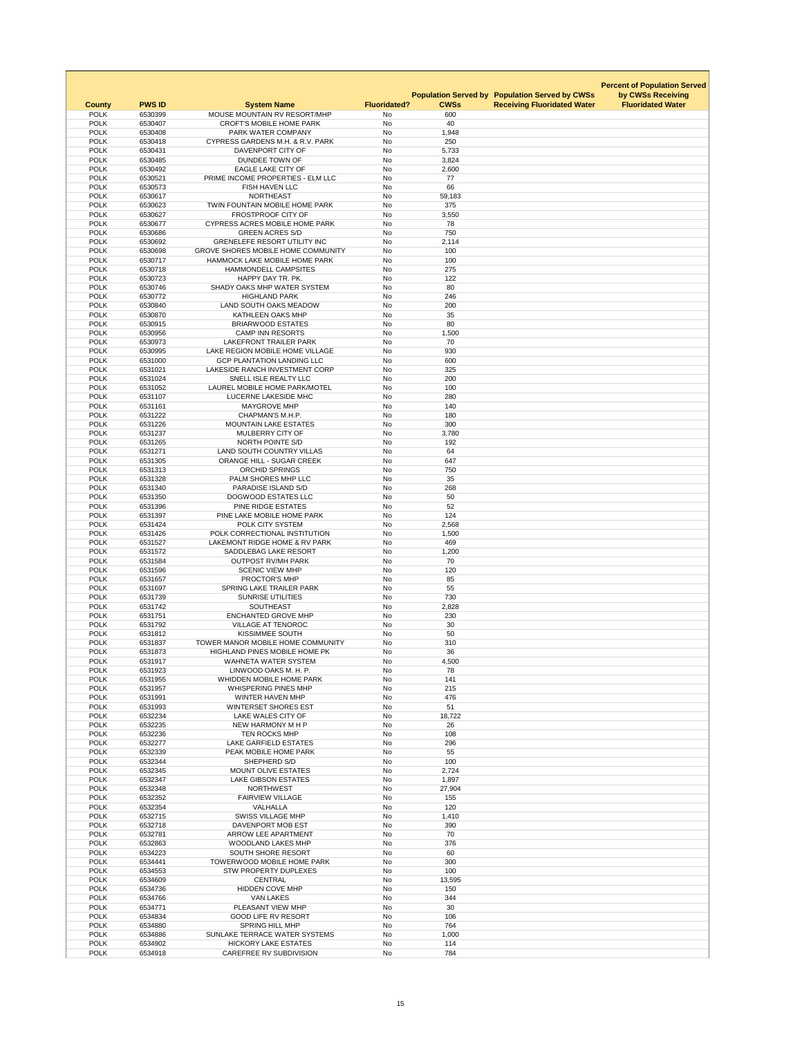|                            |                    |                                                                     |                        |                | <b>Population Served by Population Served by CWSs</b> | <b>Percent of Population Served</b><br>by CWSs Receiving |
|----------------------------|--------------------|---------------------------------------------------------------------|------------------------|----------------|-------------------------------------------------------|----------------------------------------------------------|
| <b>County</b>              | <b>PWS ID</b>      | <b>System Name</b>                                                  | <b>Fluoridated?</b>    | <b>CWSs</b>    | <b>Receiving Fluoridated Water</b>                    | <b>Fluoridated Water</b>                                 |
| <b>POLK</b>                | 6530399            | MOUSE MOUNTAIN RV RESORT/MHP                                        | No                     | 600            |                                                       |                                                          |
| <b>POLK</b>                | 6530407            | <b>CROFT'S MOBILE HOME PARK</b>                                     | <b>No</b>              | 40             |                                                       |                                                          |
| <b>POLK</b>                | 6530408            | PARK WATER COMPANY                                                  | <b>No</b>              | 1,948          |                                                       |                                                          |
| <b>POLK</b><br><b>POLK</b> | 6530418<br>6530431 | CYPRESS GARDENS M.H. & R.V. PARK<br>DAVENPORT CITY OF               | <b>No</b><br>No        | 250            |                                                       |                                                          |
| <b>POLK</b>                | 6530485            | <b>DUNDEE TOWN OF</b>                                               | <b>No</b>              | 5,733<br>3,824 |                                                       |                                                          |
| <b>POLK</b>                | 6530492            | <b>EAGLE LAKE CITY OF</b>                                           | <b>No</b>              | 2,600          |                                                       |                                                          |
| <b>POLK</b>                | 6530521            | PRIME INCOME PROPERTIES - ELM LLC                                   | No                     | 77             |                                                       |                                                          |
| <b>POLK</b>                | 6530573            | <b>FISH HAVEN LLC</b>                                               | <b>No</b>              | 66             |                                                       |                                                          |
| <b>POLK</b>                | 6530617            | <b>NORTHEAST</b>                                                    | No                     | 59,183         |                                                       |                                                          |
| <b>POLK</b>                | 6530623            | TWIN FOUNTAIN MOBILE HOME PARK                                      | <b>No</b>              | 375            |                                                       |                                                          |
| <b>POLK</b><br><b>POLK</b> | 6530627            | <b>FROSTPROOF CITY OF</b><br><b>CYPRESS ACRES MOBILE HOME PARK</b>  | No                     | 3,550<br>78    |                                                       |                                                          |
| <b>POLK</b>                | 6530677<br>6530686 | <b>GREEN ACRES S/D</b>                                              | <b>No</b><br><b>No</b> | 750            |                                                       |                                                          |
| <b>POLK</b>                | 6530692            | <b>GRENELEFE RESORT UTILITY INC</b>                                 | <b>No</b>              | 2,114          |                                                       |                                                          |
| <b>POLK</b>                | 6530698            | <b>GROVE SHORES MOBILE HOME COMMUNITY</b>                           | <b>No</b>              | 100            |                                                       |                                                          |
| <b>POLK</b>                | 6530717            | HAMMOCK LAKE MOBILE HOME PARK                                       | No                     | 100            |                                                       |                                                          |
| <b>POLK</b>                | 6530718            | <b>HAMMONDELL CAMPSITES</b>                                         | <b>No</b>              | 275            |                                                       |                                                          |
| <b>POLK</b>                | 6530723            | HAPPY DAY TR. PK.                                                   | <b>No</b>              | 122            |                                                       |                                                          |
| <b>POLK</b>                | 6530746            | SHADY OAKS MHP WATER SYSTEM                                         | <b>No</b>              | 80             |                                                       |                                                          |
| <b>POLK</b><br><b>POLK</b> | 6530772<br>6530840 | <b>HIGHLAND PARK</b><br>LAND SOUTH OAKS MEADOW                      | <b>No</b><br>No        | 246<br>200     |                                                       |                                                          |
| <b>POLK</b>                | 6530870            | KATHLEEN OAKS MHP                                                   | <b>No</b>              | 35             |                                                       |                                                          |
| <b>POLK</b>                | 6530915            | <b>BRIARWOOD ESTATES</b>                                            | No                     | 80             |                                                       |                                                          |
| <b>POLK</b>                | 6530956            | <b>CAMP INN RESORTS</b>                                             | <b>No</b>              | 1,500          |                                                       |                                                          |
| <b>POLK</b>                | 6530973            | <b>LAKEFRONT TRAILER PARK</b>                                       | <b>No</b>              | 70             |                                                       |                                                          |
| <b>POLK</b>                | 6530995            | LAKE REGION MOBILE HOME VILLAGE                                     | No                     | 930            |                                                       |                                                          |
| <b>POLK</b>                | 6531000            | <b>GCP PLANTATION LANDING LLC</b>                                   | No                     | 600            |                                                       |                                                          |
| <b>POLK</b>                | 6531021            | LAKESIDE RANCH INVESTMENT CORP                                      | No                     | 325            |                                                       |                                                          |
| <b>POLK</b>                | 6531024            | SNELL ISLE REALTY LLC                                               | No                     | 200            |                                                       |                                                          |
| <b>POLK</b><br><b>POLK</b> | 6531052<br>6531107 | LAUREL MOBILE HOME PARK/MOTEL<br>LUCERNE LAKESIDE MHC               | No<br>No               | 100<br>280     |                                                       |                                                          |
| <b>POLK</b>                | 6531161            | <b>MAYGROVE MHP</b>                                                 | No                     | 140            |                                                       |                                                          |
| <b>POLK</b>                | 6531222            | CHAPMAN'S M.H.P.                                                    | No                     | 180            |                                                       |                                                          |
| <b>POLK</b>                | 6531226            | <b>MOUNTAIN LAKE ESTATES</b>                                        | No                     | 300            |                                                       |                                                          |
| <b>POLK</b>                | 6531237            | <b>MULBERRY CITY OF</b>                                             | No                     | 3,780          |                                                       |                                                          |
| <b>POLK</b>                | 6531265            | NORTH POINTE S/D                                                    | <b>No</b>              | 192            |                                                       |                                                          |
| <b>POLK</b>                | 6531271            | <b>LAND SOUTH COUNTRY VILLAS</b>                                    | No                     | 64             |                                                       |                                                          |
| <b>POLK</b>                | 6531305            | <b>ORANGE HILL - SUGAR CREEK</b>                                    | No                     | 647            |                                                       |                                                          |
| <b>POLK</b>                | 6531313            | <b>ORCHID SPRINGS</b>                                               | No                     | 750            |                                                       |                                                          |
| <b>POLK</b>                | 6531328            | PALM SHORES MHP LLC                                                 | No                     | 35             |                                                       |                                                          |
| <b>POLK</b><br><b>POLK</b> | 6531340<br>6531350 | <b>PARADISE ISLAND S/D</b><br><b>DOGWOOD ESTATES LLC</b>            | <b>No</b><br>No        | 268<br>50      |                                                       |                                                          |
| <b>POLK</b>                | 6531396            | PINE RIDGE ESTATES                                                  | No                     | 52             |                                                       |                                                          |
| <b>POLK</b>                | 6531397            | PINE LAKE MOBILE HOME PARK                                          | No                     | 124            |                                                       |                                                          |
| <b>POLK</b>                | 6531424            | POLK CITY SYSTEM                                                    | No                     | 2,568          |                                                       |                                                          |
| <b>POLK</b>                | 6531426            | POLK CORRECTIONAL INSTITUTION                                       | No                     | 1,500          |                                                       |                                                          |
| <b>POLK</b>                | 6531527            | LAKEMONT RIDGE HOME & RV PARK                                       | No                     | 469            |                                                       |                                                          |
| <b>POLK</b>                | 6531572            | SADDLEBAG LAKE RESORT                                               | <b>No</b>              | 1,200          |                                                       |                                                          |
| <b>POLK</b>                | 6531584            | <b>OUTPOST RV/MH PARK</b>                                           | No                     | 70             |                                                       |                                                          |
| <b>POLK</b><br><b>POLK</b> | 6531596<br>6531657 | <b>SCENIC VIEW MHP</b><br><b>PROCTOR'S MHP</b>                      | No<br><b>No</b>        | 120<br>85      |                                                       |                                                          |
| <b>POLK</b>                | 6531697            | <b>SPRING LAKE TRAILER PARK</b>                                     | No                     | 55             |                                                       |                                                          |
| <b>POLK</b>                | 6531739            | <b>SUNRISE UTILITIES</b>                                            | No                     | 730            |                                                       |                                                          |
| <b>POLK</b>                | 6531742            | <b>SOUTHEAST</b>                                                    | No                     | 2,828          |                                                       |                                                          |
| <b>POLK</b>                | 6531751            | <b>ENCHANTED GROVE MHP</b>                                          | No                     | 230            |                                                       |                                                          |
| <b>POLK</b>                | 6531792            | <b>VILLAGE AT TENOROC</b>                                           | <b>No</b>              | 30             |                                                       |                                                          |
| <b>POLK</b>                | 6531812            | <b>KISSIMMEE SOUTH</b>                                              | No                     | 50             |                                                       |                                                          |
| <b>POLK</b>                | 6531837            | TOWER MANOR MOBILE HOME COMMUNITY                                   | No                     | 310            |                                                       |                                                          |
| <b>POLK</b><br><b>POLK</b> | 6531873<br>6531917 | <b>HIGHLAND PINES MOBILE HOME PK</b><br><b>WAHNETA WATER SYSTEM</b> | No<br>No               | 36<br>4,500    |                                                       |                                                          |
| <b>POLK</b>                | 6531923            | LINWOOD OAKS M. H. P.                                               | No                     | 78             |                                                       |                                                          |
| <b>POLK</b>                | 6531955            | WHIDDEN MOBILE HOME PARK                                            | No                     | 141            |                                                       |                                                          |
| <b>POLK</b>                | 6531957            | <b>WHISPERING PINES MHP</b>                                         | No                     | 215            |                                                       |                                                          |
| <b>POLK</b>                | 6531991            | <b>WINTER HAVEN MHP</b>                                             | No                     | 476            |                                                       |                                                          |
| <b>POLK</b>                | 6531993            | <b>WINTERSET SHORES EST</b>                                         | No                     | 51             |                                                       |                                                          |
| <b>POLK</b>                | 6532234            | LAKE WALES CITY OF                                                  | No                     | 18,722         |                                                       |                                                          |
| <b>POLK</b>                | 6532235            | NEW HARMONY M H P                                                   | No                     | 26             |                                                       |                                                          |
| <b>POLK</b><br><b>POLK</b> | 6532236<br>6532277 | <b>TEN ROCKS MHP</b><br><b>LAKE GARFIELD ESTATES</b>                | No<br>No               | 108<br>296     |                                                       |                                                          |
| <b>POLK</b>                | 6532339            | PEAK MOBILE HOME PARK                                               | No                     | 55             |                                                       |                                                          |
| <b>POLK</b>                | 6532344            | SHEPHERD S/D                                                        | No                     | 100            |                                                       |                                                          |
| <b>POLK</b>                | 6532345            | <b>MOUNT OLIVE ESTATES</b>                                          | <b>No</b>              | 2,724          |                                                       |                                                          |
| <b>POLK</b>                | 6532347            | <b>LAKE GIBSON ESTATES</b>                                          | No                     | 1,897          |                                                       |                                                          |
| <b>POLK</b>                | 6532348            | <b>NORTHWEST</b>                                                    | No                     | 27,904         |                                                       |                                                          |
| <b>POLK</b>                | 6532352            | <b>FAIRVIEW VILLAGE</b>                                             | No                     | 155            |                                                       |                                                          |
| <b>POLK</b>                | 6532354            | VALHALLA                                                            | No                     | 120            |                                                       |                                                          |
| <b>POLK</b>                | 6532715            | <b>SWISS VILLAGE MHP</b>                                            | No                     | 1,410          |                                                       |                                                          |
| <b>POLK</b><br><b>POLK</b> | 6532718<br>6532781 | DAVENPORT MOB EST<br><b>ARROW LEE APARTMENT</b>                     | No<br>No               | 390<br>70      |                                                       |                                                          |
| <b>POLK</b>                | 6532863            | <b>WOODLAND LAKES MHP</b>                                           | No                     | 376            |                                                       |                                                          |
| <b>POLK</b>                | 6534223            | SOUTH SHORE RESORT                                                  | No                     | 60             |                                                       |                                                          |
| <b>POLK</b>                | 6534441            | <b>TOWERWOOD MOBILE HOME PARK</b>                                   | No                     | 300            |                                                       |                                                          |
| <b>POLK</b>                | 6534553            | <b>STW PROPERTY DUPLEXES</b>                                        | No                     | 100            |                                                       |                                                          |
| <b>POLK</b>                | 6534609            | <b>CENTRAL</b>                                                      | No                     | 13,595         |                                                       |                                                          |
| <b>POLK</b>                | 6534736            | <b>HIDDEN COVE MHP</b>                                              | No                     | 150            |                                                       |                                                          |
| <b>POLK</b><br><b>POLK</b> | 6534766<br>6534771 | <b>VAN LAKES</b><br>PLEASANT VIEW MHP                               | No<br><b>No</b>        | 344<br>30      |                                                       |                                                          |
| <b>POLK</b>                | 6534834            | <b>GOOD LIFE RV RESORT</b>                                          | No                     | 106            |                                                       |                                                          |
| <b>POLK</b>                | 6534880            | <b>SPRING HILL MHP</b>                                              | No                     | 764            |                                                       |                                                          |
| <b>POLK</b>                | 6534886            | SUNLAKE TERRACE WATER SYSTEMS                                       | No                     | 1,000          |                                                       |                                                          |
| <b>POLK</b>                | 6534902            | <b>HICKORY LAKE ESTATES</b>                                         | No                     | 114            |                                                       |                                                          |
| <b>POLK</b>                | 6534918            | CAREFREE RV SUBDIVISION                                             | No                     | 784            |                                                       |                                                          |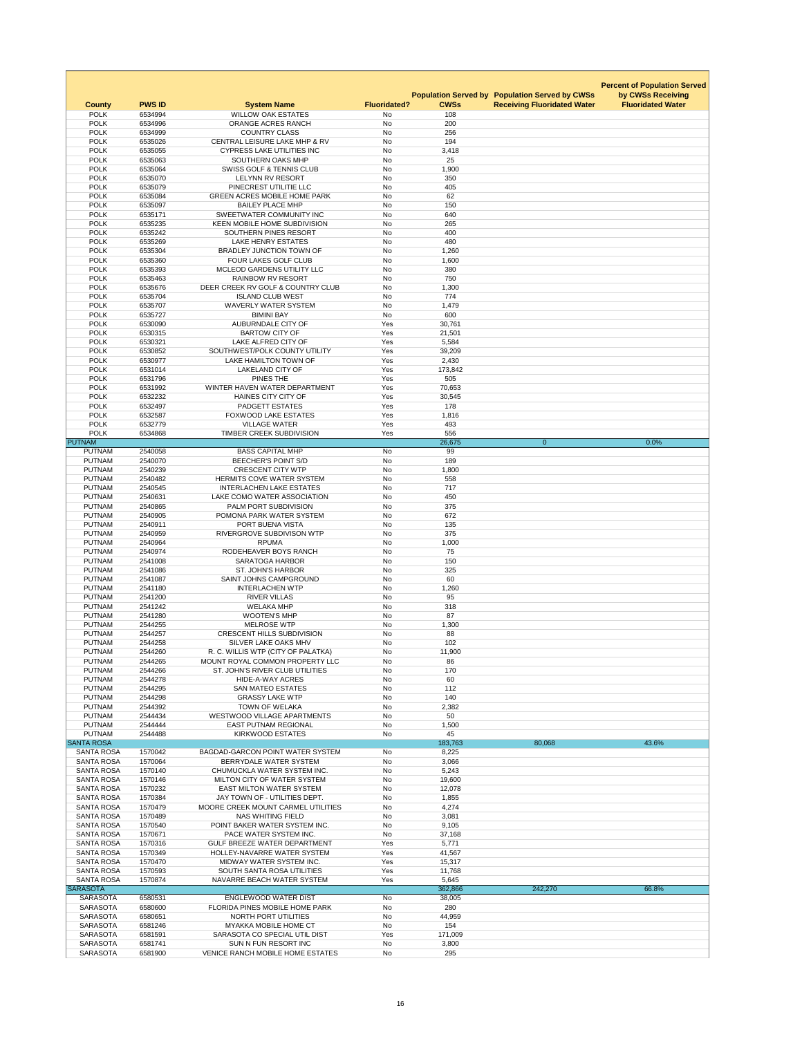|                                        |                    |                                                                     |                        |                  |                                                       | <b>Percent of Population Served</b> |
|----------------------------------------|--------------------|---------------------------------------------------------------------|------------------------|------------------|-------------------------------------------------------|-------------------------------------|
|                                        |                    |                                                                     |                        |                  | <b>Population Served by Population Served by CWSs</b> | by CWSs Receiving                   |
| <b>County</b>                          | <b>PWS ID</b>      | <b>System Name</b>                                                  | <b>Fluoridated?</b>    | <b>CWSs</b>      | <b>Receiving Fluoridated Water</b>                    | <b>Fluoridated Water</b>            |
| <b>POLK</b><br><b>POLK</b>             | 6534994<br>6534996 | <b>WILLOW OAK ESTATES</b><br>ORANGE ACRES RANCH                     | No<br><b>No</b>        | 108<br>200       |                                                       |                                     |
| <b>POLK</b>                            | 6534999            | <b>COUNTRY CLASS</b>                                                | No                     | 256              |                                                       |                                     |
| <b>POLK</b>                            | 6535026            | CENTRAL LEISURE LAKE MHP & RV                                       | <b>No</b>              | 194              |                                                       |                                     |
| <b>POLK</b><br><b>POLK</b>             | 6535055            | <b>CYPRESS LAKE UTILITIES INC</b>                                   | No                     | 3,418<br>25      |                                                       |                                     |
| <b>POLK</b>                            | 6535063<br>6535064 | SOUTHERN OAKS MHP<br><b>SWISS GOLF &amp; TENNIS CLUB</b>            | No<br>No               | 1,900            |                                                       |                                     |
| <b>POLK</b>                            | 6535070            | <b>LELYNN RV RESORT</b>                                             | No                     | 350              |                                                       |                                     |
| <b>POLK</b>                            | 6535079            | PINECREST UTILITIE LLC                                              | <b>No</b>              | 405              |                                                       |                                     |
| <b>POLK</b><br><b>POLK</b>             | 6535084<br>6535097 | <b>GREEN ACRES MOBILE HOME PARK</b><br><b>BAILEY PLACE MHP</b>      | No<br><b>No</b>        | 62<br>150        |                                                       |                                     |
| <b>POLK</b>                            | 6535171            | SWEETWATER COMMUNITY INC                                            | No                     | 640              |                                                       |                                     |
| <b>POLK</b>                            | 6535235            | KEEN MOBILE HOME SUBDIVISION                                        | No                     | 265              |                                                       |                                     |
| <b>POLK</b>                            | 6535242            | SOUTHERN PINES RESORT                                               | <b>No</b>              | 400              |                                                       |                                     |
| <b>POLK</b><br><b>POLK</b>             | 6535269<br>6535304 | <b>LAKE HENRY ESTATES</b><br><b>BRADLEY JUNCTION TOWN OF</b>        | No<br><b>No</b>        | 480<br>1,260     |                                                       |                                     |
| <b>POLK</b>                            | 6535360            | <b>FOUR LAKES GOLF CLUB</b>                                         | No                     | 1,600            |                                                       |                                     |
| <b>POLK</b>                            | 6535393            | MCLEOD GARDENS UTILITY LLC                                          | No                     | 380              |                                                       |                                     |
| <b>POLK</b><br><b>POLK</b>             | 6535463<br>6535676 | <b>RAINBOW RV RESORT</b><br>DEER CREEK RV GOLF & COUNTRY CLUB       | <b>No</b><br><b>No</b> | 750              |                                                       |                                     |
| <b>POLK</b>                            | 6535704            | <b>ISLAND CLUB WEST</b>                                             | No                     | 1,300<br>774     |                                                       |                                     |
| <b>POLK</b>                            | 6535707            | <b>WAVERLY WATER SYSTEM</b>                                         | No                     | 1,479            |                                                       |                                     |
| <b>POLK</b>                            | 6535727            | <b>BIMINI BAY</b>                                                   | No                     | 600              |                                                       |                                     |
| <b>POLK</b><br><b>POLK</b>             | 6530090<br>6530315 | AUBURNDALE CITY OF<br><b>BARTOW CITY OF</b>                         | Yes<br>Yes             | 30,761<br>21,501 |                                                       |                                     |
| <b>POLK</b>                            | 6530321            | LAKE ALFRED CITY OF                                                 | Yes                    | 5,584            |                                                       |                                     |
| <b>POLK</b>                            | 6530852            | SOUTHWEST/POLK COUNTY UTILITY                                       | Yes                    | 39,209           |                                                       |                                     |
| <b>POLK</b>                            | 6530977            | LAKE HAMILTON TOWN OF                                               | <b>Yes</b>             | 2,430            |                                                       |                                     |
| <b>POLK</b><br><b>POLK</b>             | 6531014<br>6531796 | LAKELAND CITY OF<br>PINES THE                                       | Yes<br>Yes             | 173,842<br>505   |                                                       |                                     |
| <b>POLK</b>                            | 6531992            | WINTER HAVEN WATER DEPARTMENT                                       | Yes                    | 70,653           |                                                       |                                     |
| <b>POLK</b>                            | 6532232            | <b>HAINES CITY CITY OF</b>                                          | Yes                    | 30,545           |                                                       |                                     |
| <b>POLK</b>                            | 6532497            | <b>PADGETT ESTATES</b>                                              | Yes                    | 178              |                                                       |                                     |
| <b>POLK</b><br><b>POLK</b>             | 6532587<br>6532779 | <b>FOXWOOD LAKE ESTATES</b><br><b>VILLAGE WATER</b>                 | Yes<br>Yes             | 1,816<br>493     |                                                       |                                     |
| <b>POLK</b>                            | 6534868            | <b>TIMBER CREEK SUBDIVISION</b>                                     | Yes                    | 556              |                                                       |                                     |
| <b>PUTNAM</b>                          |                    |                                                                     |                        | 26,675           | $\mathbf{0}$                                          | 0.0%                                |
| <b>PUTNAM</b>                          | 2540058            | <b>BASS CAPITAL MHP</b>                                             | No                     | 99               |                                                       |                                     |
| <b>PUTNAM</b><br><b>PUTNAM</b>         | 2540070<br>2540239 | <b>BEECHER'S POINT S/D</b><br><b>CRESCENT CITY WTP</b>              | No<br>No               | 189<br>1,800     |                                                       |                                     |
| <b>PUTNAM</b>                          | 2540482            | <b>HERMITS COVE WATER SYSTEM</b>                                    | No                     | 558              |                                                       |                                     |
| <b>PUTNAM</b>                          | 2540545            | <b>INTERLACHEN LAKE ESTATES</b>                                     | No                     | 717              |                                                       |                                     |
| <b>PUTNAM</b><br><b>PUTNAM</b>         | 2540631<br>2540865 | LAKE COMO WATER ASSOCIATION<br>PALM PORT SUBDIVISION                | No<br>No               | 450<br>375       |                                                       |                                     |
| <b>PUTNAM</b>                          | 2540905            | POMONA PARK WATER SYSTEM                                            | No                     | 672              |                                                       |                                     |
| <b>PUTNAM</b>                          | 2540911            | PORT BUENA VISTA                                                    | No                     | 135              |                                                       |                                     |
| <b>PUTNAM</b>                          | 2540959            | RIVERGROVE SUBDIVISON WTP                                           | No                     | 375              |                                                       |                                     |
| <b>PUTNAM</b><br><b>PUTNAM</b>         | 2540964<br>2540974 | <b>RPUMA</b><br>RODEHEAVER BOYS RANCH                               | No<br>No               | 1,000<br>75      |                                                       |                                     |
| <b>PUTNAM</b>                          | 2541008            | <b>SARATOGA HARBOR</b>                                              | No                     | 150              |                                                       |                                     |
| <b>PUTNAM</b>                          | 2541086            | <b>ST. JOHN'S HARBOR</b>                                            | No                     | 325              |                                                       |                                     |
| <b>PUTNAM</b>                          | 2541087            | SAINT JOHNS CAMPGROUND                                              | No                     | 60               |                                                       |                                     |
| <b>PUTNAM</b><br><b>PUTNAM</b>         | 2541180<br>2541200 | <b>INTERLACHEN WTP</b><br><b>RIVER VILLAS</b>                       | No<br>No               | 1,260<br>95      |                                                       |                                     |
| <b>PUTNAM</b>                          | 2541242            | <b>WELAKA MHP</b>                                                   | No                     | 318              |                                                       |                                     |
| <b>PUTNAM</b>                          | 2541280            | <b>WOOTEN'S MHP</b>                                                 | No                     | 87               |                                                       |                                     |
| <b>PUTNAM</b><br><b>PUTNAM</b>         | 2544255<br>2544257 | <b>MELROSE WTP</b><br><b>CRESCENT HILLS SUBDIVISION</b>             | No<br>No               | 1,300<br>88      |                                                       |                                     |
| <b>PUTNAM</b>                          | 2544258            | SILVER LAKE OAKS MHV                                                | No                     | 102              |                                                       |                                     |
| <b>PUTNAM</b>                          | 2544260            | R. C. WILLIS WTP (CITY OF PALATKA)                                  | No                     | 11,900           |                                                       |                                     |
| <b>PUTNAM</b>                          | 2544265            | MOUNT ROYAL COMMON PROPERTY LLC                                     | No                     | 86               |                                                       |                                     |
| <b>PUTNAM</b><br><b>PUTNAM</b>         | 2544266<br>2544278 | ST. JOHN'S RIVER CLUB UTILITIES<br><b>HIDE-A-WAY ACRES</b>          | <b>No</b><br>No        | 170<br>60        |                                                       |                                     |
| <b>PUTNAM</b>                          | 2544295            | <b>SAN MATEO ESTATES</b>                                            | <b>No</b>              | 112              |                                                       |                                     |
| <b>PUTNAM</b>                          | 2544298            | <b>GRASSY LAKE WTP</b>                                              | No                     | 140              |                                                       |                                     |
| <b>PUTNAM</b>                          | 2544392            | <b>TOWN OF WELAKA</b>                                               | No                     | 2,382<br>50      |                                                       |                                     |
| <b>PUTNAM</b><br><b>PUTNAM</b>         | 2544434<br>2544444 | <b>WESTWOOD VILLAGE APARTMENTS</b><br><b>EAST PUTNAM REGIONAL</b>   | No<br>No               | 1,500            |                                                       |                                     |
| <b>PUTNAM</b>                          | 2544488            | <b>KIRKWOOD ESTATES</b>                                             | No                     | 45               |                                                       |                                     |
| <b>SANTA ROSA</b>                      |                    |                                                                     |                        | 183,763          | 80,068                                                | 43.6%                               |
| <b>SANTA ROSA</b><br><b>SANTA ROSA</b> | 1570042<br>1570064 | BAGDAD-GARCON POINT WATER SYSTEM<br>BERRYDALE WATER SYSTEM          | No<br>No               | 8,225            |                                                       |                                     |
| <b>SANTA ROSA</b>                      | 1570140            | CHUMUCKLA WATER SYSTEM INC.                                         | No                     | 3,066<br>5,243   |                                                       |                                     |
| <b>SANTA ROSA</b>                      | 1570146            | MILTON CITY OF WATER SYSTEM                                         | No                     | 19,600           |                                                       |                                     |
| <b>SANTA ROSA</b>                      | 1570232            | <b>EAST MILTON WATER SYSTEM</b>                                     | No                     | 12,078           |                                                       |                                     |
| <b>SANTA ROSA</b><br><b>SANTA ROSA</b> | 1570384<br>1570479 | JAY TOWN OF - UTILITIES DEPT.<br>MOORE CREEK MOUNT CARMEL UTILITIES | No<br>No               | 1,855<br>4,274   |                                                       |                                     |
| <b>SANTA ROSA</b>                      | 1570489            | <b>NAS WHITING FIELD</b>                                            | No                     | 3,081            |                                                       |                                     |
| <b>SANTA ROSA</b>                      | 1570540            | POINT BAKER WATER SYSTEM INC.                                       | No                     | 9,105            |                                                       |                                     |
| <b>SANTA ROSA</b><br><b>SANTA ROSA</b> | 1570671<br>1570316 | PACE WATER SYSTEM INC.<br><b>GULF BREEZE WATER DEPARTMENT</b>       | No<br>Yes              | 37,168<br>5,771  |                                                       |                                     |
| <b>SANTA ROSA</b>                      | 1570349            | <b>HOLLEY-NAVARRE WATER SYSTEM</b>                                  | Yes                    | 41,567           |                                                       |                                     |
| <b>SANTA ROSA</b>                      | 1570470            | MIDWAY WATER SYSTEM INC.                                            | Yes                    | 15,317           |                                                       |                                     |
| <b>SANTA ROSA</b>                      | 1570593            | SOUTH SANTA ROSA UTILITIES                                          | Yes                    | 11,768           |                                                       |                                     |
| <b>SANTA ROSA</b><br><b>SARASOTA</b>   | 1570874            | NAVARRE BEACH WATER SYSTEM                                          | Yes                    | 5,645<br>362,866 | 242,270                                               | 66.8%                               |
| <b>SARASOTA</b>                        | 6580531            | <b>ENGLEWOOD WATER DIST</b>                                         | No                     | 38,005           |                                                       |                                     |
| <b>SARASOTA</b>                        | 6580600            | <b>FLORIDA PINES MOBILE HOME PARK</b>                               | No                     | 280              |                                                       |                                     |
| <b>SARASOTA</b><br><b>SARASOTA</b>     | 6580651<br>6581246 | NORTH PORT UTILITIES<br><b>MYAKKA MOBILE HOME CT</b>                | No<br>No               | 44,959<br>154    |                                                       |                                     |
| <b>SARASOTA</b>                        | 6581591            | SARASOTA CO SPECIAL UTIL DIST                                       | Yes                    | 171,009          |                                                       |                                     |
| <b>SARASOTA</b>                        | 6581741            | SUN N FUN RESORT INC                                                | No                     | 3,800            |                                                       |                                     |
| <b>SARASOTA</b>                        | 6581900            | <b>VENICE RANCH MOBILE HOME ESTATES</b>                             | No                     | 295              |                                                       |                                     |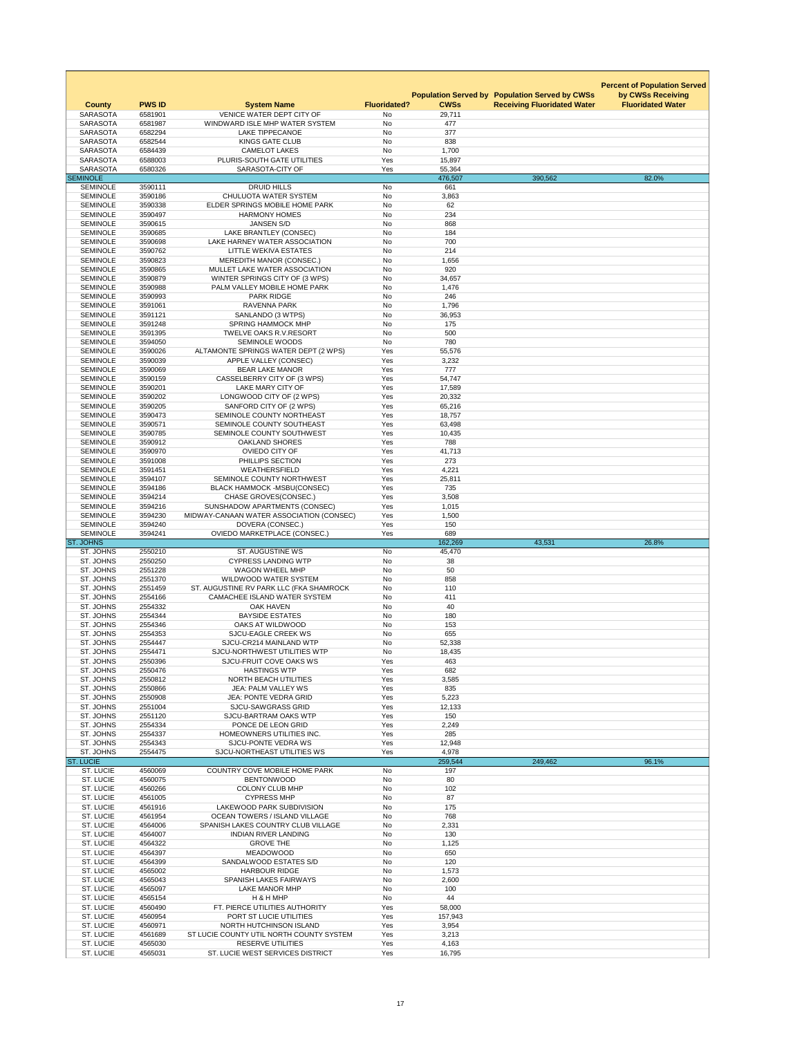|                                      |                    |                                                                      |                     |                                            |                                                                        | <b>Percent of Population Served</b>           |
|--------------------------------------|--------------------|----------------------------------------------------------------------|---------------------|--------------------------------------------|------------------------------------------------------------------------|-----------------------------------------------|
| <b>County</b>                        | <b>PWS ID</b>      | <b>System Name</b>                                                   | <b>Fluoridated?</b> | <b>Population Served by</b><br><b>CWSs</b> | <b>Population Served by CWSs</b><br><b>Receiving Fluoridated Water</b> | by CWSs Receiving<br><b>Fluoridated Water</b> |
| <b>SARASOTA</b>                      | 6581901            | <b>VENICE WATER DEPT CITY OF</b>                                     | No                  | 29,711                                     |                                                                        |                                               |
| <b>SARASOTA</b>                      | 6581987            | WINDWARD ISLE MHP WATER SYSTEM                                       | No                  | 477                                        |                                                                        |                                               |
| <b>SARASOTA</b><br><b>SARASOTA</b>   | 6582294<br>6582544 | <b>LAKE TIPPECANOE</b><br><b>KINGS GATE CLUB</b>                     | No<br>No            | 377<br>838                                 |                                                                        |                                               |
| <b>SARASOTA</b>                      | 6584439            | <b>CAMELOT LAKES</b>                                                 | No                  | 1,700                                      |                                                                        |                                               |
| <b>SARASOTA</b><br><b>SARASOTA</b>   | 6588003<br>6580326 | PLURIS-SOUTH GATE UTILITIES<br>SARASOTA-CITY OF                      | Yes<br>Yes          | 15,897<br>55,364                           |                                                                        |                                               |
| <b>SEMINOLE</b>                      |                    |                                                                      |                     | 476,507                                    | 390,562                                                                | 82.0%                                         |
| <b>SEMINOLE</b>                      | 3590111            | <b>DRUID HILLS</b>                                                   | No                  | 661                                        |                                                                        |                                               |
| <b>SEMINOLE</b><br><b>SEMINOLE</b>   | 3590186<br>3590338 | <b>CHULUOTA WATER SYSTEM</b><br>ELDER SPRINGS MOBILE HOME PARK       | No<br>No            | 3,863<br>62                                |                                                                        |                                               |
| <b>SEMINOLE</b>                      | 3590497            | <b>HARMONY HOMES</b>                                                 | <b>No</b>           | 234                                        |                                                                        |                                               |
| <b>SEMINOLE</b>                      | 3590615            | <b>JANSEN S/D</b>                                                    | No                  | 868                                        |                                                                        |                                               |
| <b>SEMINOLE</b><br><b>SEMINOLE</b>   | 3590685<br>3590698 | LAKE BRANTLEY (CONSEC)<br>LAKE HARNEY WATER ASSOCIATION              | No<br>No            | 184<br>700                                 |                                                                        |                                               |
| <b>SEMINOLE</b>                      | 3590762            | <b>LITTLE WEKIVA ESTATES</b>                                         | <b>No</b>           | 214                                        |                                                                        |                                               |
| <b>SEMINOLE</b>                      | 3590823            | <b>MEREDITH MANOR (CONSEC.)</b>                                      | No                  | 1,656                                      |                                                                        |                                               |
| <b>SEMINOLE</b><br><b>SEMINOLE</b>   | 3590865<br>3590879 | MULLET LAKE WATER ASSOCIATION<br>WINTER SPRINGS CITY OF (3 WPS)      | No<br>No            | 920<br>34,657                              |                                                                        |                                               |
| <b>SEMINOLE</b>                      | 3590988            | PALM VALLEY MOBILE HOME PARK                                         | No                  | 1,476                                      |                                                                        |                                               |
| <b>SEMINOLE</b><br><b>SEMINOLE</b>   | 3590993<br>3591061 | <b>PARK RIDGE</b><br><b>RAVENNA PARK</b>                             | No<br>No            | 246                                        |                                                                        |                                               |
| <b>SEMINOLE</b>                      | 3591121            | SANLANDO (3 WTPS)                                                    | No                  | 1,796<br>36,953                            |                                                                        |                                               |
| <b>SEMINOLE</b>                      | 3591248            | <b>SPRING HAMMOCK MHP</b>                                            | No                  | 175                                        |                                                                        |                                               |
| <b>SEMINOLE</b><br><b>SEMINOLE</b>   | 3591395            | <b>TWELVE OAKS R.V.RESORT</b>                                        | <b>No</b>           | 500                                        |                                                                        |                                               |
| <b>SEMINOLE</b>                      | 3594050<br>3590026 | <b>SEMINOLE WOODS</b><br>ALTAMONTE SPRINGS WATER DEPT (2 WPS)        | No<br>Yes           | 780<br>55,576                              |                                                                        |                                               |
| <b>SEMINOLE</b>                      | 3590039            | APPLE VALLEY (CONSEC)                                                | Yes                 | 3,232                                      |                                                                        |                                               |
| <b>SEMINOLE</b>                      | 3590069            | <b>BEAR LAKE MANOR</b>                                               | Yes                 | 777                                        |                                                                        |                                               |
| <b>SEMINOLE</b><br><b>SEMINOLE</b>   | 3590159<br>3590201 | CASSELBERRY CITY OF (3 WPS)<br><b>LAKE MARY CITY OF</b>              | Yes<br>Yes          | 54,747<br>17,589                           |                                                                        |                                               |
| <b>SEMINOLE</b>                      | 3590202            | LONGWOOD CITY OF (2 WPS)                                             | Yes                 | 20,332                                     |                                                                        |                                               |
| <b>SEMINOLE</b><br><b>SEMINOLE</b>   | 3590205            | SANFORD CITY OF (2 WPS)<br>SEMINOLE COUNTY NORTHEAST                 | Yes                 | 65,216                                     |                                                                        |                                               |
| <b>SEMINOLE</b>                      | 3590473<br>3590571 | SEMINOLE COUNTY SOUTHEAST                                            | Yes<br>Yes          | 18,757<br>63,498                           |                                                                        |                                               |
| <b>SEMINOLE</b>                      | 3590785            | SEMINOLE COUNTY SOUTHWEST                                            | Yes                 | 10,435                                     |                                                                        |                                               |
| <b>SEMINOLE</b>                      | 3590912            | <b>OAKLAND SHORES</b>                                                | Yes                 | 788                                        |                                                                        |                                               |
| <b>SEMINOLE</b><br><b>SEMINOLE</b>   | 3590970<br>3591008 | OVIEDO CITY OF<br>PHILLIPS SECTION                                   | Yes<br>Yes          | 41,713<br>273                              |                                                                        |                                               |
| <b>SEMINOLE</b>                      | 3591451            | <b>WEATHERSFIELD</b>                                                 | Yes                 | 4,221                                      |                                                                        |                                               |
| <b>SEMINOLE</b><br><b>SEMINOLE</b>   | 3594107            | SEMINOLE COUNTY NORTHWEST                                            | Yes<br>Yes          | 25,811<br>735                              |                                                                        |                                               |
| <b>SEMINOLE</b>                      | 3594186<br>3594214 | <b>BLACK HAMMOCK -MSBU(CONSEC)</b><br><b>CHASE GROVES(CONSEC.)</b>   | Yes                 | 3,508                                      |                                                                        |                                               |
|                                      |                    |                                                                      |                     |                                            |                                                                        |                                               |
| <b>SEMINOLE</b>                      | 3594216            | SUNSHADOW APARTMENTS (CONSEC)                                        | Yes                 | 1,015                                      |                                                                        |                                               |
| <b>SEMINOLE</b>                      | 3594230            | MIDWAY-CANAAN WATER ASSOCIATION (CONSEC)                             | Yes                 | 1,500                                      |                                                                        |                                               |
| <b>SEMINOLE</b><br><b>SEMINOLE</b>   | 3594240<br>3594241 | DOVERA (CONSEC.)<br><b>OVIEDO MARKETPLACE (CONSEC.)</b>              | Yes<br>Yes          | 150<br>689                                 |                                                                        |                                               |
| <b>ST. JOHNS</b>                     |                    |                                                                      |                     | 162,269                                    | 43,531                                                                 | 26.8%                                         |
| ST. JOHNS                            | 2550210            | <b>ST. AUGUSTINE WS</b>                                              | No                  | 45,470                                     |                                                                        |                                               |
| ST. JOHNS<br>ST. JOHNS               | 2550250<br>2551228 | <b>CYPRESS LANDING WTP</b><br><b>WAGON WHEEL MHP</b>                 | No<br>No            | 38<br>50                                   |                                                                        |                                               |
| ST. JOHNS                            | 2551370            | <b>WILDWOOD WATER SYSTEM</b>                                         | <b>No</b>           | 858                                        |                                                                        |                                               |
| ST. JOHNS                            | 2551459            | ST. AUGUSTINE RV PARK LLC (FKA SHAMROCK                              | No                  | 110                                        |                                                                        |                                               |
| ST. JOHNS<br>ST. JOHNS               | 2554166<br>2554332 | CAMACHEE ISLAND WATER SYSTEM<br><b>OAK HAVEN</b>                     | No<br>No            | 411<br>40                                  |                                                                        |                                               |
| ST. JOHNS                            | 2554344            | <b>BAYSIDE ESTATES</b>                                               | No                  | 180                                        |                                                                        |                                               |
| ST. JOHNS<br>ST. JOHNS               | 2554346<br>2554353 | OAKS AT WILDWOOD<br><b>SJCU-EAGLE CREEK WS</b>                       | No<br><b>No</b>     | 153<br>655                                 |                                                                        |                                               |
| <b>ST. JOHNS</b>                     | 2554447            | SJCU-CR214 MAINLAND WTP                                              | No                  | 52,338                                     |                                                                        |                                               |
| ST. JOHNS                            | 2554471            | SJCU-NORTHWEST UTILITIES WTP                                         | No                  | 18,435                                     |                                                                        |                                               |
| ST. JOHNS<br>ST. JOHNS               | 2550396<br>2550476 | SJCU-FRUIT COVE OAKS WS<br><b>HASTINGS WTP</b>                       | Yes<br>Yes          | 463<br>682                                 |                                                                        |                                               |
| ST. JOHNS                            | 2550812            | NORTH BEACH UTILITIES                                                | Yes                 | 3,585                                      |                                                                        |                                               |
| ST. JOHNS                            | 2550866            | <b>JEA: PALM VALLEY WS</b>                                           | Yes                 | 835                                        |                                                                        |                                               |
| ST. JOHNS<br>ST. JOHNS               | 2550908<br>2551004 | <b>JEA: PONTE VEDRA GRID</b><br><b>SJCU-SAWGRASS GRID</b>            | Yes<br>Yes          | 5,223<br>12,133                            |                                                                        |                                               |
| ST. JOHNS                            | 2551120            | SJCU-BARTRAM OAKS WTP                                                | Yes                 | 150                                        |                                                                        |                                               |
| ST. JOHNS                            | 2554334            | PONCE DE LEON GRID                                                   | Yes                 | 2,249                                      |                                                                        |                                               |
| ST. JOHNS<br>ST. JOHNS               | 2554337<br>2554343 | HOMEOWNERS UTILITIES INC.<br><b>SJCU-PONTE VEDRA WS</b>              | Yes<br>Yes          | 285<br>12,948                              |                                                                        |                                               |
| ST. JOHNS                            | 2554475            | SJCU-NORTHEAST UTILITIES WS                                          | Yes                 | 4,978                                      |                                                                        |                                               |
| <b>ST. LUCIE</b>                     |                    |                                                                      |                     | 259,544                                    | 249,462                                                                | 96.1%                                         |
| <b>ST. LUCIE</b><br><b>ST. LUCIE</b> | 4560069<br>4560075 | <b>COUNTRY COVE MOBILE HOME PARK</b><br><b>BENTONWOOD</b>            | No<br>No            | 197<br>80                                  |                                                                        |                                               |
| <b>ST. LUCIE</b>                     | 4560266            | <b>COLONY CLUB MHP</b>                                               | No                  | 102                                        |                                                                        |                                               |
| <b>ST. LUCIE</b>                     | 4561005            | <b>CYPRESS MHP</b>                                                   | No                  | 87                                         |                                                                        |                                               |
| <b>ST. LUCIE</b><br><b>ST. LUCIE</b> | 4561916<br>4561954 | LAKEWOOD PARK SUBDIVISION<br><b>OCEAN TOWERS / ISLAND VILLAGE</b>    | No<br>No            | 175<br>768                                 |                                                                        |                                               |
| <b>ST. LUCIE</b>                     | 4564006            | SPANISH LAKES COUNTRY CLUB VILLAGE                                   | No                  | 2,331                                      |                                                                        |                                               |
| <b>ST. LUCIE</b><br><b>ST. LUCIE</b> | 4564007<br>4564322 | <b>INDIAN RIVER LANDING</b><br><b>GROVE THE</b>                      | No<br>No            | 130<br>1,125                               |                                                                        |                                               |
| <b>ST. LUCIE</b>                     | 4564397            | <b>MEADOWOOD</b>                                                     | No                  | 650                                        |                                                                        |                                               |
| <b>ST. LUCIE</b>                     | 4564399            | SANDALWOOD ESTATES S/D                                               | No                  | 120                                        |                                                                        |                                               |
| <b>ST. LUCIE</b><br><b>ST. LUCIE</b> | 4565002<br>4565043 | <b>HARBOUR RIDGE</b><br><b>SPANISH LAKES FAIRWAYS</b>                | No<br>No            | 1,573<br>2,600                             |                                                                        |                                               |
| <b>ST. LUCIE</b>                     | 4565097            | <b>LAKE MANOR MHP</b>                                                | No                  | 100                                        |                                                                        |                                               |
| <b>ST. LUCIE</b>                     | 4565154            | H & H MHP                                                            | No                  | 44                                         |                                                                        |                                               |
| <b>ST. LUCIE</b><br><b>ST. LUCIE</b> | 4560490<br>4560954 | FT. PIERCE UTILITIES AUTHORITY<br>PORT ST LUCIE UTILITIES            | Yes<br>Yes          | 58,000<br>157,943                          |                                                                        |                                               |
| ST. LUCIE                            | 4560971            | NORTH HUTCHINSON ISLAND                                              | Yes                 | 3,954                                      |                                                                        |                                               |
| <b>ST. LUCIE</b><br><b>ST. LUCIE</b> | 4561689<br>4565030 | ST LUCIE COUNTY UTIL NORTH COUNTY SYSTEM<br><b>RESERVE UTILITIES</b> | Yes<br>Yes          | 3,213<br>4,163                             |                                                                        |                                               |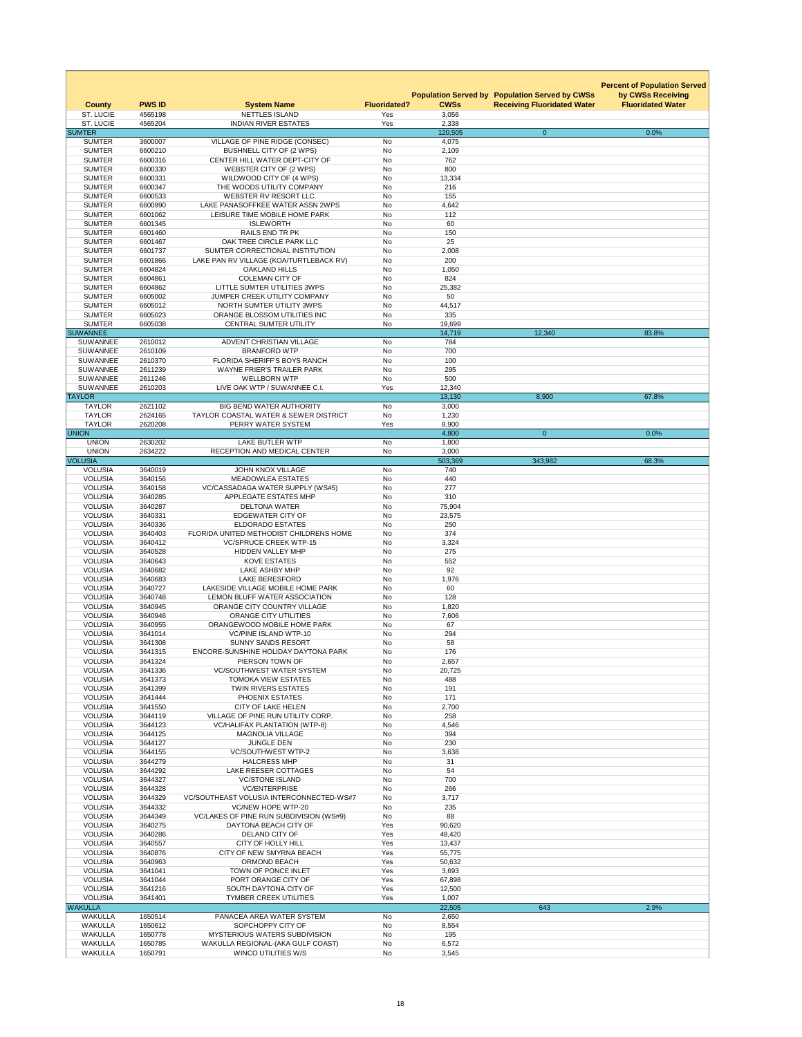|                                    |                          |                                                                                     |                     |                  | <b>Population Served by Population Served by CWSs</b> | <b>Percent of Population Served</b><br>by CWSs Receiving |
|------------------------------------|--------------------------|-------------------------------------------------------------------------------------|---------------------|------------------|-------------------------------------------------------|----------------------------------------------------------|
| <b>County</b><br><b>ST. LUCIE</b>  | <b>PWS ID</b><br>4565198 | <b>System Name</b><br><b>NETTLES ISLAND</b>                                         | <b>Fluoridated?</b> | <b>CWSs</b>      | <b>Receiving Fluoridated Water</b>                    | <b>Fluoridated Water</b>                                 |
| <b>ST. LUCIE</b>                   | 4565204                  | <b>INDIAN RIVER ESTATES</b>                                                         | Yes<br>Yes          | 3,056<br>2,338   |                                                       |                                                          |
| <b>SUMTER</b><br><b>SUMTER</b>     | 3600007                  | VILLAGE OF PINE RIDGE (CONSEC)                                                      | No                  | 120,505<br>4,075 | $\overline{0}$                                        | 0.0%                                                     |
| <b>SUMTER</b>                      | 6600210                  | <b>BUSHNELL CITY OF (2 WPS)</b>                                                     | No                  | 2,109            |                                                       |                                                          |
| <b>SUMTER</b><br><b>SUMTER</b>     | 6600316<br>6600330       | CENTER HILL WATER DEPT-CITY OF<br>WEBSTER CITY OF (2 WPS)                           | No<br>No            | 762<br>800       |                                                       |                                                          |
| <b>SUMTER</b>                      | 6600331                  | WILDWOOD CITY OF (4 WPS)                                                            | No                  | 13,334           |                                                       |                                                          |
| <b>SUMTER</b><br><b>SUMTER</b>     | 6600347<br>6600533       | THE WOODS UTILITY COMPANY<br><b>WEBSTER RV RESORT LLC.</b>                          | <b>No</b><br>No     | 216<br>155       |                                                       |                                                          |
| <b>SUMTER</b>                      | 6600990                  | LAKE PANASOFFKEE WATER ASSN 2WPS                                                    | <b>No</b>           | 4,642            |                                                       |                                                          |
| <b>SUMTER</b>                      | 6601062                  | LEISURE TIME MOBILE HOME PARK                                                       | No                  | 112              |                                                       |                                                          |
| <b>SUMTER</b><br><b>SUMTER</b>     | 6601345<br>6601460       | <b>ISLEWORTH</b><br><b>RAILS END TR PK</b>                                          | No<br><b>No</b>     | 60               |                                                       |                                                          |
| <b>SUMTER</b>                      | 6601467                  | OAK TREE CIRCLE PARK LLC                                                            | No                  | 150<br>25        |                                                       |                                                          |
| <b>SUMTER</b>                      | 6601737                  | SUMTER CORRECTIONAL INSTITUTION                                                     | No                  | 2,008            |                                                       |                                                          |
| <b>SUMTER</b><br><b>SUMTER</b>     | 6601866<br>6604824       | LAKE PAN RV VILLAGE (KOA/TURTLEBACK RV)<br><b>OAKLAND HILLS</b>                     | No<br>No            | 200<br>1,050     |                                                       |                                                          |
| <b>SUMTER</b>                      | 6604861                  | <b>COLEMAN CITY OF</b>                                                              | No                  | 824              |                                                       |                                                          |
| <b>SUMTER</b>                      | 6604862                  | LITTLE SUMTER UTILITIES 3WPS                                                        | No                  | 25,382           |                                                       |                                                          |
| <b>SUMTER</b><br><b>SUMTER</b>     | 6605002<br>6605012       | JUMPER CREEK UTILITY COMPANY<br>NORTH SUMTER UTILITY 3WPS                           | <b>No</b><br>No     | 50<br>44,517     |                                                       |                                                          |
| <b>SUMTER</b>                      | 6605023                  | ORANGE BLOSSOM UTILITIES INC                                                        | No                  | 335              |                                                       |                                                          |
| <b>SUMTER</b>                      | 6605038                  | <b>CENTRAL SUMTER UTILITY</b>                                                       | No                  | 19,699           |                                                       |                                                          |
| <b>SUWANNEE</b><br><b>SUWANNEE</b> | 2610012                  | ADVENT CHRISTIAN VILLAGE                                                            | <b>No</b>           | 14,719<br>784    | 12,340                                                | 83.8%                                                    |
| <b>SUWANNEE</b>                    | 2610109                  | <b>BRANFORD WTP</b>                                                                 | <b>No</b>           | 700              |                                                       |                                                          |
| <b>SUWANNEE</b>                    | 2610370                  | <b>FLORIDA SHERIFF'S BOYS RANCH</b>                                                 | No                  | 100              |                                                       |                                                          |
| <b>SUWANNEE</b>                    | 2611239                  | <b>WAYNE FRIER'S TRAILER PARK</b>                                                   | No                  | 295              |                                                       |                                                          |
| <b>SUWANNEE</b><br><b>SUWANNEE</b> | 2611246<br>2610203       | <b>WELLBORN WTP</b><br>LIVE OAK WTP / SUWANNEE C.I.                                 | No<br>Yes           | 500<br>12,340    |                                                       |                                                          |
| <b>TAYLOR</b>                      |                          |                                                                                     |                     | 13,130           | 8,900                                                 | 67.8%                                                    |
| <b>TAYLOR</b><br><b>TAYLOR</b>     | 2621102<br>2624165       | <b>BIG BEND WATER AUTHORITY</b><br><b>TAYLOR COASTAL WATER &amp; SEWER DISTRICT</b> | No<br>No            | 3,000<br>1,230   |                                                       |                                                          |
| <b>TAYLOR</b>                      | 2620208                  | PERRY WATER SYSTEM                                                                  | Yes                 | 8,900            |                                                       |                                                          |
| <b>UNION</b>                       |                          |                                                                                     |                     | 4,800            | $\overline{0}$                                        | 0.0%                                                     |
| <b>UNION</b><br><b>UNION</b>       | 2630202<br>2634222       | <b>LAKE BUTLER WTP</b><br><b>RECEPTION AND MEDICAL CENTER</b>                       | No<br>No            | 1,800<br>3,000   |                                                       |                                                          |
| <b>VOLUSIA</b>                     |                          |                                                                                     |                     | 503,369          | 343,982                                               | 68.3%                                                    |
| <b>VOLUSIA</b>                     | 3640019                  | <b>JOHN KNOX VILLAGE</b>                                                            | No                  | 740              |                                                       |                                                          |
| <b>VOLUSIA</b><br><b>VOLUSIA</b>   | 3640156<br>3640158       | <b>MEADOWLEA ESTATES</b><br><b>VC/CASSADAGA WATER SUPPLY (WS#5)</b>                 | No<br>No            | 440<br>277       |                                                       |                                                          |
| <b>VOLUSIA</b>                     | 3640285                  | APPLEGATE ESTATES MHP                                                               | No                  | 310              |                                                       |                                                          |
| <b>VOLUSIA</b>                     | 3640287                  | <b>DELTONA WATER</b>                                                                | No                  | 75,904           |                                                       |                                                          |
| <b>VOLUSIA</b><br><b>VOLUSIA</b>   | 3640331<br>3640336       | <b>EDGEWATER CITY OF</b><br><b>ELDORADO ESTATES</b>                                 | No<br>No            | 23,575<br>250    |                                                       |                                                          |
| <b>VOLUSIA</b>                     | 3640403                  | FLORIDA UNITED METHODIST CHILDRENS HOME                                             | <b>No</b>           | 374              |                                                       |                                                          |
| <b>VOLUSIA</b>                     | 3640412                  | <b>VC/SPRUCE CREEK WTP-15</b>                                                       | No                  | 3,324            |                                                       |                                                          |
| <b>VOLUSIA</b><br><b>VOLUSIA</b>   | 3640528<br>3640643       | <b>HIDDEN VALLEY MHP</b><br><b>KOVE ESTATES</b>                                     | No<br>No            | 275<br>552       |                                                       |                                                          |
| <b>VOLUSIA</b>                     | 3640682                  | <b>LAKE ASHBY MHP</b>                                                               | No                  | 92               |                                                       |                                                          |
| <b>VOLUSIA</b>                     | 3640683                  | <b>LAKE BERESFORD</b>                                                               | <b>No</b>           | 1,976            |                                                       |                                                          |
| <b>VOLUSIA</b><br><b>VOLUSIA</b>   | 3640727<br>3640748       | LAKESIDE VILLAGE MOBILE HOME PARK<br>LEMON BLUFF WATER ASSOCIATION                  | No<br>No            | 60<br>128        |                                                       |                                                          |
| <b>VOLUSIA</b>                     | 3640945                  | ORANGE CITY COUNTRY VILLAGE                                                         | No                  | 1,820            |                                                       |                                                          |
| <b>VOLUSIA</b>                     | 3640946                  | <b>ORANGE CITY UTILITIES</b>                                                        | No                  | 7,606            |                                                       |                                                          |
| <b>VOLUSIA</b><br><b>VOLUSIA</b>   | 3640955<br>3641014       | ORANGEWOOD MOBILE HOME PARK<br><b>VC/PINE ISLAND WTP-10</b>                         | No<br>No            | 67<br>294        |                                                       |                                                          |
| <b>VOLUSIA</b>                     | 3641308                  | <b>SUNNY SANDS RESORT</b>                                                           | No                  | 58               |                                                       |                                                          |
| <b>VOLUSIA</b><br><b>VOLUSIA</b>   | 3641315<br>3641324       | ENCORE-SUNSHINE HOLIDAY DAYTONA PARK<br>PIERSON TOWN OF                             | No                  | 176<br>2,657     |                                                       |                                                          |
| <b>VOLUSIA</b>                     | 3641336                  | <b>VC/SOUTHWEST WATER SYSTEM</b>                                                    | No<br>No            | 20,725           |                                                       |                                                          |
| <b>VOLUSIA</b>                     | 3641373                  | <b>TOMOKA VIEW ESTATES</b>                                                          | No                  | 488              |                                                       |                                                          |
| <b>VOLUSIA</b><br><b>VOLUSIA</b>   | 3641399<br>3641444       | <b>TWIN RIVERS ESTATES</b><br>PHOENIX ESTATES                                       | No<br>No            | 191<br>171       |                                                       |                                                          |
| <b>VOLUSIA</b>                     | 3641550                  | <b>CITY OF LAKE HELEN</b>                                                           | No                  | 2,700            |                                                       |                                                          |
| <b>VOLUSIA</b>                     | 3644119                  | VILLAGE OF PINE RUN UTILITY CORP.                                                   | No                  | 258              |                                                       |                                                          |
| <b>VOLUSIA</b><br><b>VOLUSIA</b>   | 3644123<br>3644125       | <b>VC/HALIFAX PLANTATION (WTP-8)</b><br><b>MAGNOLIA VILLAGE</b>                     | No<br>No            | 4,546<br>394     |                                                       |                                                          |
| <b>VOLUSIA</b>                     | 3644127                  | <b>JUNGLE DEN</b>                                                                   | No                  | 230              |                                                       |                                                          |
| <b>VOLUSIA</b>                     | 3644155                  | <b>VC/SOUTHWEST WTP-2</b>                                                           | No                  | 3,638            |                                                       |                                                          |
| <b>VOLUSIA</b><br><b>VOLUSIA</b>   | 3644279<br>3644292       | <b>HALCRESS MHP</b><br>LAKE REESER COTTAGES                                         | No<br>No            | 31<br>54         |                                                       |                                                          |
| <b>VOLUSIA</b>                     | 3644327                  | <b>VC/STONE ISLAND</b>                                                              | No                  | 700              |                                                       |                                                          |
| <b>VOLUSIA</b>                     | 3644328                  | <b>VC/ENTERPRISE</b>                                                                | No                  | 266              |                                                       |                                                          |
| <b>VOLUSIA</b><br><b>VOLUSIA</b>   | 3644329<br>3644332       | VC/SOUTHEAST VOLUSIA INTERCONNECTED-WS#7<br>VC/NEW HOPE WTP-20                      | No<br>No            | 3,717<br>235     |                                                       |                                                          |
| <b>VOLUSIA</b>                     | 3644349                  | <b>VC/LAKES OF PINE RUN SUBDIVISION (WS#9)</b>                                      | No                  | 88               |                                                       |                                                          |
| <b>VOLUSIA</b>                     | 3640275                  | DAYTONA BEACH CITY OF                                                               | Yes                 | 90,620           |                                                       |                                                          |
| <b>VOLUSIA</b><br><b>VOLUSIA</b>   | 3640286<br>3640557       | <b>DELAND CITY OF</b><br><b>CITY OF HOLLY HILL</b>                                  | Yes<br>Yes          | 48,420<br>13,437 |                                                       |                                                          |
| <b>VOLUSIA</b>                     | 3640876                  | CITY OF NEW SMYRNA BEACH                                                            | Yes                 | 55,775           |                                                       |                                                          |
| <b>VOLUSIA</b>                     | 3640963                  | <b>ORMOND BEACH</b>                                                                 | Yes                 | 50,632           |                                                       |                                                          |
| <b>VOLUSIA</b><br><b>VOLUSIA</b>   | 3641041<br>3641044       | TOWN OF PONCE INLET<br>PORT ORANGE CITY OF                                          | Yes<br>Yes          | 3,693<br>67,898  |                                                       |                                                          |
| <b>VOLUSIA</b>                     | 3641216                  | SOUTH DAYTONA CITY OF                                                               | Yes                 | 12,500           |                                                       |                                                          |
| <b>VOLUSIA</b>                     | 3641401                  | <b>TYMBER CREEK UTILITIES</b>                                                       | Yes                 | 1,007            |                                                       |                                                          |
| <b>WAKULLA</b><br><b>WAKULLA</b>   | 1650514                  | PANACEA AREA WATER SYSTEM                                                           | No                  | 22,505<br>2,650  | 643                                                   | 2.9%                                                     |
| <b>WAKULLA</b>                     | 1650612                  | SOPCHOPPY CITY OF                                                                   | No                  | 8,554            |                                                       |                                                          |
| WAKULLA                            | 1650778                  | MYSTERIOUS WATERS SUBDIVISION                                                       | No                  | 195              |                                                       |                                                          |
| WAKULLA<br><b>WAKULLA</b>          | 1650785<br>1650791       | WAKULLA REGIONAL-(AKA GULF COAST)<br><b>WINCO UTILITIES W/S</b>                     | No<br>No            | 6,572<br>3,545   |                                                       |                                                          |